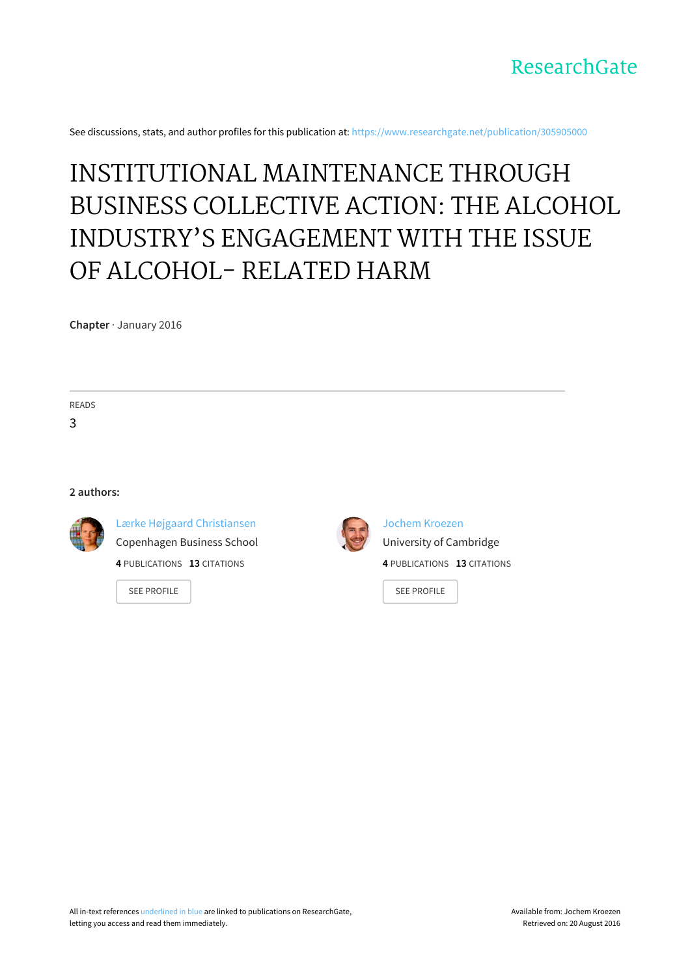

See discussions, stats, and author profiles for this publication at: [https://www.researchgate.net/publication/305905000](https://www.researchgate.net/publication/305905000_INSTITUTIONAL_MAINTENANCE_THROUGH_BUSINESS_COLLECTIVE_ACTION_THE_ALCOHOL_INDUSTRY%27S_ENGAGEMENT_WITH_THE_ISSUE_OF_ALCOHOL-_RELATED_HARM?enrichId=rgreq-98966ac44f9a416928703b9e6a6f6cb8-XXX&enrichSource=Y292ZXJQYWdlOzMwNTkwNTAwMDtBUzozOTE4NDg4MjU3Njk5ODZAMTQ3MDQzNTQ0ODc0Mg%3D%3D&el=1_x_2)

# [INSTITUTIONAL](https://www.researchgate.net/publication/305905000_INSTITUTIONAL_MAINTENANCE_THROUGH_BUSINESS_COLLECTIVE_ACTION_THE_ALCOHOL_INDUSTRY%27S_ENGAGEMENT_WITH_THE_ISSUE_OF_ALCOHOL-_RELATED_HARM?enrichId=rgreq-98966ac44f9a416928703b9e6a6f6cb8-XXX&enrichSource=Y292ZXJQYWdlOzMwNTkwNTAwMDtBUzozOTE4NDg4MjU3Njk5ODZAMTQ3MDQzNTQ0ODc0Mg%3D%3D&el=1_x_3) MAINTENANCE THROUGH BUSINESS COLLECTIVE ACTION: THE ALCOHOL INDUSTRY'S ENGAGEMENT WITH THE ISSUE OF ALCOHOL- RELATED HARM

**Chapter** · January 2016

READS

3

#### **2 authors:**



Lærke Højgaard [Christiansen](https://www.researchgate.net/profile/Laerke_Christiansen2?enrichId=rgreq-98966ac44f9a416928703b9e6a6f6cb8-XXX&enrichSource=Y292ZXJQYWdlOzMwNTkwNTAwMDtBUzozOTE4NDg4MjU3Njk5ODZAMTQ3MDQzNTQ0ODc0Mg%3D%3D&el=1_x_5) [Copenhagen](https://www.researchgate.net/institution/Copenhagen_Business_School?enrichId=rgreq-98966ac44f9a416928703b9e6a6f6cb8-XXX&enrichSource=Y292ZXJQYWdlOzMwNTkwNTAwMDtBUzozOTE4NDg4MjU3Njk5ODZAMTQ3MDQzNTQ0ODc0Mg%3D%3D&el=1_x_6) Business School **4** PUBLICATIONS **13** CITATIONS

SEE [PROFILE](https://www.researchgate.net/profile/Laerke_Christiansen2?enrichId=rgreq-98966ac44f9a416928703b9e6a6f6cb8-XXX&enrichSource=Y292ZXJQYWdlOzMwNTkwNTAwMDtBUzozOTE4NDg4MjU3Njk5ODZAMTQ3MDQzNTQ0ODc0Mg%3D%3D&el=1_x_7)



Jochem [Kroezen](https://www.researchgate.net/profile/Jochem_Kroezen?enrichId=rgreq-98966ac44f9a416928703b9e6a6f6cb8-XXX&enrichSource=Y292ZXJQYWdlOzMwNTkwNTAwMDtBUzozOTE4NDg4MjU3Njk5ODZAMTQ3MDQzNTQ0ODc0Mg%3D%3D&el=1_x_5) University of [Cambridge](https://www.researchgate.net/institution/University_of_Cambridge?enrichId=rgreq-98966ac44f9a416928703b9e6a6f6cb8-XXX&enrichSource=Y292ZXJQYWdlOzMwNTkwNTAwMDtBUzozOTE4NDg4MjU3Njk5ODZAMTQ3MDQzNTQ0ODc0Mg%3D%3D&el=1_x_6) **4** PUBLICATIONS **13** CITATIONS

SEE [PROFILE](https://www.researchgate.net/profile/Jochem_Kroezen?enrichId=rgreq-98966ac44f9a416928703b9e6a6f6cb8-XXX&enrichSource=Y292ZXJQYWdlOzMwNTkwNTAwMDtBUzozOTE4NDg4MjU3Njk5ODZAMTQ3MDQzNTQ0ODc0Mg%3D%3D&el=1_x_7)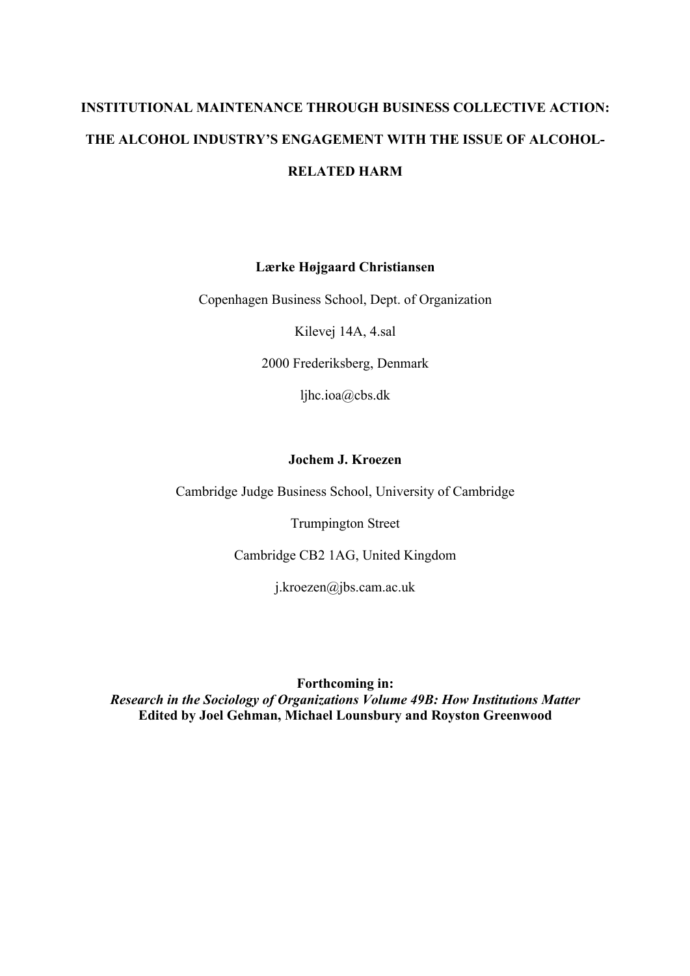# **INSTITUTIONAL MAINTENANCE THROUGH BUSINESS COLLECTIVE ACTION: THE ALCOHOL INDUSTRY'S ENGAGEMENT WITH THE ISSUE OF ALCOHOL-**

# **RELATED HARM**

# **Lærke Højgaard Christiansen**

Copenhagen Business School, Dept. of Organization

Kilevej 14A, 4.sal

2000 Frederiksberg, Denmark

ljhc.ioa@cbs.dk

# **Jochem J. Kroezen**

Cambridge Judge Business School, University of Cambridge

Trumpington Street

Cambridge CB2 1AG, United Kingdom

j.kroezen@jbs.cam.ac.uk

**Forthcoming in:** *Research in the Sociology of Organizations Volume 49B: How Institutions Matter* **Edited by Joel Gehman, Michael Lounsbury and Royston Greenwood**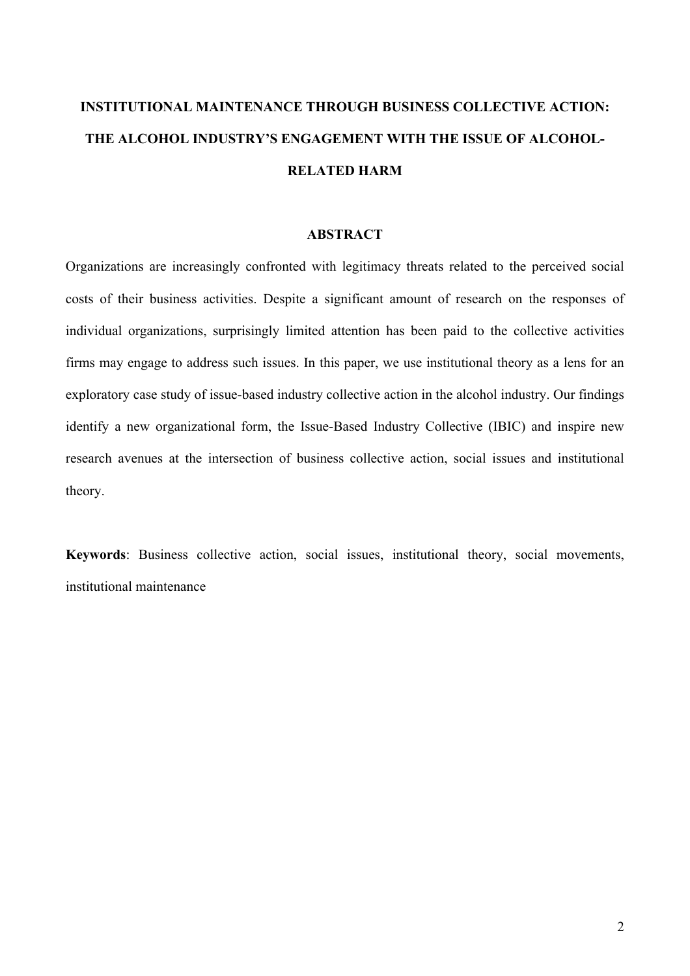# **INSTITUTIONAL MAINTENANCE THROUGH BUSINESS COLLECTIVE ACTION: THE ALCOHOL INDUSTRY'S ENGAGEMENT WITH THE ISSUE OF ALCOHOL-RELATED HARM**

### **ABSTRACT**

Organizations are increasingly confronted with legitimacy threats related to the perceived social costs of their business activities. Despite a significant amount of research on the responses of individual organizations, surprisingly limited attention has been paid to the collective activities firms may engage to address such issues. In this paper, we use institutional theory as a lens for an exploratory case study of issue-based industry collective action in the alcohol industry. Our findings identify a new organizational form, the Issue-Based Industry Collective (IBIC) and inspire new research avenues at the intersection of business collective action, social issues and institutional theory.

**Keywords**: Business collective action, social issues, institutional theory, social movements, institutional maintenance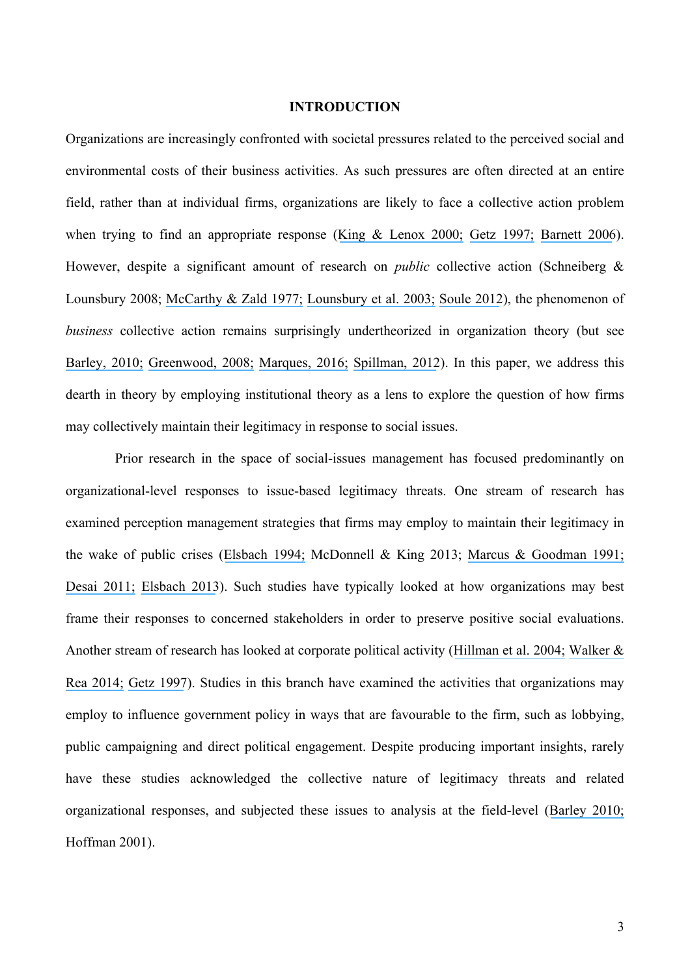#### **INTRODUCTION**

Organizations are increasingly confronted with societal pressures related to the perceived social and environmental costs of their business activities. As such pressures are often directed at an entire field, rather than at individual firms, organizations are likely to face a collective action problem when trying to find an appropriate response ([King & Lenox 2000;](https://www.researchgate.net/publication/2586144_Industry_Self-Regulation_Without_Sanctions_The_Chemical_Industry) [Getz 1997;](https://www.researchgate.net/publication/258126273_Research_in_Corporate_Political_Action_Integration_and_Assessment?el=1_x_8&enrichId=rgreq-98966ac44f9a416928703b9e6a6f6cb8-XXX&enrichSource=Y292ZXJQYWdlOzMwNTkwNTAwMDtBUzozOTE4NDg4MjU3Njk5ODZAMTQ3MDQzNTQ0ODc0Mg==) [Barnett 2006](https://www.researchgate.net/publication/4993066_Finding_a_Working_Balance_Between_Competitive_and_Communal_Strategies?el=1_x_8&enrichId=rgreq-98966ac44f9a416928703b9e6a6f6cb8-XXX&enrichSource=Y292ZXJQYWdlOzMwNTkwNTAwMDtBUzozOTE4NDg4MjU3Njk5ODZAMTQ3MDQzNTQ0ODc0Mg==)). However, despite a significant amount of research on *public* collective action (Schneiberg & Lounsbury 2008; [McCarthy & Zald 1977;](https://www.researchgate.net/publication/233870037_Resource_Mobilization_and_Social_Movements_A_Partial_Theory?el=1_x_8&enrichId=rgreq-98966ac44f9a416928703b9e6a6f6cb8-XXX&enrichSource=Y292ZXJQYWdlOzMwNTkwNTAwMDtBUzozOTE4NDg4MjU3Njk5ODZAMTQ3MDQzNTQ0ODc0Mg==) [Lounsbury et al. 2003;](https://www.researchgate.net/publication/44072905_Social_Movements_Field_Frames_and_Industry_Emergence_A_Cultural-Political_Perspective_on_US_Recycling?el=1_x_8&enrichId=rgreq-98966ac44f9a416928703b9e6a6f6cb8-XXX&enrichSource=Y292ZXJQYWdlOzMwNTkwNTAwMDtBUzozOTE4NDg4MjU3Njk5ODZAMTQ3MDQzNTQ0ODc0Mg==) [Soule 2012](https://www.researchgate.net/publication/274432819_Social_Movements_and_Markets_Industries_and_Firms?el=1_x_8&enrichId=rgreq-98966ac44f9a416928703b9e6a6f6cb8-XXX&enrichSource=Y292ZXJQYWdlOzMwNTkwNTAwMDtBUzozOTE4NDg4MjU3Njk5ODZAMTQ3MDQzNTQ0ODc0Mg==)), the phenomenon of *business* collective action remains surprisingly undertheorized in organization theory (but see [Barley, 2010;](https://www.researchgate.net/publication/270726455_Building_an_Institutional_Field_to_Corral_a_Government_A_Case_to_Set_an_Agenda_for_Organization_Studies?el=1_x_8&enrichId=rgreq-98966ac44f9a416928703b9e6a6f6cb8-XXX&enrichSource=Y292ZXJQYWdlOzMwNTkwNTAwMDtBUzozOTE4NDg4MjU3Njk5ODZAMTQ3MDQzNTQ0ODc0Mg==) [Greenwood, 2008;](https://www.researchgate.net/publication/238333635_Focusing_the_Asteroid_Belt_of_Organizations?el=1_x_8&enrichId=rgreq-98966ac44f9a416928703b9e6a6f6cb8-XXX&enrichSource=Y292ZXJQYWdlOzMwNTkwNTAwMDtBUzozOTE4NDg4MjU3Njk5ODZAMTQ3MDQzNTQ0ODc0Mg==) [Marques, 2016;](https://www.researchgate.net/publication/300372714_Industry_Business_Associations_Self-Interested_or_Socially_Conscious?el=1_x_8&enrichId=rgreq-98966ac44f9a416928703b9e6a6f6cb8-XXX&enrichSource=Y292ZXJQYWdlOzMwNTkwNTAwMDtBUzozOTE4NDg4MjU3Njk5ODZAMTQ3MDQzNTQ0ODc0Mg==) [Spillman, 2012](https://www.researchgate.net/publication/267447197_Solidarity_in_Strategy_Making_Business_Meaningful_in_American_Trade_Associations?el=1_x_8&enrichId=rgreq-98966ac44f9a416928703b9e6a6f6cb8-XXX&enrichSource=Y292ZXJQYWdlOzMwNTkwNTAwMDtBUzozOTE4NDg4MjU3Njk5ODZAMTQ3MDQzNTQ0ODc0Mg==)). In this paper, we address this dearth in theory by employing institutional theory as a lens to explore the question of how firms may collectively maintain their legitimacy in response to social issues.

Prior research in the space of social-issues management has focused predominantly on organizational-level responses to issue-based legitimacy threats. One stream of research has examined perception management strategies that firms may employ to maintain their legitimacy in the wake of public crises ([Elsbach 1994;](https://www.researchgate.net/publication/242075551_Managing_Organizational_Legitimacy_in_the_California_Cattle_Industry_The_Construction_and_Effectiveness_of_Verbal_Accounts?el=1_x_8&enrichId=rgreq-98966ac44f9a416928703b9e6a6f6cb8-XXX&enrichSource=Y292ZXJQYWdlOzMwNTkwNTAwMDtBUzozOTE4NDg4MjU3Njk5ODZAMTQ3MDQzNTQ0ODc0Mg==) McDonnell & King 2013; [Marcus & Goodman 1991;](https://www.researchgate.net/publication/275697494_Victims_and_Shareholders_Dilemmas_of_Presenting_Corporate_Policy_During_a_Crisis?el=1_x_8&enrichId=rgreq-98966ac44f9a416928703b9e6a6f6cb8-XXX&enrichSource=Y292ZXJQYWdlOzMwNTkwNTAwMDtBUzozOTE4NDg4MjU3Njk5ODZAMTQ3MDQzNTQ0ODc0Mg==) [Desai 2011;](https://www.researchgate.net/publication/283816406_Mass_Media_and_Massive_Failures_Determining_Organizational_Efforts_to_Defend_Field_Legitimacy_Following_Crises?el=1_x_8&enrichId=rgreq-98966ac44f9a416928703b9e6a6f6cb8-XXX&enrichSource=Y292ZXJQYWdlOzMwNTkwNTAwMDtBUzozOTE4NDg4MjU3Njk5ODZAMTQ3MDQzNTQ0ODc0Mg==) [Elsbach 2013](https://www.researchgate.net/publication/248563854_Organizational_Perception_Management?el=1_x_8&enrichId=rgreq-98966ac44f9a416928703b9e6a6f6cb8-XXX&enrichSource=Y292ZXJQYWdlOzMwNTkwNTAwMDtBUzozOTE4NDg4MjU3Njk5ODZAMTQ3MDQzNTQ0ODc0Mg==)). Such studies have typically looked at how organizations may best frame their responses to concerned stakeholders in order to preserve positive social evaluations. Another stream of research has looked at corporate political activity ([Hillman et al. 2004;](https://www.researchgate.net/publication/239485073_Corporate_Political_Activity_A_Review_and_Research_Agenda?el=1_x_8&enrichId=rgreq-98966ac44f9a416928703b9e6a6f6cb8-XXX&enrichSource=Y292ZXJQYWdlOzMwNTkwNTAwMDtBUzozOTE4NDg4MjU3Njk5ODZAMTQ3MDQzNTQ0ODc0Mg==) [Walker &](https://www.researchgate.net/publication/270692047_The_Political_Mobilization_of_Firms_and_Industries?el=1_x_8&enrichId=rgreq-98966ac44f9a416928703b9e6a6f6cb8-XXX&enrichSource=Y292ZXJQYWdlOzMwNTkwNTAwMDtBUzozOTE4NDg4MjU3Njk5ODZAMTQ3MDQzNTQ0ODc0Mg==) [Rea 2014;](https://www.researchgate.net/publication/270692047_The_Political_Mobilization_of_Firms_and_Industries?el=1_x_8&enrichId=rgreq-98966ac44f9a416928703b9e6a6f6cb8-XXX&enrichSource=Y292ZXJQYWdlOzMwNTkwNTAwMDtBUzozOTE4NDg4MjU3Njk5ODZAMTQ3MDQzNTQ0ODc0Mg==) [Getz 1997](https://www.researchgate.net/publication/258126273_Research_in_Corporate_Political_Action_Integration_and_Assessment?el=1_x_8&enrichId=rgreq-98966ac44f9a416928703b9e6a6f6cb8-XXX&enrichSource=Y292ZXJQYWdlOzMwNTkwNTAwMDtBUzozOTE4NDg4MjU3Njk5ODZAMTQ3MDQzNTQ0ODc0Mg==)). Studies in this branch have examined the activities that organizations may employ to influence government policy in ways that are favourable to the firm, such as lobbying, public campaigning and direct political engagement. Despite producing important insights, rarely have these studies acknowledged the collective nature of legitimacy threats and related organizational responses, and subjected these issues to analysis at the field-level ([Barley 2010;](https://www.researchgate.net/publication/270726455_Building_an_Institutional_Field_to_Corral_a_Government_A_Case_to_Set_an_Agenda_for_Organization_Studies?el=1_x_8&enrichId=rgreq-98966ac44f9a416928703b9e6a6f6cb8-XXX&enrichSource=Y292ZXJQYWdlOzMwNTkwNTAwMDtBUzozOTE4NDg4MjU3Njk5ODZAMTQ3MDQzNTQ0ODc0Mg==) Hoffman 2001).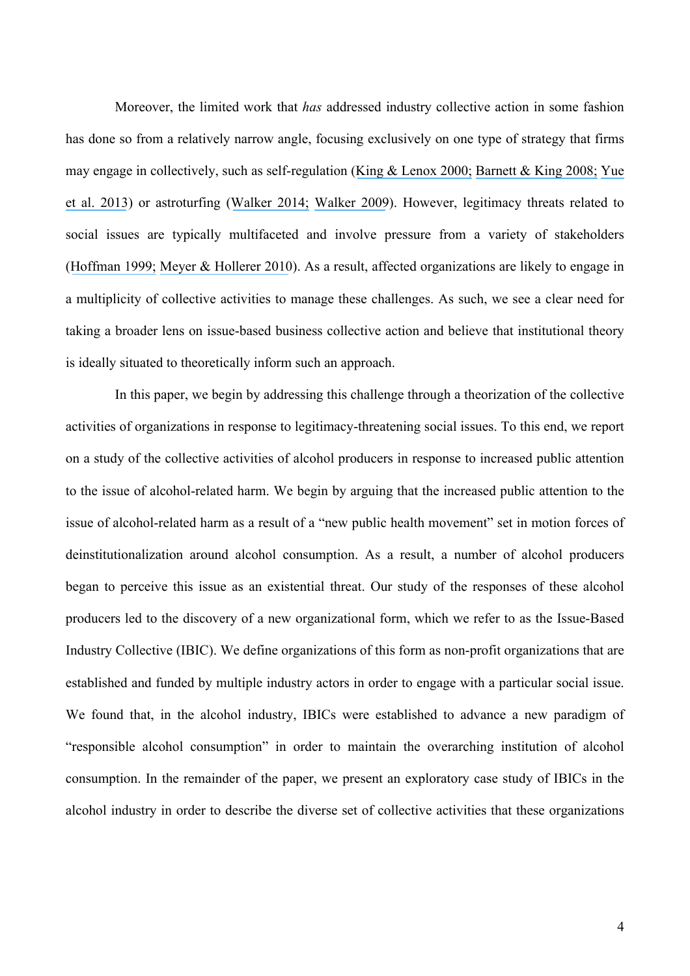Moreover, the limited work that *has* addressed industry collective action in some fashion has done so from a relatively narrow angle, focusing exclusively on one type of strategy that firms may engage in collectively, such as self-regulation ([King & Lenox 2000;](https://www.researchgate.net/publication/2586144_Industry_Self-Regulation_Without_Sanctions_The_Chemical_Industry) [Barnett & King 2008;](https://www.researchgate.net/publication/228133698_Good_Fences_Make_Good_Neighbors_A_Longitudinal_Analysis_of_an_Industry_Self-Regulatory_Institution?el=1_x_8&enrichId=rgreq-98966ac44f9a416928703b9e6a6f6cb8-XXX&enrichSource=Y292ZXJQYWdlOzMwNTkwNTAwMDtBUzozOTE4NDg4MjU3Njk5ODZAMTQ3MDQzNTQ0ODc0Mg==) [Yue](https://www.researchgate.net/publication/258126361_The_Failure_of_Private_Regulation_Elite_Control_and_Market_Crises_in_the_Manhattan_Banking_Industry?el=1_x_8&enrichId=rgreq-98966ac44f9a416928703b9e6a6f6cb8-XXX&enrichSource=Y292ZXJQYWdlOzMwNTkwNTAwMDtBUzozOTE4NDg4MjU3Njk5ODZAMTQ3MDQzNTQ0ODc0Mg==) [et al. 2013](https://www.researchgate.net/publication/258126361_The_Failure_of_Private_Regulation_Elite_Control_and_Market_Crises_in_the_Manhattan_Banking_Industry?el=1_x_8&enrichId=rgreq-98966ac44f9a416928703b9e6a6f6cb8-XXX&enrichSource=Y292ZXJQYWdlOzMwNTkwNTAwMDtBUzozOTE4NDg4MjU3Njk5ODZAMTQ3MDQzNTQ0ODc0Mg==)) or astroturfing ([Walker 2014;](https://www.researchgate.net/publication/288435337_Grassroots_for_hire_Public_affairs_consultants_in_American_democracy?el=1_x_8&enrichId=rgreq-98966ac44f9a416928703b9e6a6f6cb8-XXX&enrichSource=Y292ZXJQYWdlOzMwNTkwNTAwMDtBUzozOTE4NDg4MjU3Njk5ODZAMTQ3MDQzNTQ0ODc0Mg==) [Walker 2009](https://www.researchgate.net/publication/254078727_Privatizing_Participation_Civic_Change_and_the_Organizational_Dynamics_of_Grassroots_Lobbying_Firms?el=1_x_8&enrichId=rgreq-98966ac44f9a416928703b9e6a6f6cb8-XXX&enrichSource=Y292ZXJQYWdlOzMwNTkwNTAwMDtBUzozOTE4NDg4MjU3Njk5ODZAMTQ3MDQzNTQ0ODc0Mg==)). However, legitimacy threats related to social issues are typically multifaceted and involve pressure from a variety of stakeholders ([Hoffman 1999;](https://www.researchgate.net/publication/265239904_Institutional_Evolution_and_Change_Environmentalism_and_the_US_Chemical_Industry?el=1_x_8&enrichId=rgreq-98966ac44f9a416928703b9e6a6f6cb8-XXX&enrichSource=Y292ZXJQYWdlOzMwNTkwNTAwMDtBUzozOTE4NDg4MjU3Njk5ODZAMTQ3MDQzNTQ0ODc0Mg==) [Meyer & Hollerer 2010](https://www.researchgate.net/publication/280298236_Meaning_structures_in_a_contested_issue_field_A_topographic_map_of_shareholder_value_in_Austria?el=1_x_8&enrichId=rgreq-98966ac44f9a416928703b9e6a6f6cb8-XXX&enrichSource=Y292ZXJQYWdlOzMwNTkwNTAwMDtBUzozOTE4NDg4MjU3Njk5ODZAMTQ3MDQzNTQ0ODc0Mg==)). As a result, affected organizations are likely to engage in a multiplicity of collective activities to manage these challenges. As such, we see a clear need for taking a broader lens on issue-based business collective action and believe that institutional theory is ideally situated to theoretically inform such an approach.

In this paper, we begin by addressing this challenge through a theorization of the collective activities of organizations in response to legitimacy-threatening social issues. To this end, we report on a study of the collective activities of alcohol producers in response to increased public attention to the issue of alcohol-related harm. We begin by arguing that the increased public attention to the issue of alcohol-related harm as a result of a "new public health movement" set in motion forces of deinstitutionalization around alcohol consumption. As a result, a number of alcohol producers began to perceive this issue as an existential threat. Our study of the responses of these alcohol producers led to the discovery of a new organizational form, which we refer to as the Issue-Based Industry Collective (IBIC). We define organizations of this form as non-profit organizations that are established and funded by multiple industry actors in order to engage with a particular social issue. We found that, in the alcohol industry, IBICs were established to advance a new paradigm of "responsible alcohol consumption" in order to maintain the overarching institution of alcohol consumption. In the remainder of the paper, we present an exploratory case study of IBICs in the alcohol industry in order to describe the diverse set of collective activities that these organizations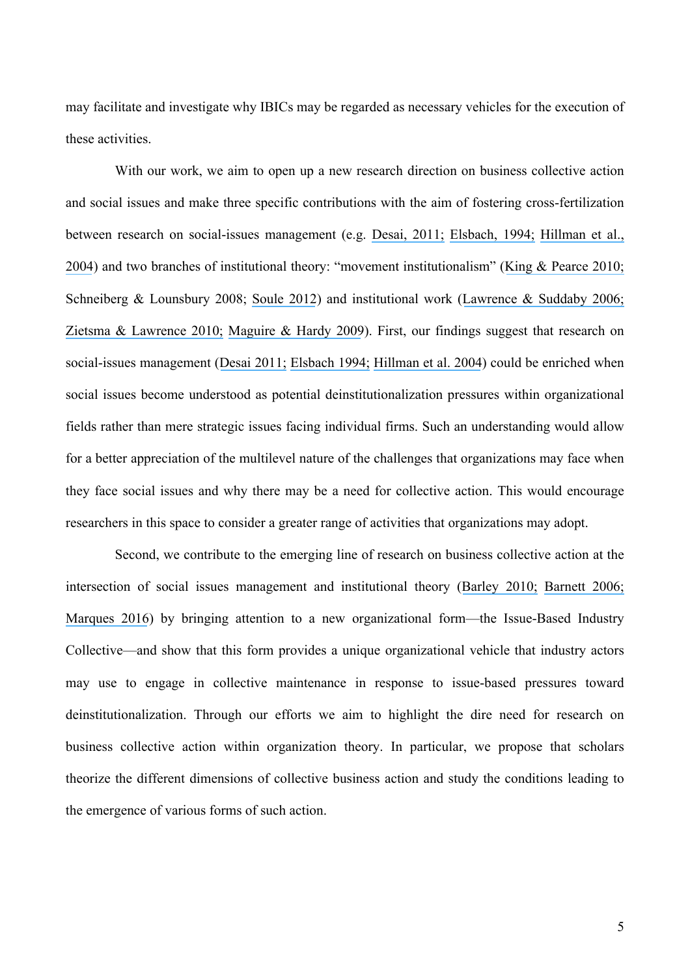may facilitate and investigate why IBICs may be regarded as necessary vehicles for the execution of these activities.

With our work, we aim to open up a new research direction on business collective action and social issues and make three specific contributions with the aim of fostering cross-fertilization between research on social-issues management (e.g. [Desai, 2011;](https://www.researchgate.net/publication/283816406_Mass_Media_and_Massive_Failures_Determining_Organizational_Efforts_to_Defend_Field_Legitimacy_Following_Crises?el=1_x_8&enrichId=rgreq-98966ac44f9a416928703b9e6a6f6cb8-XXX&enrichSource=Y292ZXJQYWdlOzMwNTkwNTAwMDtBUzozOTE4NDg4MjU3Njk5ODZAMTQ3MDQzNTQ0ODc0Mg==) [Elsbach, 1994;](https://www.researchgate.net/publication/242075551_Managing_Organizational_Legitimacy_in_the_California_Cattle_Industry_The_Construction_and_Effectiveness_of_Verbal_Accounts?el=1_x_8&enrichId=rgreq-98966ac44f9a416928703b9e6a6f6cb8-XXX&enrichSource=Y292ZXJQYWdlOzMwNTkwNTAwMDtBUzozOTE4NDg4MjU3Njk5ODZAMTQ3MDQzNTQ0ODc0Mg==) [Hillman et al.,](https://www.researchgate.net/publication/239485073_Corporate_Political_Activity_A_Review_and_Research_Agenda?el=1_x_8&enrichId=rgreq-98966ac44f9a416928703b9e6a6f6cb8-XXX&enrichSource=Y292ZXJQYWdlOzMwNTkwNTAwMDtBUzozOTE4NDg4MjU3Njk5ODZAMTQ3MDQzNTQ0ODc0Mg==) [2004](https://www.researchgate.net/publication/239485073_Corporate_Political_Activity_A_Review_and_Research_Agenda?el=1_x_8&enrichId=rgreq-98966ac44f9a416928703b9e6a6f6cb8-XXX&enrichSource=Y292ZXJQYWdlOzMwNTkwNTAwMDtBUzozOTE4NDg4MjU3Njk5ODZAMTQ3MDQzNTQ0ODc0Mg==)) and two branches of institutional theory: "movement institutionalism" ([King & Pearce 2010;](https://www.researchgate.net/publication/228173854_The_Contentiousness_of_Markets_Politics_Social_Movements_and_Institutional_Change_in_Markets?el=1_x_8&enrichId=rgreq-98966ac44f9a416928703b9e6a6f6cb8-XXX&enrichSource=Y292ZXJQYWdlOzMwNTkwNTAwMDtBUzozOTE4NDg4MjU3Njk5ODZAMTQ3MDQzNTQ0ODc0Mg==) Schneiberg & Lounsbury 2008; [Soule 2012](https://www.researchgate.net/publication/274432819_Social_Movements_and_Markets_Industries_and_Firms?el=1_x_8&enrichId=rgreq-98966ac44f9a416928703b9e6a6f6cb8-XXX&enrichSource=Y292ZXJQYWdlOzMwNTkwNTAwMDtBUzozOTE4NDg4MjU3Njk5ODZAMTQ3MDQzNTQ0ODc0Mg==)) and institutional work ([Lawrence & Suddaby 2006;](https://www.researchgate.net/publication/242437344_Institutions_and_institutional_work?el=1_x_8&enrichId=rgreq-98966ac44f9a416928703b9e6a6f6cb8-XXX&enrichSource=Y292ZXJQYWdlOzMwNTkwNTAwMDtBUzozOTE4NDg4MjU3Njk5ODZAMTQ3MDQzNTQ0ODc0Mg==) [Zietsma & Lawrence 2010;](https://www.researchgate.net/publication/236332862_Institutional_Work_in_the_Transformation_of_an_Organizational_Field_The_Interplay_of_Boundary_Work_and_Practice_Work?el=1_x_8&enrichId=rgreq-98966ac44f9a416928703b9e6a6f6cb8-XXX&enrichSource=Y292ZXJQYWdlOzMwNTkwNTAwMDtBUzozOTE4NDg4MjU3Njk5ODZAMTQ3MDQzNTQ0ODc0Mg==) [Maguire & Hardy 2009](https://www.researchgate.net/publication/276054186_Discourse_and_Deinstitutionalization_The_Decline_of_DDT?el=1_x_8&enrichId=rgreq-98966ac44f9a416928703b9e6a6f6cb8-XXX&enrichSource=Y292ZXJQYWdlOzMwNTkwNTAwMDtBUzozOTE4NDg4MjU3Njk5ODZAMTQ3MDQzNTQ0ODc0Mg==)). First, our findings suggest that research on social-issues management ([Desai 2011;](https://www.researchgate.net/publication/283816406_Mass_Media_and_Massive_Failures_Determining_Organizational_Efforts_to_Defend_Field_Legitimacy_Following_Crises?el=1_x_8&enrichId=rgreq-98966ac44f9a416928703b9e6a6f6cb8-XXX&enrichSource=Y292ZXJQYWdlOzMwNTkwNTAwMDtBUzozOTE4NDg4MjU3Njk5ODZAMTQ3MDQzNTQ0ODc0Mg==) [Elsbach 1994;](https://www.researchgate.net/publication/242075551_Managing_Organizational_Legitimacy_in_the_California_Cattle_Industry_The_Construction_and_Effectiveness_of_Verbal_Accounts?el=1_x_8&enrichId=rgreq-98966ac44f9a416928703b9e6a6f6cb8-XXX&enrichSource=Y292ZXJQYWdlOzMwNTkwNTAwMDtBUzozOTE4NDg4MjU3Njk5ODZAMTQ3MDQzNTQ0ODc0Mg==) [Hillman et al. 2004](https://www.researchgate.net/publication/239485073_Corporate_Political_Activity_A_Review_and_Research_Agenda?el=1_x_8&enrichId=rgreq-98966ac44f9a416928703b9e6a6f6cb8-XXX&enrichSource=Y292ZXJQYWdlOzMwNTkwNTAwMDtBUzozOTE4NDg4MjU3Njk5ODZAMTQ3MDQzNTQ0ODc0Mg==)) could be enriched when social issues become understood as potential deinstitutionalization pressures within organizational fields rather than mere strategic issues facing individual firms. Such an understanding would allow for a better appreciation of the multilevel nature of the challenges that organizations may face when they face social issues and why there may be a need for collective action. This would encourage researchers in this space to consider a greater range of activities that organizations may adopt.

Second, we contribute to the emerging line of research on business collective action at the intersection of social issues management and institutional theory ([Barley 2010;](https://www.researchgate.net/publication/270726455_Building_an_Institutional_Field_to_Corral_a_Government_A_Case_to_Set_an_Agenda_for_Organization_Studies?el=1_x_8&enrichId=rgreq-98966ac44f9a416928703b9e6a6f6cb8-XXX&enrichSource=Y292ZXJQYWdlOzMwNTkwNTAwMDtBUzozOTE4NDg4MjU3Njk5ODZAMTQ3MDQzNTQ0ODc0Mg==) [Barnett 2006;](https://www.researchgate.net/publication/4993066_Finding_a_Working_Balance_Between_Competitive_and_Communal_Strategies?el=1_x_8&enrichId=rgreq-98966ac44f9a416928703b9e6a6f6cb8-XXX&enrichSource=Y292ZXJQYWdlOzMwNTkwNTAwMDtBUzozOTE4NDg4MjU3Njk5ODZAMTQ3MDQzNTQ0ODc0Mg==) [Marques 2016](https://www.researchgate.net/publication/300372714_Industry_Business_Associations_Self-Interested_or_Socially_Conscious?el=1_x_8&enrichId=rgreq-98966ac44f9a416928703b9e6a6f6cb8-XXX&enrichSource=Y292ZXJQYWdlOzMwNTkwNTAwMDtBUzozOTE4NDg4MjU3Njk5ODZAMTQ3MDQzNTQ0ODc0Mg==)) by bringing attention to a new organizational form—the Issue-Based Industry Collective—and show that this form provides a unique organizational vehicle that industry actors may use to engage in collective maintenance in response to issue-based pressures toward deinstitutionalization. Through our efforts we aim to highlight the dire need for research on business collective action within organization theory. In particular, we propose that scholars theorize the different dimensions of collective business action and study the conditions leading to the emergence of various forms of such action.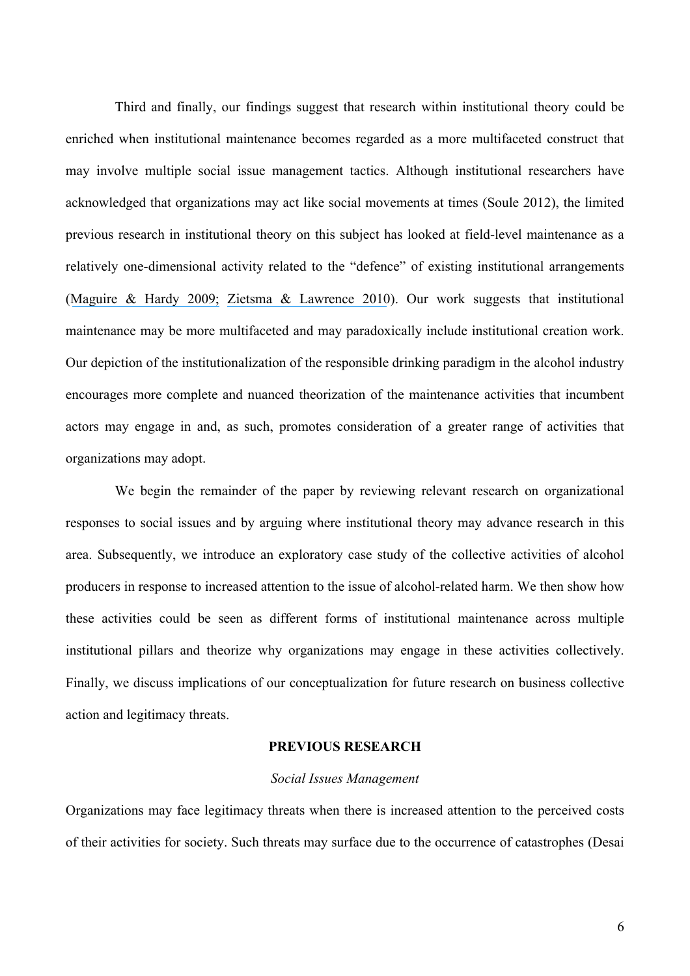Third and finally, our findings suggest that research within institutional theory could be enriched when institutional maintenance becomes regarded as a more multifaceted construct that may involve multiple social issue management tactics. Although institutional researchers have acknowledged that organizations may act like social movements at times (Soule 2012), the limited previous research in institutional theory on this subject has looked at field-level maintenance as a relatively one-dimensional activity related to the "defence" of existing institutional arrangements ([Maguire & Hardy 2009;](https://www.researchgate.net/publication/276054186_Discourse_and_Deinstitutionalization_The_Decline_of_DDT?el=1_x_8&enrichId=rgreq-98966ac44f9a416928703b9e6a6f6cb8-XXX&enrichSource=Y292ZXJQYWdlOzMwNTkwNTAwMDtBUzozOTE4NDg4MjU3Njk5ODZAMTQ3MDQzNTQ0ODc0Mg==) [Zietsma & Lawrence 2010](https://www.researchgate.net/publication/236332862_Institutional_Work_in_the_Transformation_of_an_Organizational_Field_The_Interplay_of_Boundary_Work_and_Practice_Work?el=1_x_8&enrichId=rgreq-98966ac44f9a416928703b9e6a6f6cb8-XXX&enrichSource=Y292ZXJQYWdlOzMwNTkwNTAwMDtBUzozOTE4NDg4MjU3Njk5ODZAMTQ3MDQzNTQ0ODc0Mg==)). Our work suggests that institutional maintenance may be more multifaceted and may paradoxically include institutional creation work. Our depiction of the institutionalization of the responsible drinking paradigm in the alcohol industry encourages more complete and nuanced theorization of the maintenance activities that incumbent actors may engage in and, as such, promotes consideration of a greater range of activities that organizations may adopt.

We begin the remainder of the paper by reviewing relevant research on organizational responses to social issues and by arguing where institutional theory may advance research in this area. Subsequently, we introduce an exploratory case study of the collective activities of alcohol producers in response to increased attention to the issue of alcohol-related harm. We then show how these activities could be seen as different forms of institutional maintenance across multiple institutional pillars and theorize why organizations may engage in these activities collectively. Finally, we discuss implications of our conceptualization for future research on business collective action and legitimacy threats.

# **PREVIOUS RESEARCH**

#### *Social Issues Management*

Organizations may face legitimacy threats when there is increased attention to the perceived costs of their activities for society. Such threats may surface due to the occurrence of catastrophes (Desai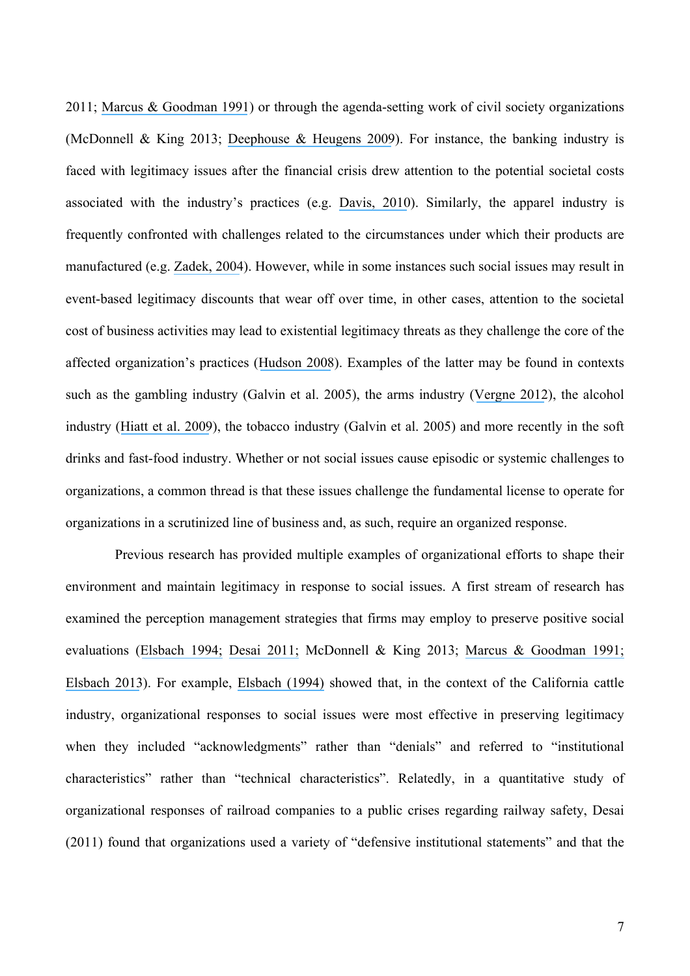2011; [Marcus & Goodman 1991](https://www.researchgate.net/publication/275697494_Victims_and_Shareholders_Dilemmas_of_Presenting_Corporate_Policy_During_a_Crisis?el=1_x_8&enrichId=rgreq-98966ac44f9a416928703b9e6a6f6cb8-XXX&enrichSource=Y292ZXJQYWdlOzMwNTkwNTAwMDtBUzozOTE4NDg4MjU3Njk5ODZAMTQ3MDQzNTQ0ODc0Mg==)) or through the agenda-setting work of civil society organizations (McDonnell & King 2013; [Deephouse & Heugens 2009](https://www.researchgate.net/publication/225661876_Linking_Social_Issues_to_Organizational_Impact_The_Role_of_Infomediaries_and_the_Infomediary_Process?el=1_x_8&enrichId=rgreq-98966ac44f9a416928703b9e6a6f6cb8-XXX&enrichSource=Y292ZXJQYWdlOzMwNTkwNTAwMDtBUzozOTE4NDg4MjU3Njk5ODZAMTQ3MDQzNTQ0ODc0Mg==)). For instance, the banking industry is faced with legitimacy issues after the financial crisis drew attention to the potential societal costs associated with the industry's practices (e.g. [Davis, 2010](https://www.researchgate.net/publication/228763446_Not_just_a_mortgage_crisis_How_finance_maimed_society?el=1_x_8&enrichId=rgreq-98966ac44f9a416928703b9e6a6f6cb8-XXX&enrichSource=Y292ZXJQYWdlOzMwNTkwNTAwMDtBUzozOTE4NDg4MjU3Njk5ODZAMTQ3MDQzNTQ0ODc0Mg==)). Similarly, the apparel industry is frequently confronted with challenges related to the circumstances under which their products are manufactured (e.g. [Zadek, 2004](https://www.researchgate.net/publication/8123623_The_Path_to_Corporate_Responsibility?el=1_x_8&enrichId=rgreq-98966ac44f9a416928703b9e6a6f6cb8-XXX&enrichSource=Y292ZXJQYWdlOzMwNTkwNTAwMDtBUzozOTE4NDg4MjU3Njk5ODZAMTQ3MDQzNTQ0ODc0Mg==)). However, while in some instances such social issues may result in event-based legitimacy discounts that wear off over time, in other cases, attention to the societal cost of business activities may lead to existential legitimacy threats as they challenge the core of the affected organization's practices ([Hudson 2008](https://www.researchgate.net/publication/274751051_Against_all_Odds_A_Consideration_of_Core-Stigmatized_Organizations?el=1_x_8&enrichId=rgreq-98966ac44f9a416928703b9e6a6f6cb8-XXX&enrichSource=Y292ZXJQYWdlOzMwNTkwNTAwMDtBUzozOTE4NDg4MjU3Njk5ODZAMTQ3MDQzNTQ0ODc0Mg==)). Examples of the latter may be found in contexts such as the gambling industry (Galvin et al. 2005), the arms industry ([Vergne 2012](https://www.researchgate.net/publication/228222044_Stigmatized_Categories_and_Public_Disapproval_of_Organizations_A_Mixed_Methods_Study_of_the_Global_Arms_Industry_1996-2007?el=1_x_8&enrichId=rgreq-98966ac44f9a416928703b9e6a6f6cb8-XXX&enrichSource=Y292ZXJQYWdlOzMwNTkwNTAwMDtBUzozOTE4NDg4MjU3Njk5ODZAMTQ3MDQzNTQ0ODc0Mg==)), the alcohol industry ([Hiatt et al. 2009](https://www.researchgate.net/publication/247870427_From_Pabst_to_Pepsi_The_Deinstitutionalization_of_Social_Practices_and_the_Creation_of_Entrepreneurial_Opportunities?el=1_x_8&enrichId=rgreq-98966ac44f9a416928703b9e6a6f6cb8-XXX&enrichSource=Y292ZXJQYWdlOzMwNTkwNTAwMDtBUzozOTE4NDg4MjU3Njk5ODZAMTQ3MDQzNTQ0ODc0Mg==)), the tobacco industry (Galvin et al. 2005) and more recently in the soft drinks and fast-food industry. Whether or not social issues cause episodic or systemic challenges to organizations, a common thread is that these issues challenge the fundamental license to operate for organizations in a scrutinized line of business and, as such, require an organized response.

Previous research has provided multiple examples of organizational efforts to shape their environment and maintain legitimacy in response to social issues. A first stream of research has examined the perception management strategies that firms may employ to preserve positive social evaluations ([Elsbach 1994;](https://www.researchgate.net/publication/242075551_Managing_Organizational_Legitimacy_in_the_California_Cattle_Industry_The_Construction_and_Effectiveness_of_Verbal_Accounts?el=1_x_8&enrichId=rgreq-98966ac44f9a416928703b9e6a6f6cb8-XXX&enrichSource=Y292ZXJQYWdlOzMwNTkwNTAwMDtBUzozOTE4NDg4MjU3Njk5ODZAMTQ3MDQzNTQ0ODc0Mg==) [Desai 2011;](https://www.researchgate.net/publication/283816406_Mass_Media_and_Massive_Failures_Determining_Organizational_Efforts_to_Defend_Field_Legitimacy_Following_Crises?el=1_x_8&enrichId=rgreq-98966ac44f9a416928703b9e6a6f6cb8-XXX&enrichSource=Y292ZXJQYWdlOzMwNTkwNTAwMDtBUzozOTE4NDg4MjU3Njk5ODZAMTQ3MDQzNTQ0ODc0Mg==) McDonnell & King 2013; [Marcus & Goodman 1991;](https://www.researchgate.net/publication/275697494_Victims_and_Shareholders_Dilemmas_of_Presenting_Corporate_Policy_During_a_Crisis?el=1_x_8&enrichId=rgreq-98966ac44f9a416928703b9e6a6f6cb8-XXX&enrichSource=Y292ZXJQYWdlOzMwNTkwNTAwMDtBUzozOTE4NDg4MjU3Njk5ODZAMTQ3MDQzNTQ0ODc0Mg==) [Elsbach 2013](https://www.researchgate.net/publication/248563854_Organizational_Perception_Management?el=1_x_8&enrichId=rgreq-98966ac44f9a416928703b9e6a6f6cb8-XXX&enrichSource=Y292ZXJQYWdlOzMwNTkwNTAwMDtBUzozOTE4NDg4MjU3Njk5ODZAMTQ3MDQzNTQ0ODc0Mg==)). For example, [Elsbach \(1994\)](https://www.researchgate.net/publication/242075551_Managing_Organizational_Legitimacy_in_the_California_Cattle_Industry_The_Construction_and_Effectiveness_of_Verbal_Accounts?el=1_x_8&enrichId=rgreq-98966ac44f9a416928703b9e6a6f6cb8-XXX&enrichSource=Y292ZXJQYWdlOzMwNTkwNTAwMDtBUzozOTE4NDg4MjU3Njk5ODZAMTQ3MDQzNTQ0ODc0Mg==) showed that, in the context of the California cattle industry, organizational responses to social issues were most effective in preserving legitimacy when they included "acknowledgments" rather than "denials" and referred to "institutional characteristics" rather than "technical characteristics". Relatedly, in a quantitative study of organizational responses of railroad companies to a public crises regarding railway safety, Desai (2011) found that organizations used a variety of "defensive institutional statements" and that the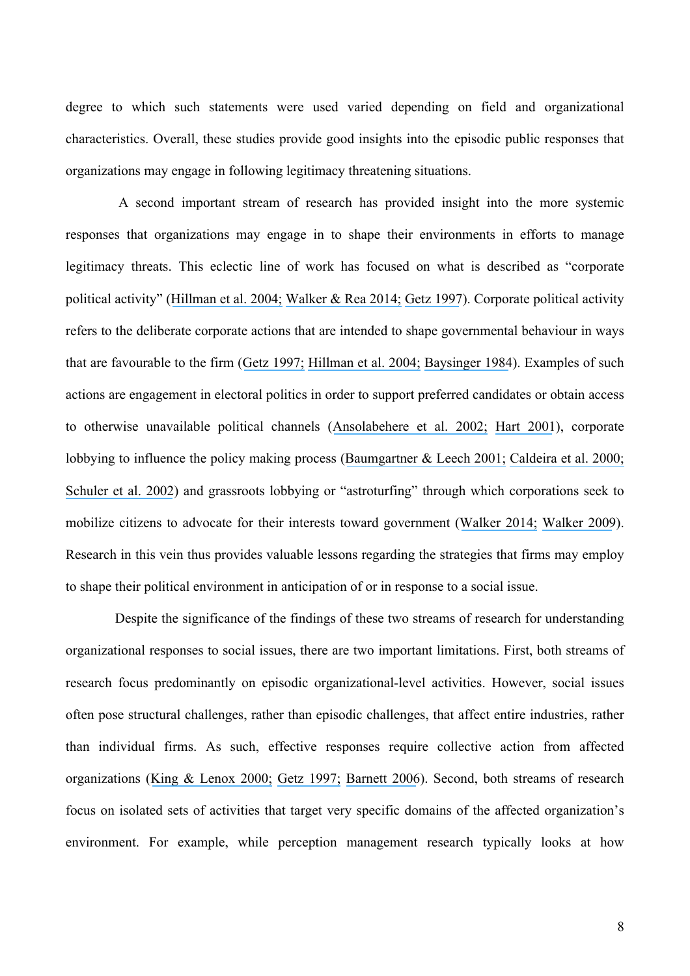degree to which such statements were used varied depending on field and organizational characteristics. Overall, these studies provide good insights into the episodic public responses that organizations may engage in following legitimacy threatening situations.

A second important stream of research has provided insight into the more systemic responses that organizations may engage in to shape their environments in efforts to manage legitimacy threats. This eclectic line of work has focused on what is described as "corporate political activity" ([Hillman et al. 2004;](https://www.researchgate.net/publication/239485073_Corporate_Political_Activity_A_Review_and_Research_Agenda?el=1_x_8&enrichId=rgreq-98966ac44f9a416928703b9e6a6f6cb8-XXX&enrichSource=Y292ZXJQYWdlOzMwNTkwNTAwMDtBUzozOTE4NDg4MjU3Njk5ODZAMTQ3MDQzNTQ0ODc0Mg==) [Walker & Rea 2014;](https://www.researchgate.net/publication/270692047_The_Political_Mobilization_of_Firms_and_Industries?el=1_x_8&enrichId=rgreq-98966ac44f9a416928703b9e6a6f6cb8-XXX&enrichSource=Y292ZXJQYWdlOzMwNTkwNTAwMDtBUzozOTE4NDg4MjU3Njk5ODZAMTQ3MDQzNTQ0ODc0Mg==) [Getz 1997](https://www.researchgate.net/publication/258126273_Research_in_Corporate_Political_Action_Integration_and_Assessment?el=1_x_8&enrichId=rgreq-98966ac44f9a416928703b9e6a6f6cb8-XXX&enrichSource=Y292ZXJQYWdlOzMwNTkwNTAwMDtBUzozOTE4NDg4MjU3Njk5ODZAMTQ3MDQzNTQ0ODc0Mg==)). Corporate political activity refers to the deliberate corporate actions that are intended to shape governmental behaviour in ways that are favourable to the firm ([Getz 1997;](https://www.researchgate.net/publication/258126273_Research_in_Corporate_Political_Action_Integration_and_Assessment?el=1_x_8&enrichId=rgreq-98966ac44f9a416928703b9e6a6f6cb8-XXX&enrichSource=Y292ZXJQYWdlOzMwNTkwNTAwMDtBUzozOTE4NDg4MjU3Njk5ODZAMTQ3MDQzNTQ0ODc0Mg==) [Hillman et al. 2004;](https://www.researchgate.net/publication/239485073_Corporate_Political_Activity_A_Review_and_Research_Agenda?el=1_x_8&enrichId=rgreq-98966ac44f9a416928703b9e6a6f6cb8-XXX&enrichSource=Y292ZXJQYWdlOzMwNTkwNTAwMDtBUzozOTE4NDg4MjU3Njk5ODZAMTQ3MDQzNTQ0ODc0Mg==) [Baysinger 1984](https://www.researchgate.net/publication/271948643_Domain_Maintenance_as_an_Objective_of_Business_Political_Activity_An_Expanded_Typology?el=1_x_8&enrichId=rgreq-98966ac44f9a416928703b9e6a6f6cb8-XXX&enrichSource=Y292ZXJQYWdlOzMwNTkwNTAwMDtBUzozOTE4NDg4MjU3Njk5ODZAMTQ3MDQzNTQ0ODc0Mg==)). Examples of such actions are engagement in electoral politics in order to support preferred candidates or obtain access to otherwise unavailable political channels ([Ansolabehere et al. 2002;](https://www.researchgate.net/publication/4985255_Are_PAC_Contributions_and_Lobbying_Linked_New_Evidence_from_the_1995_Lobby_Disclosure_Act?el=1_x_8&enrichId=rgreq-98966ac44f9a416928703b9e6a6f6cb8-XXX&enrichSource=Y292ZXJQYWdlOzMwNTkwNTAwMDtBUzozOTE4NDg4MjU3Njk5ODZAMTQ3MDQzNTQ0ODc0Mg==) [Hart 2001](https://www.researchgate.net/publication/279621250_Why_do_some_firms_give_Why_do_some_give_a_lot_High-tech_PACs_1977-1996?el=1_x_8&enrichId=rgreq-98966ac44f9a416928703b9e6a6f6cb8-XXX&enrichSource=Y292ZXJQYWdlOzMwNTkwNTAwMDtBUzozOTE4NDg4MjU3Njk5ODZAMTQ3MDQzNTQ0ODc0Mg==)), corporate lobbying to influence the policy making process ([Baumgartner & Leech 2001;](https://www.researchgate.net/publication/231890159_Interest_Niches_and_Policy_Bandwagons_Patterns_of_Interest_Group_Involvement_in_National_Politics?el=1_x_8&enrichId=rgreq-98966ac44f9a416928703b9e6a6f6cb8-XXX&enrichSource=Y292ZXJQYWdlOzMwNTkwNTAwMDtBUzozOTE4NDg4MjU3Njk5ODZAMTQ3MDQzNTQ0ODc0Mg==) [Caldeira et al. 2000;](https://www.researchgate.net/publication/231965717_The_Lobbying_Activities_of_Organized_Interests_in_Federal_Judicial_Nominations?el=1_x_8&enrichId=rgreq-98966ac44f9a416928703b9e6a6f6cb8-XXX&enrichSource=Y292ZXJQYWdlOzMwNTkwNTAwMDtBUzozOTE4NDg4MjU3Njk5ODZAMTQ3MDQzNTQ0ODc0Mg==) [Schuler et al. 2002](https://www.researchgate.net/publication/269865600_Pursuing_Strategic_Advantage_Through_Political_Means_A_Multivariate_Approach?el=1_x_8&enrichId=rgreq-98966ac44f9a416928703b9e6a6f6cb8-XXX&enrichSource=Y292ZXJQYWdlOzMwNTkwNTAwMDtBUzozOTE4NDg4MjU3Njk5ODZAMTQ3MDQzNTQ0ODc0Mg==)) and grassroots lobbying or "astroturfing" through which corporations seek to mobilize citizens to advocate for their interests toward government ([Walker 2014;](https://www.researchgate.net/publication/288435337_Grassroots_for_hire_Public_affairs_consultants_in_American_democracy?el=1_x_8&enrichId=rgreq-98966ac44f9a416928703b9e6a6f6cb8-XXX&enrichSource=Y292ZXJQYWdlOzMwNTkwNTAwMDtBUzozOTE4NDg4MjU3Njk5ODZAMTQ3MDQzNTQ0ODc0Mg==) [Walker 2009](https://www.researchgate.net/publication/254078727_Privatizing_Participation_Civic_Change_and_the_Organizational_Dynamics_of_Grassroots_Lobbying_Firms?el=1_x_8&enrichId=rgreq-98966ac44f9a416928703b9e6a6f6cb8-XXX&enrichSource=Y292ZXJQYWdlOzMwNTkwNTAwMDtBUzozOTE4NDg4MjU3Njk5ODZAMTQ3MDQzNTQ0ODc0Mg==)). Research in this vein thus provides valuable lessons regarding the strategies that firms may employ to shape their political environment in anticipation of or in response to a social issue.

Despite the significance of the findings of these two streams of research for understanding organizational responses to social issues, there are two important limitations. First, both streams of research focus predominantly on episodic organizational-level activities. However, social issues often pose structural challenges, rather than episodic challenges, that affect entire industries, rather than individual firms. As such, effective responses require collective action from affected organizations ([King & Lenox 2000;](https://www.researchgate.net/publication/2586144_Industry_Self-Regulation_Without_Sanctions_The_Chemical_Industry) [Getz 1997;](https://www.researchgate.net/publication/258126273_Research_in_Corporate_Political_Action_Integration_and_Assessment?el=1_x_8&enrichId=rgreq-98966ac44f9a416928703b9e6a6f6cb8-XXX&enrichSource=Y292ZXJQYWdlOzMwNTkwNTAwMDtBUzozOTE4NDg4MjU3Njk5ODZAMTQ3MDQzNTQ0ODc0Mg==) [Barnett 2006](https://www.researchgate.net/publication/4993066_Finding_a_Working_Balance_Between_Competitive_and_Communal_Strategies?el=1_x_8&enrichId=rgreq-98966ac44f9a416928703b9e6a6f6cb8-XXX&enrichSource=Y292ZXJQYWdlOzMwNTkwNTAwMDtBUzozOTE4NDg4MjU3Njk5ODZAMTQ3MDQzNTQ0ODc0Mg==)). Second, both streams of research focus on isolated sets of activities that target very specific domains of the affected organization's environment. For example, while perception management research typically looks at how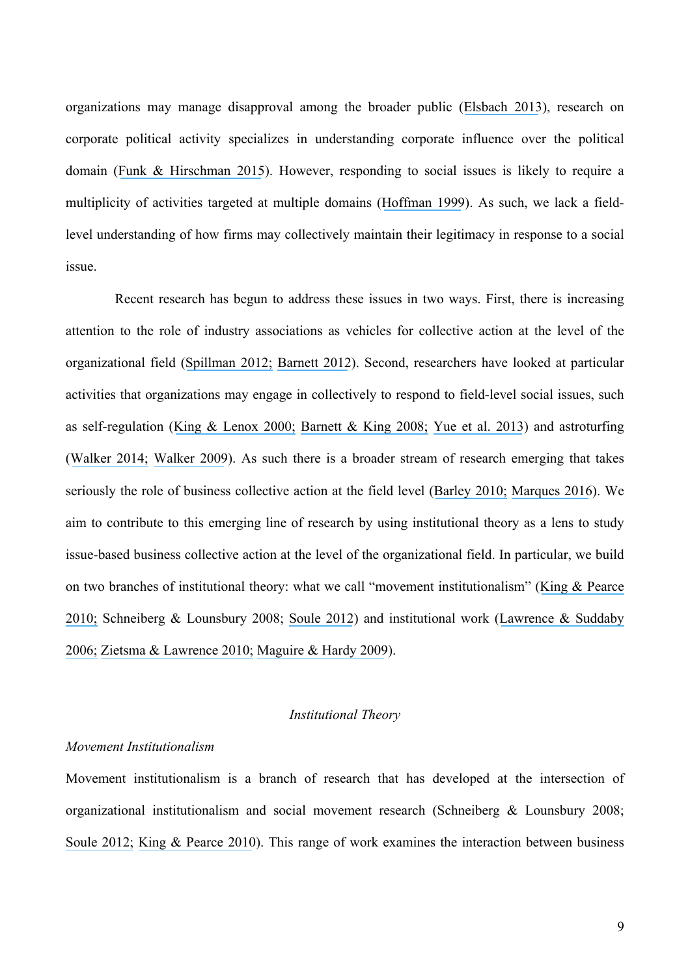organizations may manage disapproval among the broader public ([Elsbach 2013](https://www.researchgate.net/publication/248563854_Organizational_Perception_Management?el=1_x_8&enrichId=rgreq-98966ac44f9a416928703b9e6a6f6cb8-XXX&enrichSource=Y292ZXJQYWdlOzMwNTkwNTAwMDtBUzozOTE4NDg4MjU3Njk5ODZAMTQ3MDQzNTQ0ODc0Mg==)), research on corporate political activity specializes in understanding corporate influence over the political domain ([Funk & Hirschman 2015](https://www.researchgate.net/publication/281909636_Beyond_Nonmarket_Strategy_Market_Actions_as_Corporate_Political_Activity?el=1_x_8&enrichId=rgreq-98966ac44f9a416928703b9e6a6f6cb8-XXX&enrichSource=Y292ZXJQYWdlOzMwNTkwNTAwMDtBUzozOTE4NDg4MjU3Njk5ODZAMTQ3MDQzNTQ0ODc0Mg==)). However, responding to social issues is likely to require a multiplicity of activities targeted at multiple domains ([Hoffman 1999](https://www.researchgate.net/publication/265239904_Institutional_Evolution_and_Change_Environmentalism_and_the_US_Chemical_Industry?el=1_x_8&enrichId=rgreq-98966ac44f9a416928703b9e6a6f6cb8-XXX&enrichSource=Y292ZXJQYWdlOzMwNTkwNTAwMDtBUzozOTE4NDg4MjU3Njk5ODZAMTQ3MDQzNTQ0ODc0Mg==)). As such, we lack a fieldlevel understanding of how firms may collectively maintain their legitimacy in response to a social issue.

Recent research has begun to address these issues in two ways. First, there is increasing attention to the role of industry associations as vehicles for collective action at the level of the organizational field ([Spillman 2012;](https://www.researchgate.net/publication/267447197_Solidarity_in_Strategy_Making_Business_Meaningful_in_American_Trade_Associations?el=1_x_8&enrichId=rgreq-98966ac44f9a416928703b9e6a6f6cb8-XXX&enrichSource=Y292ZXJQYWdlOzMwNTkwNTAwMDtBUzozOTE4NDg4MjU3Njk5ODZAMTQ3MDQzNTQ0ODc0Mg==) [Barnett 2012](https://www.researchgate.net/publication/228268750_One_Voice_But_Whose_Voice_Exploring_What_Drives_Trade_Association_Activity?el=1_x_8&enrichId=rgreq-98966ac44f9a416928703b9e6a6f6cb8-XXX&enrichSource=Y292ZXJQYWdlOzMwNTkwNTAwMDtBUzozOTE4NDg4MjU3Njk5ODZAMTQ3MDQzNTQ0ODc0Mg==)). Second, researchers have looked at particular activities that organizations may engage in collectively to respond to field-level social issues, such as self-regulation ([King & Lenox 2000;](https://www.researchgate.net/publication/2586144_Industry_Self-Regulation_Without_Sanctions_The_Chemical_Industry) [Barnett & King 2008;](https://www.researchgate.net/publication/228133698_Good_Fences_Make_Good_Neighbors_A_Longitudinal_Analysis_of_an_Industry_Self-Regulatory_Institution?el=1_x_8&enrichId=rgreq-98966ac44f9a416928703b9e6a6f6cb8-XXX&enrichSource=Y292ZXJQYWdlOzMwNTkwNTAwMDtBUzozOTE4NDg4MjU3Njk5ODZAMTQ3MDQzNTQ0ODc0Mg==) [Yue et al. 2013](https://www.researchgate.net/publication/258126361_The_Failure_of_Private_Regulation_Elite_Control_and_Market_Crises_in_the_Manhattan_Banking_Industry?el=1_x_8&enrichId=rgreq-98966ac44f9a416928703b9e6a6f6cb8-XXX&enrichSource=Y292ZXJQYWdlOzMwNTkwNTAwMDtBUzozOTE4NDg4MjU3Njk5ODZAMTQ3MDQzNTQ0ODc0Mg==)) and astroturfing ([Walker 2014;](https://www.researchgate.net/publication/288435337_Grassroots_for_hire_Public_affairs_consultants_in_American_democracy?el=1_x_8&enrichId=rgreq-98966ac44f9a416928703b9e6a6f6cb8-XXX&enrichSource=Y292ZXJQYWdlOzMwNTkwNTAwMDtBUzozOTE4NDg4MjU3Njk5ODZAMTQ3MDQzNTQ0ODc0Mg==) [Walker 2009](https://www.researchgate.net/publication/254078727_Privatizing_Participation_Civic_Change_and_the_Organizational_Dynamics_of_Grassroots_Lobbying_Firms?el=1_x_8&enrichId=rgreq-98966ac44f9a416928703b9e6a6f6cb8-XXX&enrichSource=Y292ZXJQYWdlOzMwNTkwNTAwMDtBUzozOTE4NDg4MjU3Njk5ODZAMTQ3MDQzNTQ0ODc0Mg==)). As such there is a broader stream of research emerging that takes seriously the role of business collective action at the field level ([Barley 2010;](https://www.researchgate.net/publication/270726455_Building_an_Institutional_Field_to_Corral_a_Government_A_Case_to_Set_an_Agenda_for_Organization_Studies?el=1_x_8&enrichId=rgreq-98966ac44f9a416928703b9e6a6f6cb8-XXX&enrichSource=Y292ZXJQYWdlOzMwNTkwNTAwMDtBUzozOTE4NDg4MjU3Njk5ODZAMTQ3MDQzNTQ0ODc0Mg==) [Marques 2016](https://www.researchgate.net/publication/300372714_Industry_Business_Associations_Self-Interested_or_Socially_Conscious?el=1_x_8&enrichId=rgreq-98966ac44f9a416928703b9e6a6f6cb8-XXX&enrichSource=Y292ZXJQYWdlOzMwNTkwNTAwMDtBUzozOTE4NDg4MjU3Njk5ODZAMTQ3MDQzNTQ0ODc0Mg==)). We aim to contribute to this emerging line of research by using institutional theory as a lens to study issue-based business collective action at the level of the organizational field. In particular, we build on two branches of institutional theory: what we call "movement institutionalism" ([King & Pearce](https://www.researchgate.net/publication/228173854_The_Contentiousness_of_Markets_Politics_Social_Movements_and_Institutional_Change_in_Markets?el=1_x_8&enrichId=rgreq-98966ac44f9a416928703b9e6a6f6cb8-XXX&enrichSource=Y292ZXJQYWdlOzMwNTkwNTAwMDtBUzozOTE4NDg4MjU3Njk5ODZAMTQ3MDQzNTQ0ODc0Mg==) [2010;](https://www.researchgate.net/publication/228173854_The_Contentiousness_of_Markets_Politics_Social_Movements_and_Institutional_Change_in_Markets?el=1_x_8&enrichId=rgreq-98966ac44f9a416928703b9e6a6f6cb8-XXX&enrichSource=Y292ZXJQYWdlOzMwNTkwNTAwMDtBUzozOTE4NDg4MjU3Njk5ODZAMTQ3MDQzNTQ0ODc0Mg==) Schneiberg & Lounsbury 2008; [Soule 2012](https://www.researchgate.net/publication/274432819_Social_Movements_and_Markets_Industries_and_Firms?el=1_x_8&enrichId=rgreq-98966ac44f9a416928703b9e6a6f6cb8-XXX&enrichSource=Y292ZXJQYWdlOzMwNTkwNTAwMDtBUzozOTE4NDg4MjU3Njk5ODZAMTQ3MDQzNTQ0ODc0Mg==)) and institutional work ([Lawrence & Suddaby](https://www.researchgate.net/publication/242437344_Institutions_and_institutional_work?el=1_x_8&enrichId=rgreq-98966ac44f9a416928703b9e6a6f6cb8-XXX&enrichSource=Y292ZXJQYWdlOzMwNTkwNTAwMDtBUzozOTE4NDg4MjU3Njk5ODZAMTQ3MDQzNTQ0ODc0Mg==) [2006;](https://www.researchgate.net/publication/242437344_Institutions_and_institutional_work?el=1_x_8&enrichId=rgreq-98966ac44f9a416928703b9e6a6f6cb8-XXX&enrichSource=Y292ZXJQYWdlOzMwNTkwNTAwMDtBUzozOTE4NDg4MjU3Njk5ODZAMTQ3MDQzNTQ0ODc0Mg==) [Zietsma & Lawrence 2010;](https://www.researchgate.net/publication/236332862_Institutional_Work_in_the_Transformation_of_an_Organizational_Field_The_Interplay_of_Boundary_Work_and_Practice_Work?el=1_x_8&enrichId=rgreq-98966ac44f9a416928703b9e6a6f6cb8-XXX&enrichSource=Y292ZXJQYWdlOzMwNTkwNTAwMDtBUzozOTE4NDg4MjU3Njk5ODZAMTQ3MDQzNTQ0ODc0Mg==) [Maguire & Hardy 2009](https://www.researchgate.net/publication/276054186_Discourse_and_Deinstitutionalization_The_Decline_of_DDT?el=1_x_8&enrichId=rgreq-98966ac44f9a416928703b9e6a6f6cb8-XXX&enrichSource=Y292ZXJQYWdlOzMwNTkwNTAwMDtBUzozOTE4NDg4MjU3Njk5ODZAMTQ3MDQzNTQ0ODc0Mg==)).

## *Institutional Theory*

# *Movement Institutionalism*

Movement institutionalism is a branch of research that has developed at the intersection of organizational institutionalism and social movement research (Schneiberg & Lounsbury 2008; [Soule 2012;](https://www.researchgate.net/publication/274432819_Social_Movements_and_Markets_Industries_and_Firms?el=1_x_8&enrichId=rgreq-98966ac44f9a416928703b9e6a6f6cb8-XXX&enrichSource=Y292ZXJQYWdlOzMwNTkwNTAwMDtBUzozOTE4NDg4MjU3Njk5ODZAMTQ3MDQzNTQ0ODc0Mg==) [King & Pearce 2010](https://www.researchgate.net/publication/228173854_The_Contentiousness_of_Markets_Politics_Social_Movements_and_Institutional_Change_in_Markets?el=1_x_8&enrichId=rgreq-98966ac44f9a416928703b9e6a6f6cb8-XXX&enrichSource=Y292ZXJQYWdlOzMwNTkwNTAwMDtBUzozOTE4NDg4MjU3Njk5ODZAMTQ3MDQzNTQ0ODc0Mg==)). This range of work examines the interaction between business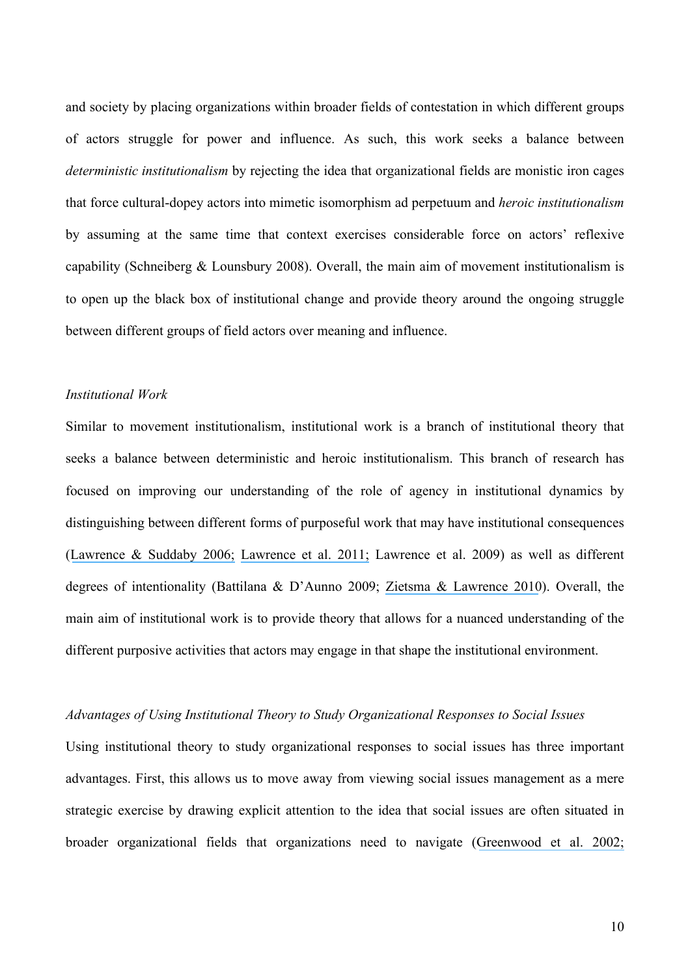and society by placing organizations within broader fields of contestation in which different groups of actors struggle for power and influence. As such, this work seeks a balance between *deterministic institutionalism* by rejecting the idea that organizational fields are monistic iron cages that force cultural-dopey actors into mimetic isomorphism ad perpetuum and *heroic institutionalism* by assuming at the same time that context exercises considerable force on actors' reflexive capability (Schneiberg & Lounsbury 2008). Overall, the main aim of movement institutionalism is to open up the black box of institutional change and provide theory around the ongoing struggle between different groups of field actors over meaning and influence.

#### *Institutional Work*

Similar to movement institutionalism, institutional work is a branch of institutional theory that seeks a balance between deterministic and heroic institutionalism. This branch of research has focused on improving our understanding of the role of agency in institutional dynamics by distinguishing between different forms of purposeful work that may have institutional consequences ([Lawrence & Suddaby 2006;](https://www.researchgate.net/publication/242437344_Institutions_and_institutional_work?el=1_x_8&enrichId=rgreq-98966ac44f9a416928703b9e6a6f6cb8-XXX&enrichSource=Y292ZXJQYWdlOzMwNTkwNTAwMDtBUzozOTE4NDg4MjU3Njk5ODZAMTQ3MDQzNTQ0ODc0Mg==) [Lawrence et al. 2011;](https://www.researchgate.net/publication/254117931_Institutional_Work_Refocusing_Institutional_Studies_of_Organization?el=1_x_8&enrichId=rgreq-98966ac44f9a416928703b9e6a6f6cb8-XXX&enrichSource=Y292ZXJQYWdlOzMwNTkwNTAwMDtBUzozOTE4NDg4MjU3Njk5ODZAMTQ3MDQzNTQ0ODc0Mg==) Lawrence et al. 2009) as well as different degrees of intentionality (Battilana & D'Aunno 2009; [Zietsma & Lawrence 2010](https://www.researchgate.net/publication/236332862_Institutional_Work_in_the_Transformation_of_an_Organizational_Field_The_Interplay_of_Boundary_Work_and_Practice_Work?el=1_x_8&enrichId=rgreq-98966ac44f9a416928703b9e6a6f6cb8-XXX&enrichSource=Y292ZXJQYWdlOzMwNTkwNTAwMDtBUzozOTE4NDg4MjU3Njk5ODZAMTQ3MDQzNTQ0ODc0Mg==)). Overall, the main aim of institutional work is to provide theory that allows for a nuanced understanding of the different purposive activities that actors may engage in that shape the institutional environment.

#### *Advantages of Using Institutional Theory to Study Organizational Responses to Social Issues*

Using institutional theory to study organizational responses to social issues has three important advantages. First, this allows us to move away from viewing social issues management as a mere strategic exercise by drawing explicit attention to the idea that social issues are often situated in broader organizational fields that organizations need to navigate ([Greenwood et al. 2002;](https://www.researchgate.net/publication/256843724_Theorizing_change_The_role_of_professional_associations_in_the_transformation_of_institutionalized_fields?el=1_x_8&enrichId=rgreq-98966ac44f9a416928703b9e6a6f6cb8-XXX&enrichSource=Y292ZXJQYWdlOzMwNTkwNTAwMDtBUzozOTE4NDg4MjU3Njk5ODZAMTQ3MDQzNTQ0ODc0Mg==)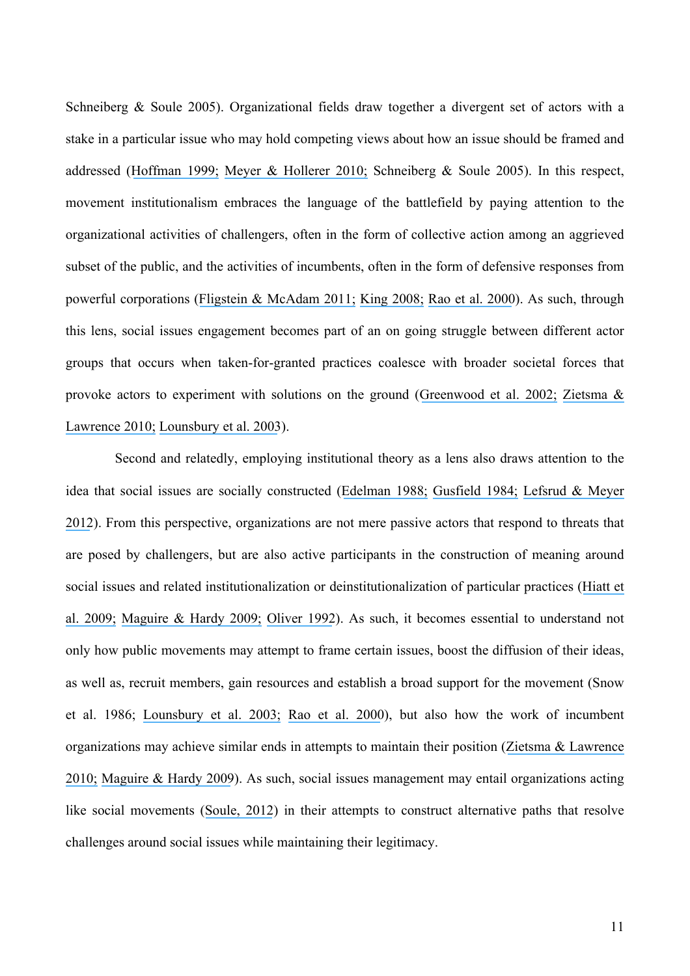Schneiberg & Soule 2005). Organizational fields draw together a divergent set of actors with a stake in a particular issue who may hold competing views about how an issue should be framed and addressed ([Hoffman 1999;](https://www.researchgate.net/publication/265239904_Institutional_Evolution_and_Change_Environmentalism_and_the_US_Chemical_Industry?el=1_x_8&enrichId=rgreq-98966ac44f9a416928703b9e6a6f6cb8-XXX&enrichSource=Y292ZXJQYWdlOzMwNTkwNTAwMDtBUzozOTE4NDg4MjU3Njk5ODZAMTQ3MDQzNTQ0ODc0Mg==) [Meyer & Hollerer 2010;](https://www.researchgate.net/publication/280298236_Meaning_structures_in_a_contested_issue_field_A_topographic_map_of_shareholder_value_in_Austria?el=1_x_8&enrichId=rgreq-98966ac44f9a416928703b9e6a6f6cb8-XXX&enrichSource=Y292ZXJQYWdlOzMwNTkwNTAwMDtBUzozOTE4NDg4MjU3Njk5ODZAMTQ3MDQzNTQ0ODc0Mg==) Schneiberg & Soule 2005). In this respect, movement institutionalism embraces the language of the battlefield by paying attention to the organizational activities of challengers, often in the form of collective action among an aggrieved subset of the public, and the activities of incumbents, often in the form of defensive responses from powerful corporations ([Fligstein & McAdam 2011;](https://www.researchgate.net/publication/46438381_Toward_a_General_Theory_of_Strategic_Action_Fields?el=1_x_8&enrichId=rgreq-98966ac44f9a416928703b9e6a6f6cb8-XXX&enrichSource=Y292ZXJQYWdlOzMwNTkwNTAwMDtBUzozOTE4NDg4MjU3Njk5ODZAMTQ3MDQzNTQ0ODc0Mg==) [King 2008;](https://www.researchgate.net/publication/274412302_A_Political_Mediation_Model_of_Corporate_Response_to_Social_Movement_Activism?el=1_x_8&enrichId=rgreq-98966ac44f9a416928703b9e6a6f6cb8-XXX&enrichSource=Y292ZXJQYWdlOzMwNTkwNTAwMDtBUzozOTE4NDg4MjU3Njk5ODZAMTQ3MDQzNTQ0ODc0Mg==) [Rao et al. 2000](https://www.researchgate.net/publication/238083370_Power_Plays_How_Social_Movements_and_Collective_Action_Create_New_Organizational_Forms?el=1_x_8&enrichId=rgreq-98966ac44f9a416928703b9e6a6f6cb8-XXX&enrichSource=Y292ZXJQYWdlOzMwNTkwNTAwMDtBUzozOTE4NDg4MjU3Njk5ODZAMTQ3MDQzNTQ0ODc0Mg==)). As such, through this lens, social issues engagement becomes part of an on going struggle between different actor groups that occurs when taken-for-granted practices coalesce with broader societal forces that provoke actors to experiment with solutions on the ground ([Greenwood et al. 2002;](https://www.researchgate.net/publication/256843724_Theorizing_change_The_role_of_professional_associations_in_the_transformation_of_institutionalized_fields?el=1_x_8&enrichId=rgreq-98966ac44f9a416928703b9e6a6f6cb8-XXX&enrichSource=Y292ZXJQYWdlOzMwNTkwNTAwMDtBUzozOTE4NDg4MjU3Njk5ODZAMTQ3MDQzNTQ0ODc0Mg==) [Zietsma &](https://www.researchgate.net/publication/236332862_Institutional_Work_in_the_Transformation_of_an_Organizational_Field_The_Interplay_of_Boundary_Work_and_Practice_Work?el=1_x_8&enrichId=rgreq-98966ac44f9a416928703b9e6a6f6cb8-XXX&enrichSource=Y292ZXJQYWdlOzMwNTkwNTAwMDtBUzozOTE4NDg4MjU3Njk5ODZAMTQ3MDQzNTQ0ODc0Mg==) [Lawrence 2010;](https://www.researchgate.net/publication/236332862_Institutional_Work_in_the_Transformation_of_an_Organizational_Field_The_Interplay_of_Boundary_Work_and_Practice_Work?el=1_x_8&enrichId=rgreq-98966ac44f9a416928703b9e6a6f6cb8-XXX&enrichSource=Y292ZXJQYWdlOzMwNTkwNTAwMDtBUzozOTE4NDg4MjU3Njk5ODZAMTQ3MDQzNTQ0ODc0Mg==) [Lounsbury et al. 2003](https://www.researchgate.net/publication/44072905_Social_Movements_Field_Frames_and_Industry_Emergence_A_Cultural-Political_Perspective_on_US_Recycling?el=1_x_8&enrichId=rgreq-98966ac44f9a416928703b9e6a6f6cb8-XXX&enrichSource=Y292ZXJQYWdlOzMwNTkwNTAwMDtBUzozOTE4NDg4MjU3Njk5ODZAMTQ3MDQzNTQ0ODc0Mg==)).

Second and relatedly, employing institutional theory as a lens also draws attention to the idea that social issues are socially constructed ([Edelman 1988;](https://www.researchgate.net/publication/37689762_Constructing_the_Political_Spectacle?el=1_x_8&enrichId=rgreq-98966ac44f9a416928703b9e6a6f6cb8-XXX&enrichSource=Y292ZXJQYWdlOzMwNTkwNTAwMDtBUzozOTE4NDg4MjU3Njk5ODZAMTQ3MDQzNTQ0ODc0Mg==) [Gusfield 1984;](https://www.researchgate.net/publication/37687629_The_Culture_of_Public_Problems_Drinking-Driving_and_the_Symbolic_Order?el=1_x_8&enrichId=rgreq-98966ac44f9a416928703b9e6a6f6cb8-XXX&enrichSource=Y292ZXJQYWdlOzMwNTkwNTAwMDtBUzozOTE4NDg4MjU3Njk5ODZAMTQ3MDQzNTQ0ODc0Mg==) [Lefsrud & Meyer](https://www.researchgate.net/publication/274412197_Science_or_Science_Fiction_Professionals) [2012](https://www.researchgate.net/publication/274412197_Science_or_Science_Fiction_Professionals)). From this perspective, organizations are not mere passive actors that respond to threats that are posed by challengers, but are also active participants in the construction of meaning around social issues and related institutionalization or deinstitutionalization of particular practices ([Hiatt et](https://www.researchgate.net/publication/247870427_From_Pabst_to_Pepsi_The_Deinstitutionalization_of_Social_Practices_and_the_Creation_of_Entrepreneurial_Opportunities?el=1_x_8&enrichId=rgreq-98966ac44f9a416928703b9e6a6f6cb8-XXX&enrichSource=Y292ZXJQYWdlOzMwNTkwNTAwMDtBUzozOTE4NDg4MjU3Njk5ODZAMTQ3MDQzNTQ0ODc0Mg==) [al. 2009;](https://www.researchgate.net/publication/247870427_From_Pabst_to_Pepsi_The_Deinstitutionalization_of_Social_Practices_and_the_Creation_of_Entrepreneurial_Opportunities?el=1_x_8&enrichId=rgreq-98966ac44f9a416928703b9e6a6f6cb8-XXX&enrichSource=Y292ZXJQYWdlOzMwNTkwNTAwMDtBUzozOTE4NDg4MjU3Njk5ODZAMTQ3MDQzNTQ0ODc0Mg==) [Maguire & Hardy 2009;](https://www.researchgate.net/publication/276054186_Discourse_and_Deinstitutionalization_The_Decline_of_DDT?el=1_x_8&enrichId=rgreq-98966ac44f9a416928703b9e6a6f6cb8-XXX&enrichSource=Y292ZXJQYWdlOzMwNTkwNTAwMDtBUzozOTE4NDg4MjU3Njk5ODZAMTQ3MDQzNTQ0ODc0Mg==) [Oliver 1992](https://www.researchgate.net/publication/247762405_The_Antecedents_of_Deinstitutionalization?el=1_x_8&enrichId=rgreq-98966ac44f9a416928703b9e6a6f6cb8-XXX&enrichSource=Y292ZXJQYWdlOzMwNTkwNTAwMDtBUzozOTE4NDg4MjU3Njk5ODZAMTQ3MDQzNTQ0ODc0Mg==)). As such, it becomes essential to understand not only how public movements may attempt to frame certain issues, boost the diffusion of their ideas, as well as, recruit members, gain resources and establish a broad support for the movement (Snow et al. 1986; [Lounsbury et al. 2003;](https://www.researchgate.net/publication/44072905_Social_Movements_Field_Frames_and_Industry_Emergence_A_Cultural-Political_Perspective_on_US_Recycling?el=1_x_8&enrichId=rgreq-98966ac44f9a416928703b9e6a6f6cb8-XXX&enrichSource=Y292ZXJQYWdlOzMwNTkwNTAwMDtBUzozOTE4NDg4MjU3Njk5ODZAMTQ3MDQzNTQ0ODc0Mg==) [Rao et al. 2000](https://www.researchgate.net/publication/238083370_Power_Plays_How_Social_Movements_and_Collective_Action_Create_New_Organizational_Forms?el=1_x_8&enrichId=rgreq-98966ac44f9a416928703b9e6a6f6cb8-XXX&enrichSource=Y292ZXJQYWdlOzMwNTkwNTAwMDtBUzozOTE4NDg4MjU3Njk5ODZAMTQ3MDQzNTQ0ODc0Mg==)), but also how the work of incumbent organizations may achieve similar ends in attempts to maintain their position ([Zietsma & Lawrence](https://www.researchgate.net/publication/236332862_Institutional_Work_in_the_Transformation_of_an_Organizational_Field_The_Interplay_of_Boundary_Work_and_Practice_Work?el=1_x_8&enrichId=rgreq-98966ac44f9a416928703b9e6a6f6cb8-XXX&enrichSource=Y292ZXJQYWdlOzMwNTkwNTAwMDtBUzozOTE4NDg4MjU3Njk5ODZAMTQ3MDQzNTQ0ODc0Mg==) [2010;](https://www.researchgate.net/publication/236332862_Institutional_Work_in_the_Transformation_of_an_Organizational_Field_The_Interplay_of_Boundary_Work_and_Practice_Work?el=1_x_8&enrichId=rgreq-98966ac44f9a416928703b9e6a6f6cb8-XXX&enrichSource=Y292ZXJQYWdlOzMwNTkwNTAwMDtBUzozOTE4NDg4MjU3Njk5ODZAMTQ3MDQzNTQ0ODc0Mg==) [Maguire & Hardy 2009](https://www.researchgate.net/publication/276054186_Discourse_and_Deinstitutionalization_The_Decline_of_DDT?el=1_x_8&enrichId=rgreq-98966ac44f9a416928703b9e6a6f6cb8-XXX&enrichSource=Y292ZXJQYWdlOzMwNTkwNTAwMDtBUzozOTE4NDg4MjU3Njk5ODZAMTQ3MDQzNTQ0ODc0Mg==)). As such, social issues management may entail organizations acting like social movements ([Soule, 2012](https://www.researchgate.net/publication/274432819_Social_Movements_and_Markets_Industries_and_Firms?el=1_x_8&enrichId=rgreq-98966ac44f9a416928703b9e6a6f6cb8-XXX&enrichSource=Y292ZXJQYWdlOzMwNTkwNTAwMDtBUzozOTE4NDg4MjU3Njk5ODZAMTQ3MDQzNTQ0ODc0Mg==)) in their attempts to construct alternative paths that resolve challenges around social issues while maintaining their legitimacy.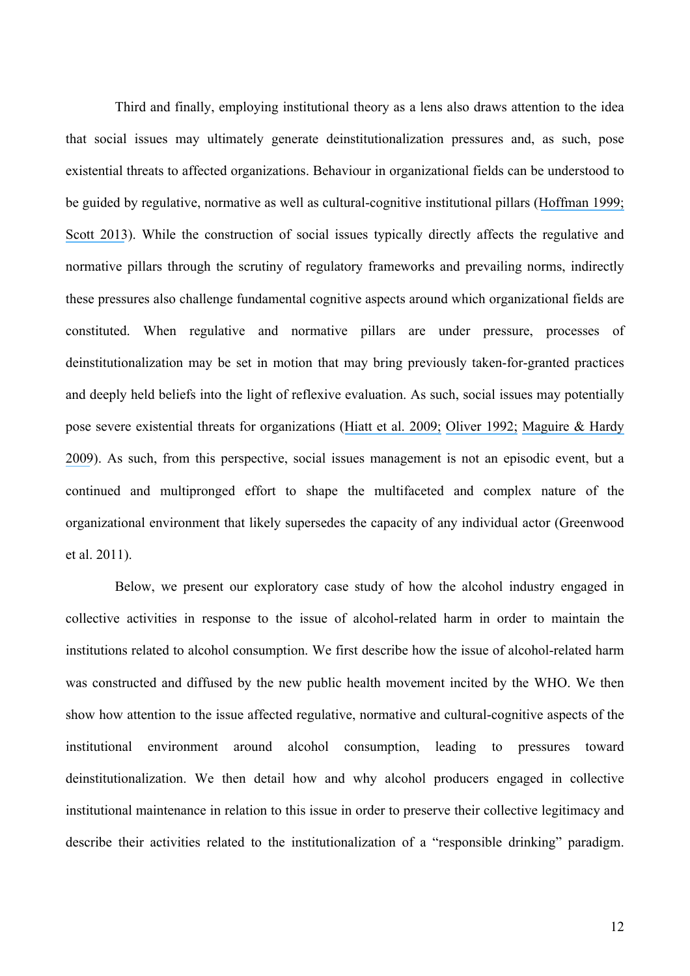Third and finally, employing institutional theory as a lens also draws attention to the idea that social issues may ultimately generate deinstitutionalization pressures and, as such, pose existential threats to affected organizations. Behaviour in organizational fields can be understood to be guided by regulative, normative as well as cultural-cognitive institutional pillars ([Hoffman 1999;](https://www.researchgate.net/publication/265239904_Institutional_Evolution_and_Change_Environmentalism_and_the_US_Chemical_Industry?el=1_x_8&enrichId=rgreq-98966ac44f9a416928703b9e6a6f6cb8-XXX&enrichSource=Y292ZXJQYWdlOzMwNTkwNTAwMDtBUzozOTE4NDg4MjU3Njk5ODZAMTQ3MDQzNTQ0ODc0Mg==) [Scott 2013](https://www.researchgate.net/publication/281019875_W_Richard_SCOTT_1995_Institutions_and_Organizations_Ideas_Interests_and_Identities?el=1_x_8&enrichId=rgreq-98966ac44f9a416928703b9e6a6f6cb8-XXX&enrichSource=Y292ZXJQYWdlOzMwNTkwNTAwMDtBUzozOTE4NDg4MjU3Njk5ODZAMTQ3MDQzNTQ0ODc0Mg==)). While the construction of social issues typically directly affects the regulative and normative pillars through the scrutiny of regulatory frameworks and prevailing norms, indirectly these pressures also challenge fundamental cognitive aspects around which organizational fields are constituted. When regulative and normative pillars are under pressure, processes of deinstitutionalization may be set in motion that may bring previously taken-for-granted practices and deeply held beliefs into the light of reflexive evaluation. As such, social issues may potentially pose severe existential threats for organizations ([Hiatt et al. 2009;](https://www.researchgate.net/publication/247870427_From_Pabst_to_Pepsi_The_Deinstitutionalization_of_Social_Practices_and_the_Creation_of_Entrepreneurial_Opportunities?el=1_x_8&enrichId=rgreq-98966ac44f9a416928703b9e6a6f6cb8-XXX&enrichSource=Y292ZXJQYWdlOzMwNTkwNTAwMDtBUzozOTE4NDg4MjU3Njk5ODZAMTQ3MDQzNTQ0ODc0Mg==) [Oliver 1992;](https://www.researchgate.net/publication/247762405_The_Antecedents_of_Deinstitutionalization?el=1_x_8&enrichId=rgreq-98966ac44f9a416928703b9e6a6f6cb8-XXX&enrichSource=Y292ZXJQYWdlOzMwNTkwNTAwMDtBUzozOTE4NDg4MjU3Njk5ODZAMTQ3MDQzNTQ0ODc0Mg==) [Maguire & Hardy](https://www.researchgate.net/publication/276054186_Discourse_and_Deinstitutionalization_The_Decline_of_DDT?el=1_x_8&enrichId=rgreq-98966ac44f9a416928703b9e6a6f6cb8-XXX&enrichSource=Y292ZXJQYWdlOzMwNTkwNTAwMDtBUzozOTE4NDg4MjU3Njk5ODZAMTQ3MDQzNTQ0ODc0Mg==) [2009](https://www.researchgate.net/publication/276054186_Discourse_and_Deinstitutionalization_The_Decline_of_DDT?el=1_x_8&enrichId=rgreq-98966ac44f9a416928703b9e6a6f6cb8-XXX&enrichSource=Y292ZXJQYWdlOzMwNTkwNTAwMDtBUzozOTE4NDg4MjU3Njk5ODZAMTQ3MDQzNTQ0ODc0Mg==)). As such, from this perspective, social issues management is not an episodic event, but a continued and multipronged effort to shape the multifaceted and complex nature of the organizational environment that likely supersedes the capacity of any individual actor (Greenwood et al. 2011).

Below, we present our exploratory case study of how the alcohol industry engaged in collective activities in response to the issue of alcohol-related harm in order to maintain the institutions related to alcohol consumption. We first describe how the issue of alcohol-related harm was constructed and diffused by the new public health movement incited by the WHO. We then show how attention to the issue affected regulative, normative and cultural-cognitive aspects of the institutional environment around alcohol consumption, leading to pressures toward deinstitutionalization. We then detail how and why alcohol producers engaged in collective institutional maintenance in relation to this issue in order to preserve their collective legitimacy and describe their activities related to the institutionalization of a "responsible drinking" paradigm.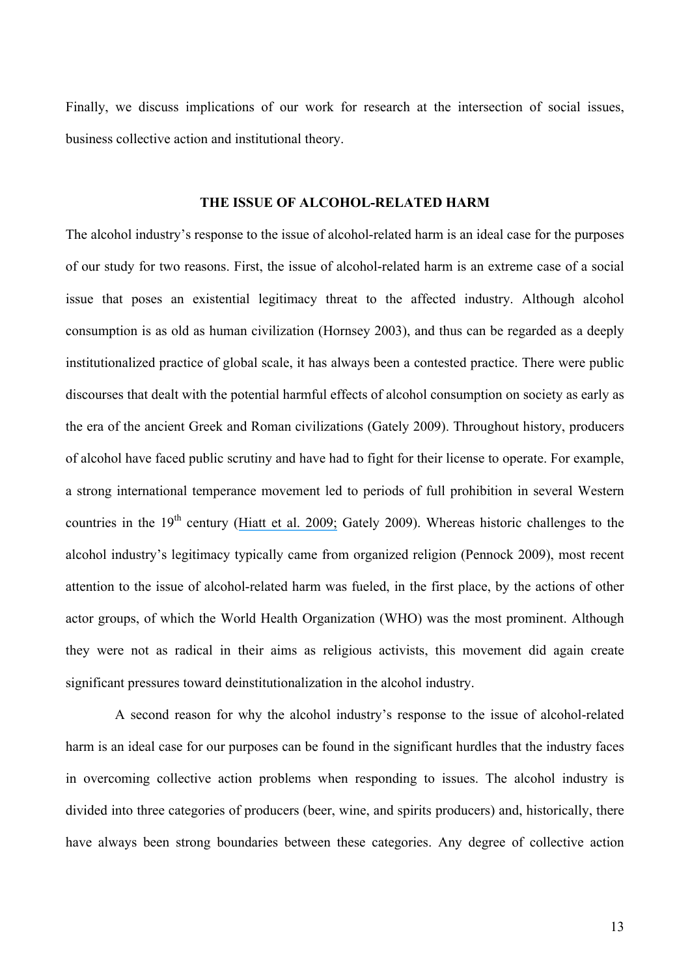Finally, we discuss implications of our work for research at the intersection of social issues, business collective action and institutional theory.

#### **THE ISSUE OF ALCOHOL-RELATED HARM**

The alcohol industry's response to the issue of alcohol-related harm is an ideal case for the purposes of our study for two reasons. First, the issue of alcohol-related harm is an extreme case of a social issue that poses an existential legitimacy threat to the affected industry. Although alcohol consumption is as old as human civilization (Hornsey 2003), and thus can be regarded as a deeply institutionalized practice of global scale, it has always been a contested practice. There were public discourses that dealt with the potential harmful effects of alcohol consumption on society as early as the era of the ancient Greek and Roman civilizations (Gately 2009). Throughout history, producers of alcohol have faced public scrutiny and have had to fight for their license to operate. For example, a strong international temperance movement led to periods of full prohibition in several Western countries in the 19<sup>th</sup> century ([Hiatt et al. 2009;](https://www.researchgate.net/publication/247870427_From_Pabst_to_Pepsi_The_Deinstitutionalization_of_Social_Practices_and_the_Creation_of_Entrepreneurial_Opportunities?el=1_x_8&enrichId=rgreq-98966ac44f9a416928703b9e6a6f6cb8-XXX&enrichSource=Y292ZXJQYWdlOzMwNTkwNTAwMDtBUzozOTE4NDg4MjU3Njk5ODZAMTQ3MDQzNTQ0ODc0Mg==) Gately 2009). Whereas historic challenges to the alcohol industry's legitimacy typically came from organized religion (Pennock 2009), most recent attention to the issue of alcohol-related harm was fueled, in the first place, by the actions of other actor groups, of which the World Health Organization (WHO) was the most prominent. Although they were not as radical in their aims as religious activists, this movement did again create significant pressures toward deinstitutionalization in the alcohol industry.

A second reason for why the alcohol industry's response to the issue of alcohol-related harm is an ideal case for our purposes can be found in the significant hurdles that the industry faces in overcoming collective action problems when responding to issues. The alcohol industry is divided into three categories of producers (beer, wine, and spirits producers) and, historically, there have always been strong boundaries between these categories. Any degree of collective action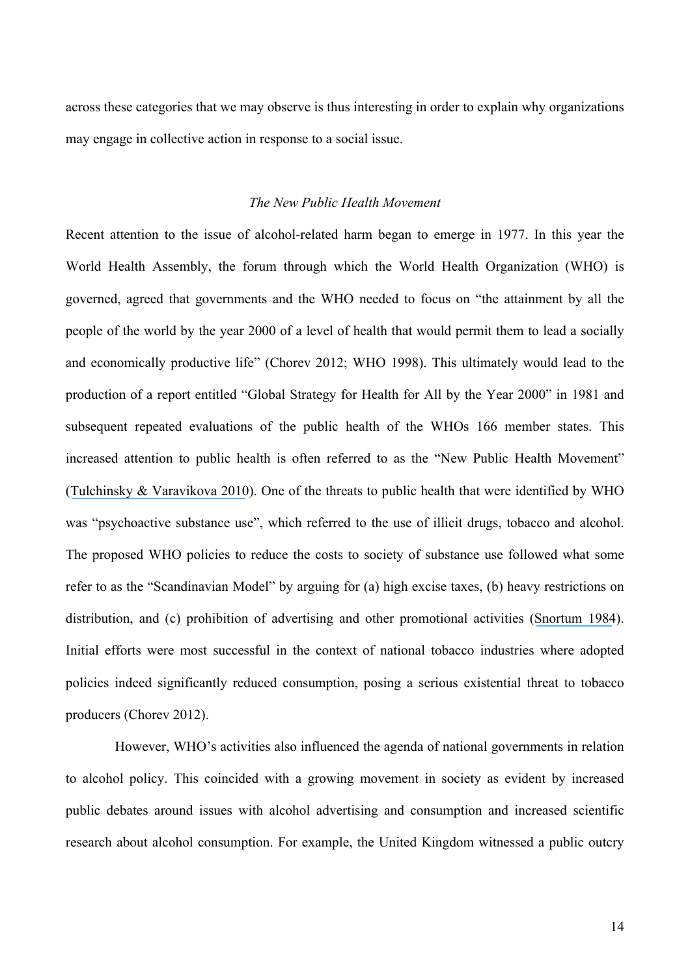across these categories that we may observe is thus interesting in order to explain why organizations may engage in collective action in response to a social issue.

#### *The New Public Health Movement*

Recent attention to the issue of alcohol-related harm began to emerge in 1977. In this year the World Health Assembly, the forum through which the World Health Organization (WHO) is governed, agreed that governments and the WHO needed to focus on "the attainment by all the people of the world by the year 2000 of a level of health that would permit them to lead a socially and economically productive life" (Chorev 2012; WHO 1998). This ultimately would lead to the production of a report entitled "Global Strategy for Health for All by the Year 2000" in 1981 and subsequent repeated evaluations of the public health of the WHOs 166 member states. This increased attention to public health is often referred to as the "New Public Health Movement" ([Tulchinsky & Varavikova 2010](https://www.researchgate.net/publication/45432989_What_is_the_New_Public_Health?el=1_x_8&enrichId=rgreq-98966ac44f9a416928703b9e6a6f6cb8-XXX&enrichSource=Y292ZXJQYWdlOzMwNTkwNTAwMDtBUzozOTE4NDg4MjU3Njk5ODZAMTQ3MDQzNTQ0ODc0Mg==)). One of the threats to public health that were identified by WHO was "psychoactive substance use", which referred to the use of illicit drugs, tobacco and alcohol. The proposed WHO policies to reduce the costs to society of substance use followed what some refer to as the "Scandinavian Model" by arguing for (a) high excise taxes, (b) heavy restrictions on distribution, and (c) prohibition of advertising and other promotional activities ([Snortum 1984](https://www.researchgate.net/publication/227883978_Alcohol-Impaired_Driving_in_Norway_and_Sweden_Another_Look_at_The_Scandinavian_Myth?el=1_x_8&enrichId=rgreq-98966ac44f9a416928703b9e6a6f6cb8-XXX&enrichSource=Y292ZXJQYWdlOzMwNTkwNTAwMDtBUzozOTE4NDg4MjU3Njk5ODZAMTQ3MDQzNTQ0ODc0Mg==)). Initial efforts were most successful in the context of national tobacco industries where adopted policies indeed significantly reduced consumption, posing a serious existential threat to tobacco producers (Chorev 2012).

However, WHO's activities also influenced the agenda of national governments in relation to alcohol policy. This coincided with a growing movement in society as evident by increased public debates around issues with alcohol advertising and consumption and increased scientific research about alcohol consumption. For example, the United Kingdom witnessed a public outcry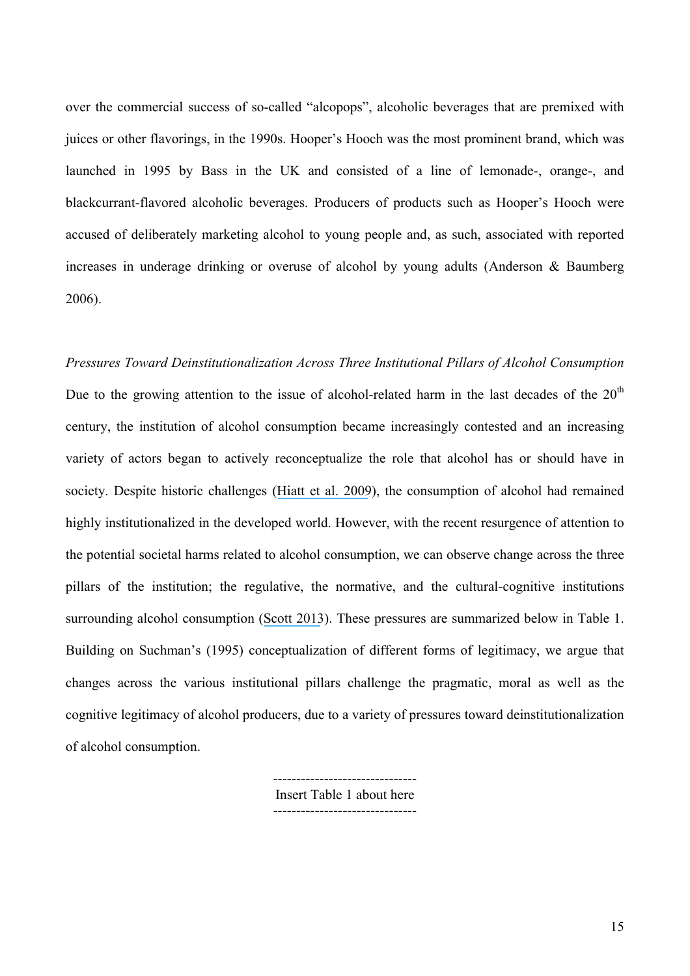over the commercial success of so-called "alcopops", alcoholic beverages that are premixed with juices or other flavorings, in the 1990s. Hooper's Hooch was the most prominent brand, which was launched in 1995 by Bass in the UK and consisted of a line of lemonade-, orange-, and blackcurrant-flavored alcoholic beverages. Producers of products such as Hooper's Hooch were accused of deliberately marketing alcohol to young people and, as such, associated with reported increases in underage drinking or overuse of alcohol by young adults (Anderson & Baumberg 2006).

*Pressures Toward Deinstitutionalization Across Three Institutional Pillars of Alcohol Consumption* Due to the growing attention to the issue of alcohol-related harm in the last decades of the  $20<sup>th</sup>$ century, the institution of alcohol consumption became increasingly contested and an increasing variety of actors began to actively reconceptualize the role that alcohol has or should have in society. Despite historic challenges ([Hiatt et](https://www.researchgate.net/publication/247870427_From_Pabst_to_Pepsi_The_Deinstitutionalization_of_Social_Practices_and_the_Creation_of_Entrepreneurial_Opportunities?el=1_x_8&enrichId=rgreq-98966ac44f9a416928703b9e6a6f6cb8-XXX&enrichSource=Y292ZXJQYWdlOzMwNTkwNTAwMDtBUzozOTE4NDg4MjU3Njk5ODZAMTQ3MDQzNTQ0ODc0Mg==) al. 2009), the consumption of alcohol had remained highly institutionalized in the developed world. However, with the recent resurgence of attention to the potential societal harms related to alcohol consumption, we can observe change across the three pillars of the institution; the regulative, the normative, and the cultural-cognitive institutions surrounding alcohol consumption ([Scott 2013](https://www.researchgate.net/publication/281019875_W_Richard_SCOTT_1995_Institutions_and_Organizations_Ideas_Interests_and_Identities?el=1_x_8&enrichId=rgreq-98966ac44f9a416928703b9e6a6f6cb8-XXX&enrichSource=Y292ZXJQYWdlOzMwNTkwNTAwMDtBUzozOTE4NDg4MjU3Njk5ODZAMTQ3MDQzNTQ0ODc0Mg==)). These pressures are summarized below in Table 1. Building on Suchman's (1995) conceptualization of different forms of legitimacy, we argue that changes across the various institutional pillars challenge the pragmatic, moral as well as the cognitive legitimacy of alcohol producers, due to a variety of pressures toward deinstitutionalization of alcohol consumption.

> ------------------------------- Insert Table 1 about here -------------------------------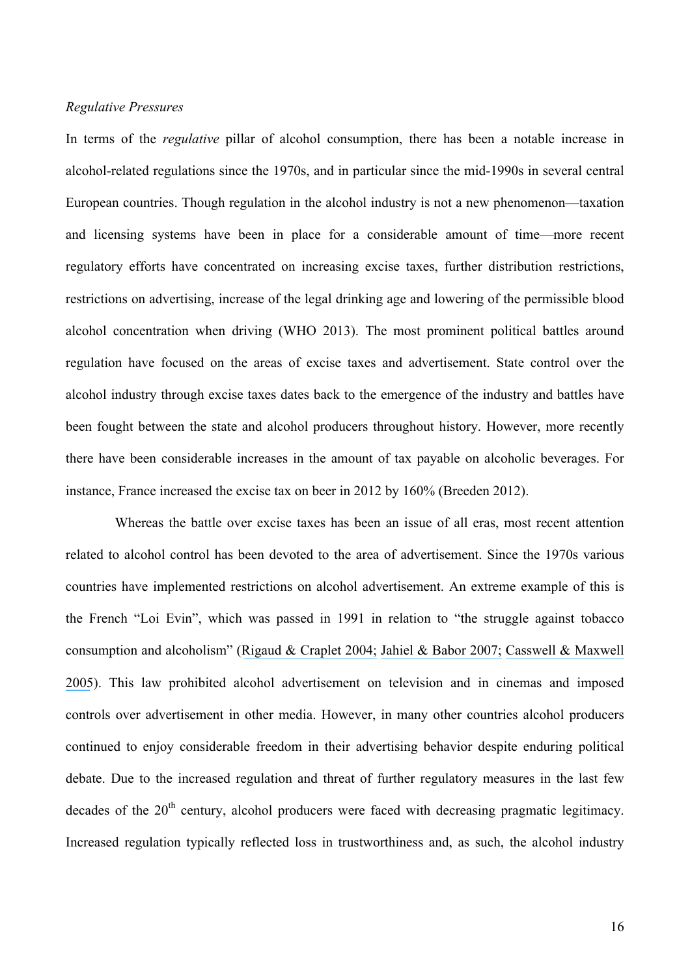#### *Regulative Pressures*

In terms of the *regulative* pillar of alcohol consumption, there has been a notable increase in alcohol-related regulations since the 1970s, and in particular since the mid-1990s in several central European countries. Though regulation in the alcohol industry is not a new phenomenon—taxation and licensing systems have been in place for a considerable amount of time—more recent regulatory efforts have concentrated on increasing excise taxes, further distribution restrictions, restrictions on advertising, increase of the legal drinking age and lowering of the permissible blood alcohol concentration when driving (WHO 2013). The most prominent political battles around regulation have focused on the areas of excise taxes and advertisement. State control over the alcohol industry through excise taxes dates back to the emergence of the industry and battles have been fought between the state and alcohol producers throughout history. However, more recently there have been considerable increases in the amount of tax payable on alcoholic beverages. For instance, France increased the excise tax on beer in 2012 by 160% (Breeden 2012).

Whereas the battle over excise taxes has been an issue of all eras, most recent attention related to alcohol control has been devoted to the area of advertisement. Since the 1970s various countries have implemented restrictions on alcohol advertisement. An extreme example of this is the French "Loi Evin", which was passed in 1991 in relation to "the struggle against tobacco consumption and alcoholism" ([Rigaud & Craplet 2004;](https://www.researchgate.net/publication/265007721_The_) [Jahiel & Babor 2007;](https://www.researchgate.net/publication/6142865_Industrial_epidemics_public_health_advocacy_and_the_alcohol_industry_Lessons_from_other_fields?el=1_x_8&enrichId=rgreq-98966ac44f9a416928703b9e6a6f6cb8-XXX&enrichSource=Y292ZXJQYWdlOzMwNTkwNTAwMDtBUzozOTE4NDg4MjU3Njk5ODZAMTQ3MDQzNTQ0ODc0Mg==) [Casswell & Maxwell](https://www.researchgate.net/publication/7595307_Regulation_of_Alcohol_Marketing_A_Global_View?el=1_x_8&enrichId=rgreq-98966ac44f9a416928703b9e6a6f6cb8-XXX&enrichSource=Y292ZXJQYWdlOzMwNTkwNTAwMDtBUzozOTE4NDg4MjU3Njk5ODZAMTQ3MDQzNTQ0ODc0Mg==) [2005](https://www.researchgate.net/publication/7595307_Regulation_of_Alcohol_Marketing_A_Global_View?el=1_x_8&enrichId=rgreq-98966ac44f9a416928703b9e6a6f6cb8-XXX&enrichSource=Y292ZXJQYWdlOzMwNTkwNTAwMDtBUzozOTE4NDg4MjU3Njk5ODZAMTQ3MDQzNTQ0ODc0Mg==)). This law prohibited alcohol advertisement on television and in cinemas and imposed controls over advertisement in other media. However, in many other countries alcohol producers continued to enjoy considerable freedom in their advertising behavior despite enduring political debate. Due to the increased regulation and threat of further regulatory measures in the last few decades of the 20<sup>th</sup> century, alcohol producers were faced with decreasing pragmatic legitimacy. Increased regulation typically reflected loss in trustworthiness and, as such, the alcohol industry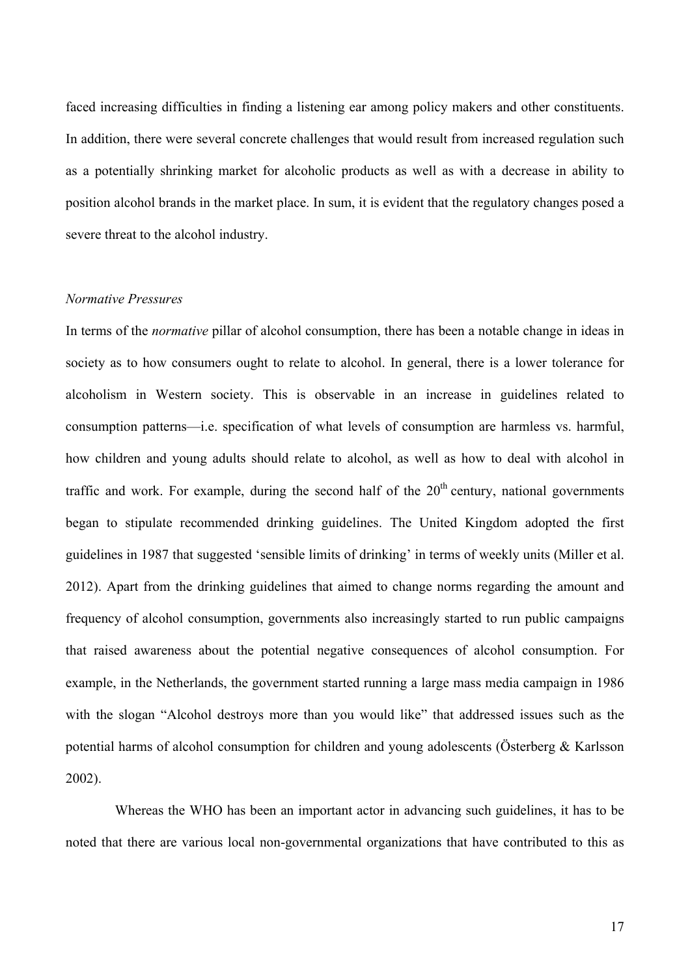faced increasing difficulties in finding a listening ear among policy makers and other constituents. In addition, there were several concrete challenges that would result from increased regulation such as a potentially shrinking market for alcoholic products as well as with a decrease in ability to position alcohol brands in the market place. In sum, it is evident that the regulatory changes posed a severe threat to the alcohol industry.

# *Normative Pressures*

In terms of the *normative* pillar of alcohol consumption, there has been a notable change in ideas in society as to how consumers ought to relate to alcohol. In general, there is a lower tolerance for alcoholism in Western society. This is observable in an increase in guidelines related to consumption patterns—i.e. specification of what levels of consumption are harmless vs. harmful, how children and young adults should relate to alcohol, as well as how to deal with alcohol in traffic and work. For example, during the second half of the  $20<sup>th</sup>$  century, national governments began to stipulate recommended drinking guidelines. The United Kingdom adopted the first guidelines in 1987 that suggested 'sensible limits of drinking' in terms of weekly units (Miller et al. 2012). Apart from the drinking guidelines that aimed to change norms regarding the amount and frequency of alcohol consumption, governments also increasingly started to run public campaigns that raised awareness about the potential negative consequences of alcohol consumption. For example, in the Netherlands, the government started running a large mass media campaign in 1986 with the slogan "Alcohol destroys more than you would like" that addressed issues such as the potential harms of alcohol consumption for children and young adolescents (Österberg & Karlsson 2002).

Whereas the WHO has been an important actor in advancing such guidelines, it has to be noted that there are various local non-governmental organizations that have contributed to this as

17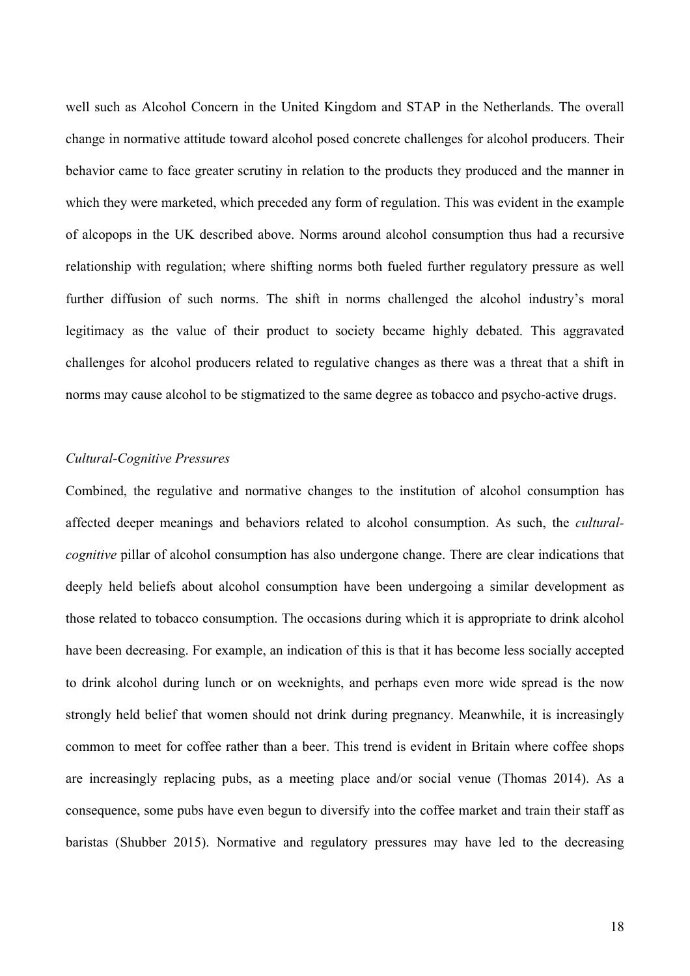well such as Alcohol Concern in the United Kingdom and STAP in the Netherlands. The overall change in normative attitude toward alcohol posed concrete challenges for alcohol producers. Their behavior came to face greater scrutiny in relation to the products they produced and the manner in which they were marketed, which preceded any form of regulation. This was evident in the example of alcopops in the UK described above. Norms around alcohol consumption thus had a recursive relationship with regulation; where shifting norms both fueled further regulatory pressure as well further diffusion of such norms. The shift in norms challenged the alcohol industry's moral legitimacy as the value of their product to society became highly debated. This aggravated challenges for alcohol producers related to regulative changes as there was a threat that a shift in norms may cause alcohol to be stigmatized to the same degree as tobacco and psycho-active drugs.

#### *Cultural-Cognitive Pressures*

Combined, the regulative and normative changes to the institution of alcohol consumption has affected deeper meanings and behaviors related to alcohol consumption. As such, the *culturalcognitive* pillar of alcohol consumption has also undergone change. There are clear indications that deeply held beliefs about alcohol consumption have been undergoing a similar development as those related to tobacco consumption. The occasions during which it is appropriate to drink alcohol have been decreasing. For example, an indication of this is that it has become less socially accepted to drink alcohol during lunch or on weeknights, and perhaps even more wide spread is the now strongly held belief that women should not drink during pregnancy. Meanwhile, it is increasingly common to meet for coffee rather than a beer. This trend is evident in Britain where coffee shops are increasingly replacing pubs, as a meeting place and/or social venue (Thomas 2014). As a consequence, some pubs have even begun to diversify into the coffee market and train their staff as baristas (Shubber 2015). Normative and regulatory pressures may have led to the decreasing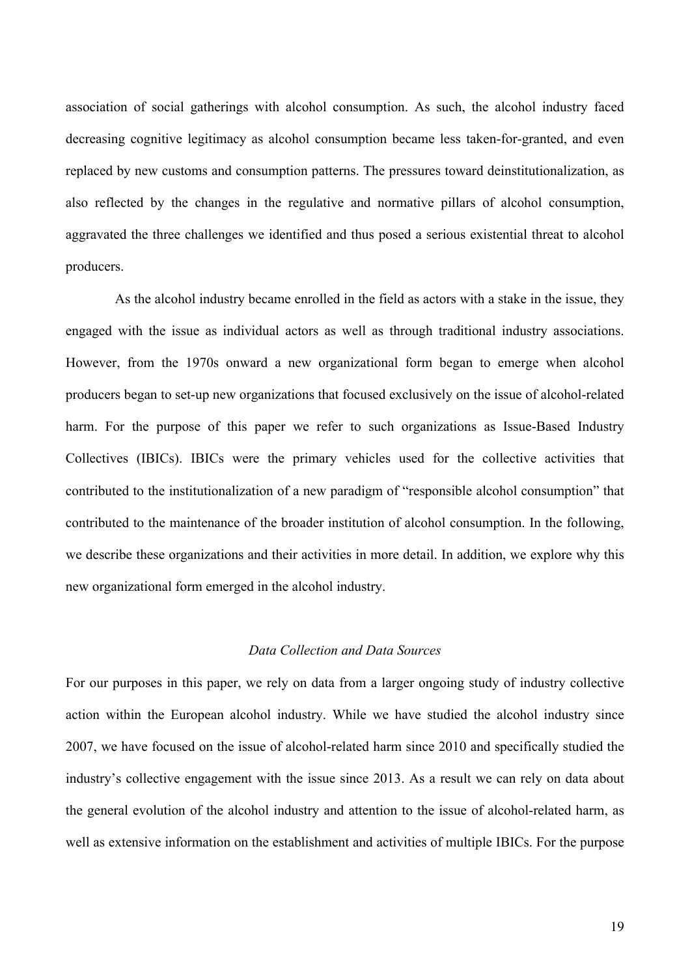association of social gatherings with alcohol consumption. As such, the alcohol industry faced decreasing cognitive legitimacy as alcohol consumption became less taken-for-granted, and even replaced by new customs and consumption patterns. The pressures toward deinstitutionalization, as also reflected by the changes in the regulative and normative pillars of alcohol consumption, aggravated the three challenges we identified and thus posed a serious existential threat to alcohol producers.

As the alcohol industry became enrolled in the field as actors with a stake in the issue, they engaged with the issue as individual actors as well as through traditional industry associations. However, from the 1970s onward a new organizational form began to emerge when alcohol producers began to set-up new organizations that focused exclusively on the issue of alcohol-related harm. For the purpose of this paper we refer to such organizations as Issue-Based Industry Collectives (IBICs). IBICs were the primary vehicles used for the collective activities that contributed to the institutionalization of a new paradigm of "responsible alcohol consumption" that contributed to the maintenance of the broader institution of alcohol consumption. In the following, we describe these organizations and their activities in more detail. In addition, we explore why this new organizational form emerged in the alcohol industry.

# *Data Collection and Data Sources*

For our purposes in this paper, we rely on data from a larger ongoing study of industry collective action within the European alcohol industry. While we have studied the alcohol industry since 2007, we have focused on the issue of alcohol-related harm since 2010 and specifically studied the industry's collective engagement with the issue since 2013. As a result we can rely on data about the general evolution of the alcohol industry and attention to the issue of alcohol-related harm, as well as extensive information on the establishment and activities of multiple IBICs. For the purpose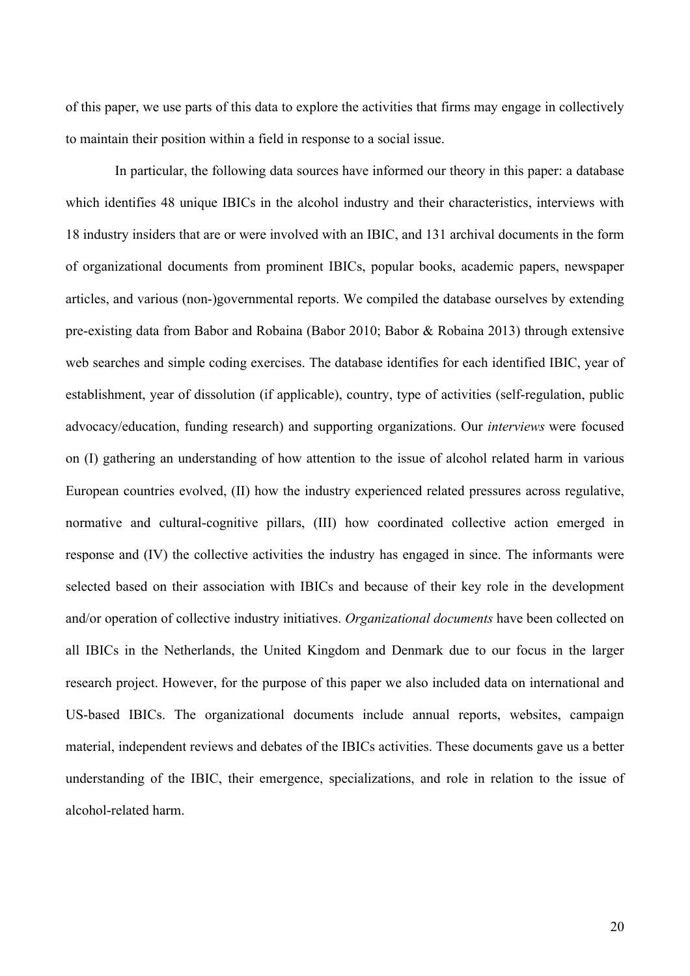of this paper, we use parts of this data to explore the activities that firms may engage in collectively to maintain their position within a field in response to a social issue.

In particular, the following data sources have informed our theory in this paper: a database which identifies 48 unique IBICs in the alcohol industry and their characteristics, interviews with 18 industry insiders that are or were involved with an IBIC, and 131 archival documents in the form of organizational documents from prominent IBICs, popular books, academic papers, newspaper articles, and various (non-)governmental reports. We compiled the database ourselves by extending pre-existing data from Babor and Robaina (Babor 2010; Babor & Robaina 2013) through extensive web searches and simple coding exercises. The database identifies for each identified IBIC, year of establishment, year of dissolution (if applicable), country, type of activities (self-regulation, public advocacy/education, funding research) and supporting organizations. Our *interviews* were focused on (I) gathering an understanding of how attention to the issue of alcohol related harm in various European countries evolved, (II) how the industry experienced related pressures across regulative, normative and cultural-cognitive pillars, (III) how coordinated collective action emerged in response and (IV) the collective activities the industry has engaged in since. The informants were selected based on their association with IBICs and because of their key role in the development and/or operation of collective industry initiatives. *Organizational documents* have been collected on all IBICs in the Netherlands, the United Kingdom and Denmark due to our focus in the larger research project. However, for the purpose of this paper we also included data on international and US-based IBICs. The organizational documents include annual reports, websites, campaign material, independent reviews and debates of the IBICs activities. These documents gave us a better understanding of the IBIC, their emergence, specializations, and role in relation to the issue of alcohol-related harm.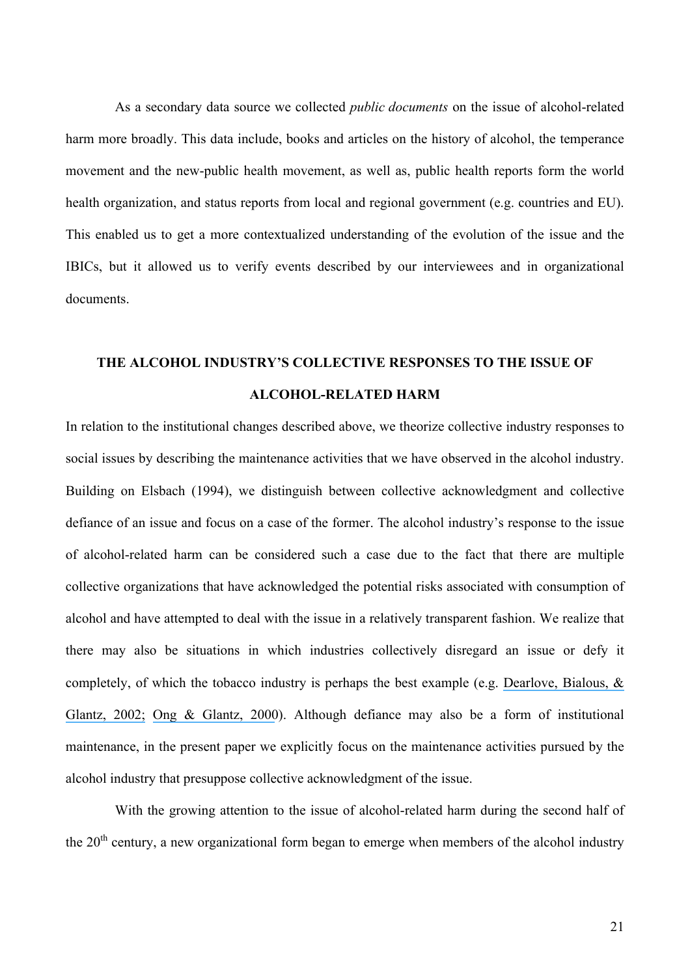As a secondary data source we collected *public documents* on the issue of alcohol-related harm more broadly. This data include, books and articles on the history of alcohol, the temperance movement and the new-public health movement, as well as, public health reports form the world health organization, and status reports from local and regional government (e.g. countries and EU). This enabled us to get a more contextualized understanding of the evolution of the issue and the IBICs, but it allowed us to verify events described by our interviewees and in organizational documents. 

# **THE ALCOHOL INDUSTRY'S COLLECTIVE RESPONSES TO THE ISSUE OF ALCOHOL-RELATED HARM**

In relation to the institutional changes described above, we theorize collective industry responses to social issues by describing the maintenance activities that we have observed in the alcohol industry. Building on Elsbach (1994), we distinguish between collective acknowledgment and collective defiance of an issue and focus on a case of the former. The alcohol industry's response to the issue of alcohol-related harm can be considered such a case due to the fact that there are multiple collective organizations that have acknowledged the potential risks associated with consumption of alcohol and have attempted to deal with the issue in a relatively transparent fashion. We realize that there may also be situations in which industries collectively disregard an issue or defy it completely, of which the tobacco industry is perhaps the best example (e.g. [Dearlove, Bialous, &](https://www.researchgate.net/publication/11337608_Tobacco_industry_manipulation_of_the_hospitality_industry_to_maintain_smoking_in_public_places?el=1_x_8&enrichId=rgreq-98966ac44f9a416928703b9e6a6f6cb8-XXX&enrichSource=Y292ZXJQYWdlOzMwNTkwNTAwMDtBUzozOTE4NDg4MjU3Njk5ODZAMTQ3MDQzNTQ0ODc0Mg==) [Glantz, 2002;](https://www.researchgate.net/publication/11337608_Tobacco_industry_manipulation_of_the_hospitality_industry_to_maintain_smoking_in_public_places?el=1_x_8&enrichId=rgreq-98966ac44f9a416928703b9e6a6f6cb8-XXX&enrichSource=Y292ZXJQYWdlOzMwNTkwNTAwMDtBUzozOTE4NDg4MjU3Njk5ODZAMTQ3MDQzNTQ0ODc0Mg==) [Ong & Glantz, 2000](https://www.researchgate.net/publication/12546928_Tobacco_industry_efforts_subverting_International_Agency_for_Research_on_Cancer)). Although defiance may also be a form of institutional maintenance, in the present paper we explicitly focus on the maintenance activities pursued by the alcohol industry that presuppose collective acknowledgment of the issue.

With the growing attention to the issue of alcohol-related harm during the second half of the 20<sup>th</sup> century, a new organizational form began to emerge when members of the alcohol industry

21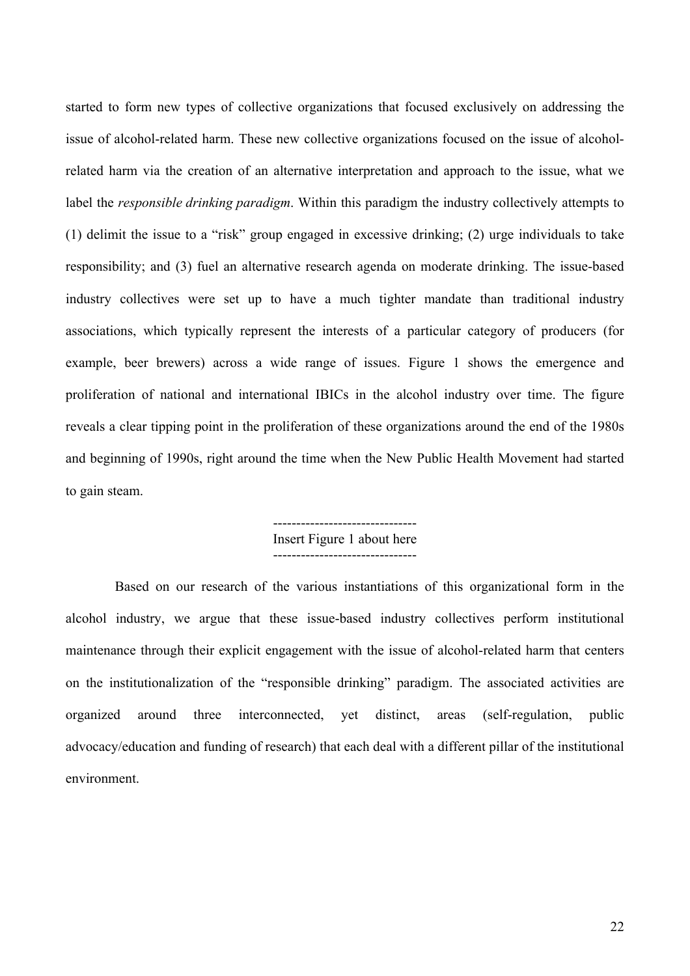started to form new types of collective organizations that focused exclusively on addressing the issue of alcohol-related harm. These new collective organizations focused on the issue of alcoholrelated harm via the creation of an alternative interpretation and approach to the issue, what we label the *responsible drinking paradigm*. Within this paradigm the industry collectively attempts to (1) delimit the issue to a "risk" group engaged in excessive drinking; (2) urge individuals to take responsibility; and (3) fuel an alternative research agenda on moderate drinking. The issue-based industry collectives were set up to have a much tighter mandate than traditional industry associations, which typically represent the interests of a particular category of producers (for example, beer brewers) across a wide range of issues. Figure 1 shows the emergence and proliferation of national and international IBICs in the alcohol industry over time. The figure reveals a clear tipping point in the proliferation of these organizations around the end of the 1980s and beginning of 1990s, right around the time when the New Public Health Movement had started to gain steam.

# ------------------------------- Insert Figure 1 about here -------------------------------

Based on our research of the various instantiations of this organizational form in the alcohol industry, we argue that these issue-based industry collectives perform institutional maintenance through their explicit engagement with the issue of alcohol-related harm that centers on the institutionalization of the "responsible drinking" paradigm. The associated activities are organized around three interconnected, yet distinct, areas (self-regulation, public advocacy/education and funding of research) that each deal with a different pillar of the institutional environment.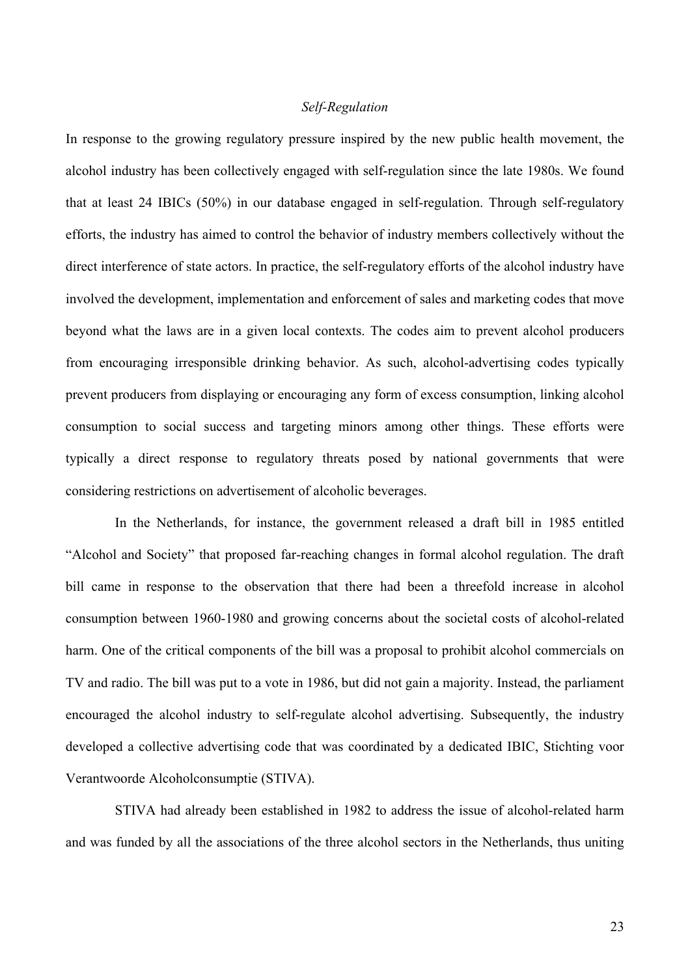# *Self-Regulation*

In response to the growing regulatory pressure inspired by the new public health movement, the alcohol industry has been collectively engaged with self-regulation since the late 1980s. We found that at least 24 IBICs (50%) in our database engaged in self-regulation. Through self-regulatory efforts, the industry has aimed to control the behavior of industry members collectively without the direct interference of state actors. In practice, the self-regulatory efforts of the alcohol industry have involved the development, implementation and enforcement of sales and marketing codes that move beyond what the laws are in a given local contexts. The codes aim to prevent alcohol producers from encouraging irresponsible drinking behavior. As such, alcohol-advertising codes typically prevent producers from displaying or encouraging any form of excess consumption, linking alcohol consumption to social success and targeting minors among other things. These efforts were typically a direct response to regulatory threats posed by national governments that were considering restrictions on advertisement of alcoholic beverages.

In the Netherlands, for instance, the government released a draft bill in 1985 entitled "Alcohol and Society" that proposed far-reaching changes in formal alcohol regulation. The draft bill came in response to the observation that there had been a threefold increase in alcohol consumption between 1960-1980 and growing concerns about the societal costs of alcohol-related harm. One of the critical components of the bill was a proposal to prohibit alcohol commercials on TV and radio. The bill was put to a vote in 1986, but did not gain a majority. Instead, the parliament encouraged the alcohol industry to self-regulate alcohol advertising. Subsequently, the industry developed a collective advertising code that was coordinated by a dedicated IBIC, Stichting voor Verantwoorde Alcoholconsumptie (STIVA).

STIVA had already been established in 1982 to address the issue of alcohol-related harm and was funded by all the associations of the three alcohol sectors in the Netherlands, thus uniting

23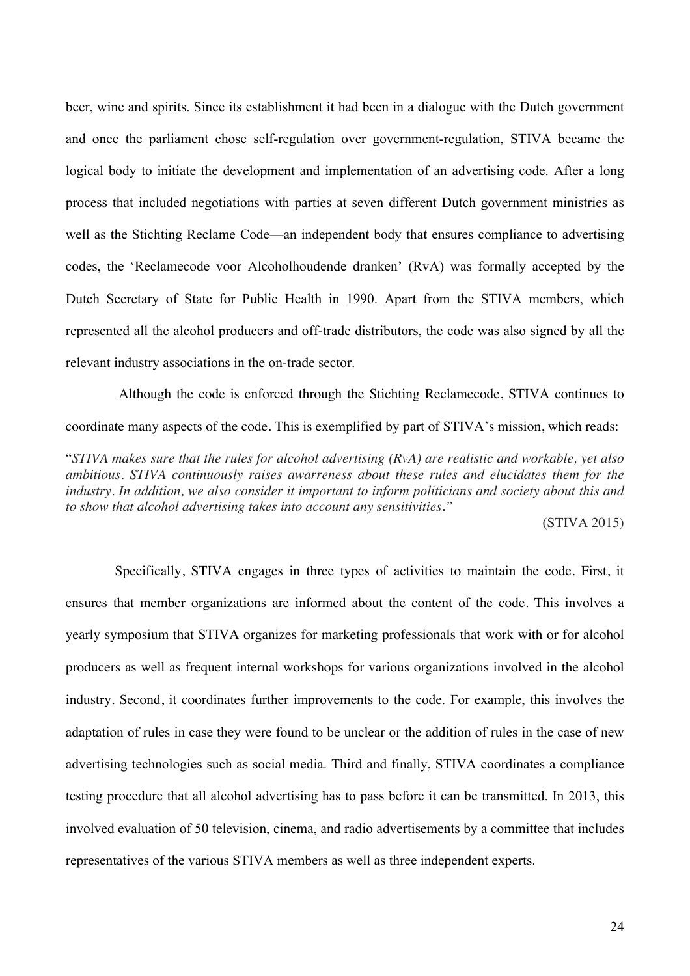beer, wine and spirits. Since its establishment it had been in a dialogue with the Dutch government and once the parliament chose self-regulation over government-regulation, STIVA became the logical body to initiate the development and implementation of an advertising code. After a long process that included negotiations with parties at seven different Dutch government ministries as well as the Stichting Reclame Code—an independent body that ensures compliance to advertising codes, the 'Reclamecode voor Alcoholhoudende dranken' (RvA) was formally accepted by the Dutch Secretary of State for Public Health in 1990. Apart from the STIVA members, which represented all the alcohol producers and off-trade distributors, the code was also signed by all the relevant industry associations in the on-trade sector.

Although the code is enforced through the Stichting Reclamecode, STIVA continues to coordinate many aspects of the code. This is exemplified by part of STIVA's mission, which reads:

"*STIVA makes sure that the rules for alcohol advertising (RvA) are realistic and workable, yet also ambitious. STIVA continuously raises awarreness about these rules and elucidates them for the industry. In addition, we also consider it important to inform politicians and society about this and to show that alcohol advertising takes into account any sensitivities."*

(STIVA 2015)

Specifically, STIVA engages in three types of activities to maintain the code. First, it ensures that member organizations are informed about the content of the code. This involves a yearly symposium that STIVA organizes for marketing professionals that work with or for alcohol producers as well as frequent internal workshops for various organizations involved in the alcohol industry. Second, it coordinates further improvements to the code. For example, this involves the adaptation of rules in case they were found to be unclear or the addition of rules in the case of new advertising technologies such as social media. Third and finally, STIVA coordinates a compliance testing procedure that all alcohol advertising has to pass before it can be transmitted. In 2013, this involved evaluation of 50 television, cinema, and radio advertisements by a committee that includes representatives of the various STIVA members as well as three independent experts.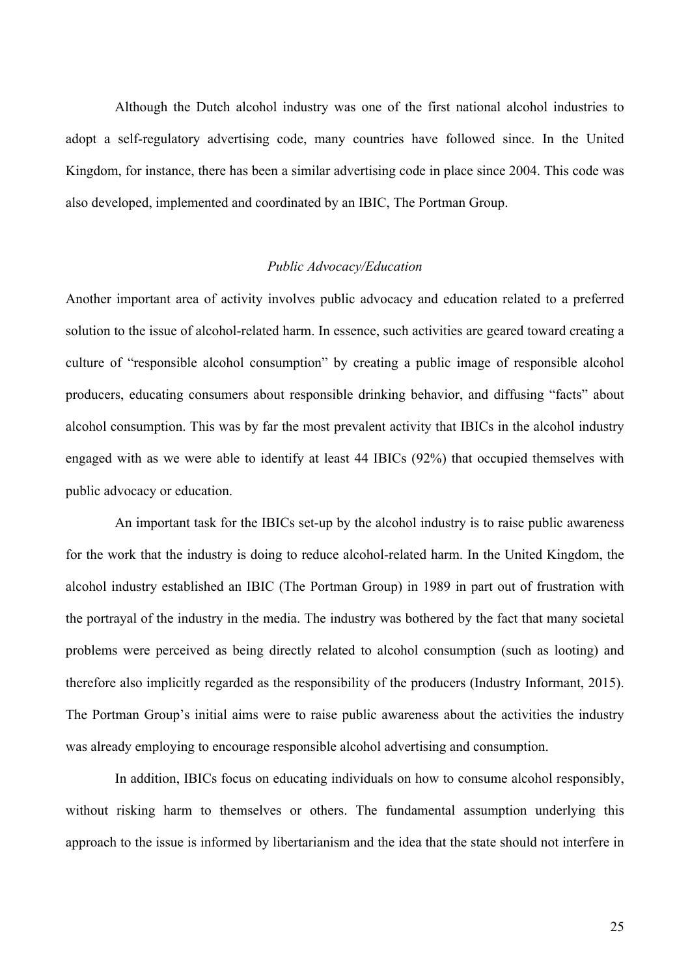Although the Dutch alcohol industry was one of the first national alcohol industries to adopt a self-regulatory advertising code, many countries have followed since. In the United Kingdom, for instance, there has been a similar advertising code in place since 2004. This code was also developed, implemented and coordinated by an IBIC, The Portman Group.

## *Public Advocacy/Education*

Another important area of activity involves public advocacy and education related to a preferred solution to the issue of alcohol-related harm. In essence, such activities are geared toward creating a culture of "responsible alcohol consumption" by creating a public image of responsible alcohol producers, educating consumers about responsible drinking behavior, and diffusing "facts" about alcohol consumption. This was by far the most prevalent activity that IBICs in the alcohol industry engaged with as we were able to identify at least 44 IBICs (92%) that occupied themselves with public advocacy or education.

An important task for the IBICs set-up by the alcohol industry is to raise public awareness for the work that the industry is doing to reduce alcohol-related harm. In the United Kingdom, the alcohol industry established an IBIC (The Portman Group) in 1989 in part out of frustration with the portrayal of the industry in the media. The industry was bothered by the fact that many societal problems were perceived as being directly related to alcohol consumption (such as looting) and therefore also implicitly regarded as the responsibility of the producers (Industry Informant, 2015). The Portman Group's initial aims were to raise public awareness about the activities the industry was already employing to encourage responsible alcohol advertising and consumption.

In addition, IBICs focus on educating individuals on how to consume alcohol responsibly, without risking harm to themselves or others. The fundamental assumption underlying this approach to the issue is informed by libertarianism and the idea that the state should not interfere in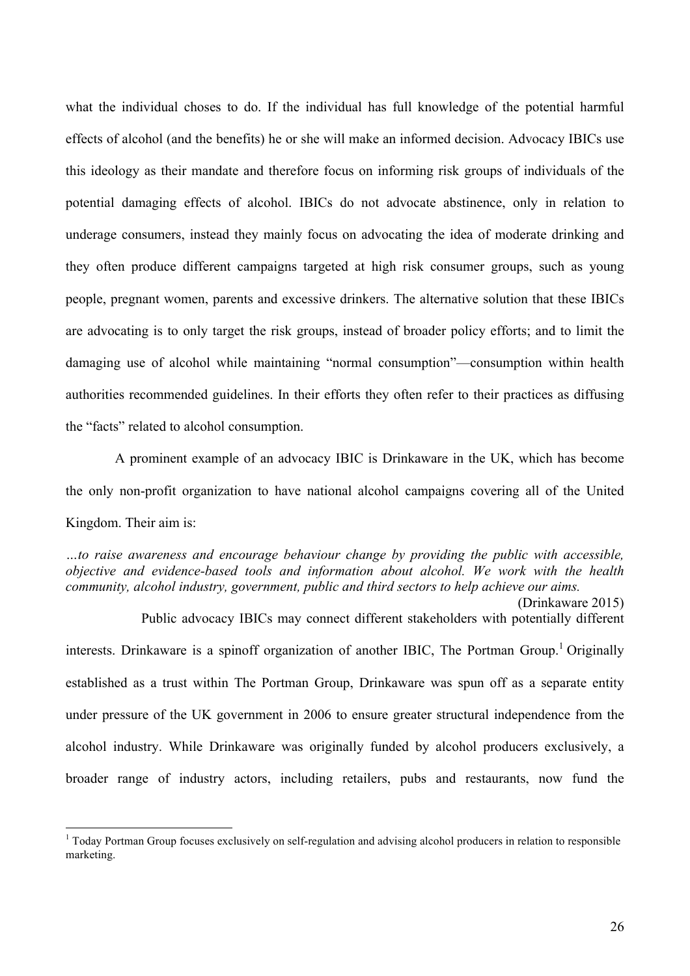what the individual choses to do. If the individual has full knowledge of the potential harmful effects of alcohol (and the benefits) he or she will make an informed decision. Advocacy IBICs use this ideology as their mandate and therefore focus on informing risk groups of individuals of the potential damaging effects of alcohol. IBICs do not advocate abstinence, only in relation to underage consumers, instead they mainly focus on advocating the idea of moderate drinking and they often produce different campaigns targeted at high risk consumer groups, such as young people, pregnant women, parents and excessive drinkers. The alternative solution that these IBICs are advocating is to only target the risk groups, instead of broader policy efforts; and to limit the damaging use of alcohol while maintaining "normal consumption"—consumption within health authorities recommended guidelines. In their efforts they often refer to their practices as diffusing the "facts" related to alcohol consumption.

A prominent example of an advocacy IBIC is Drinkaware in the UK, which has become the only non-profit organization to have national alcohol campaigns covering all of the United Kingdom. Their aim is:

*…to raise awareness and encourage behaviour change by providing the public with accessible, objective and evidence-based tools and information about alcohol. We work with the health community, alcohol industry, government, public and third sectors to help achieve our aims.* (Drinkaware 2015)

Public advocacy IBICs may connect different stakeholders with potentially different interests. Drinkaware is a spinoff organization of another IBIC, The Portman Group.<sup>1</sup> Originally established as a trust within The Portman Group, Drinkaware was spun off as a separate entity under pressure of the UK government in 2006 to ensure greater structural independence from the alcohol industry. While Drinkaware was originally funded by alcohol producers exclusively, a broader range of industry actors, including retailers, pubs and restaurants, now fund the

<sup>&</sup>lt;sup>1</sup> Today Portman Group focuses exclusively on self-regulation and advising alcohol producers in relation to responsible marketing.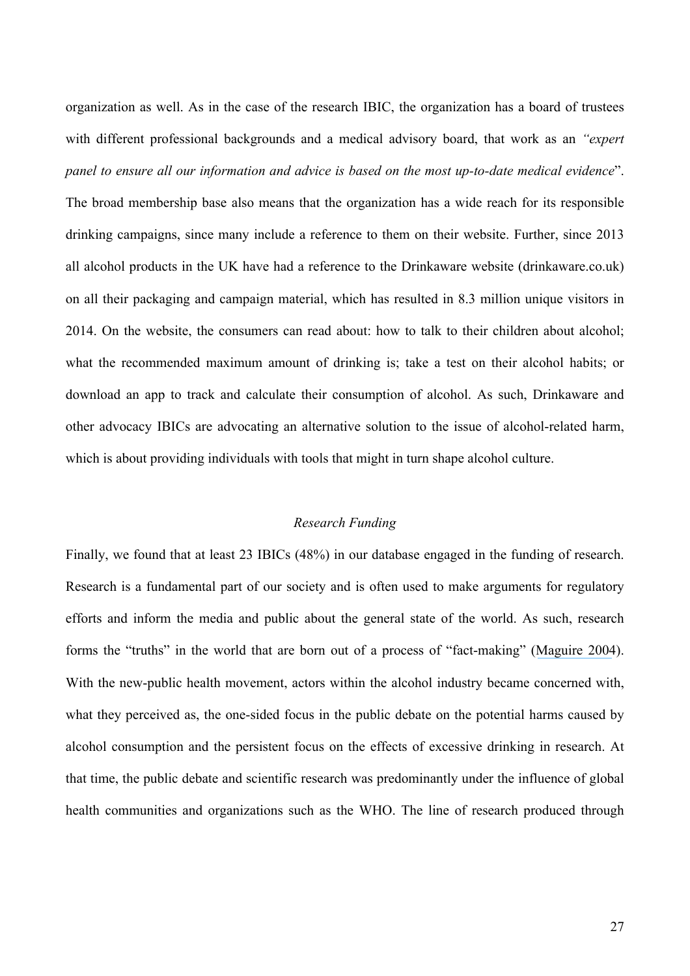organization as well. As in the case of the research IBIC, the organization has a board of trustees with different professional backgrounds and a medical advisory board, that work as an *"expert panel to ensure all our information and advice is based on the most up-to-date medical evidence*". The broad membership base also means that the organization has a wide reach for its responsible drinking campaigns, since many include a reference to them on their website. Further, since 2013 all alcohol products in the UK have had a reference to the Drinkaware website (drinkaware.co.uk) on all their packaging and campaign material, which has resulted in 8.3 million unique visitors in 2014. On the website, the consumers can read about: how to talk to their children about alcohol; what the recommended maximum amount of drinking is; take a test on their alcohol habits; or download an app to track and calculate their consumption of alcohol. As such, Drinkaware and other advocacy IBICs are advocating an alternative solution to the issue of alcohol-related harm, which is about providing individuals with tools that might in turn shape alcohol culture.

#### *Research Funding*

Finally, we found that at least 23 IBICs (48%) in our database engaged in the funding of research. Research is a fundamental part of our society and is often used to make arguments for regulatory efforts and inform the media and public about the general state of the world. As such, research forms the "truths" in the world that are born out of a process of "fact-making" ([Maguire 2004](https://www.researchgate.net/publication/247734628_The_Co-Evolution_of_Technology_and_Discourse_A_Study_of_Substitution_Processes_for_the_Insecticide_DDT?el=1_x_8&enrichId=rgreq-98966ac44f9a416928703b9e6a6f6cb8-XXX&enrichSource=Y292ZXJQYWdlOzMwNTkwNTAwMDtBUzozOTE4NDg4MjU3Njk5ODZAMTQ3MDQzNTQ0ODc0Mg==)). With the new-public health movement, actors within the alcohol industry became concerned with, what they perceived as, the one-sided focus in the public debate on the potential harms caused by alcohol consumption and the persistent focus on the effects of excessive drinking in research. At that time, the public debate and scientific research was predominantly under the influence of global health communities and organizations such as the WHO. The line of research produced through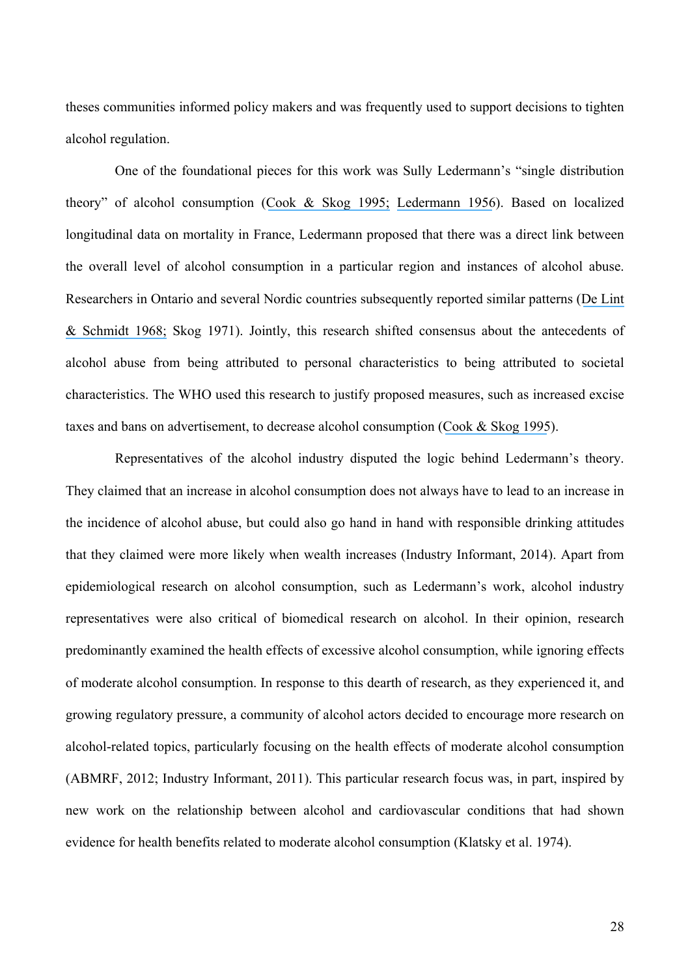theses communities informed policy makers and was frequently used to support decisions to tighten alcohol regulation.

One of the foundational pieces for this work was Sully Ledermann's "single distribution theory" of alcohol consumption ([Cook & Skog 1995;](https://www.researchgate.net/publication/293103823_Alcool_alcoolisme_alcoolisationcomment?el=1_x_8&enrichId=rgreq-98966ac44f9a416928703b9e6a6f6cb8-XXX&enrichSource=Y292ZXJQYWdlOzMwNTkwNTAwMDtBUzozOTE4NDg4MjU3Njk5ODZAMTQ3MDQzNTQ0ODc0Mg==) [Ledermann 1956](https://www.researchgate.net/publication/247909251_Alcool_alcoolisme_alcoolisation_Donnees_scientifiques_de_caractere_physiologique_economique_et_social?el=1_x_8&enrichId=rgreq-98966ac44f9a416928703b9e6a6f6cb8-XXX&enrichSource=Y292ZXJQYWdlOzMwNTkwNTAwMDtBUzozOTE4NDg4MjU3Njk5ODZAMTQ3MDQzNTQ0ODc0Mg==)). Based on localized longitudinal data on mortality in France, Ledermann proposed that there was a direct link between the overall level of alcohol consumption in a particular region and instances of alcohol abuse. Researchers in Ontario and several Nordic countries subsequently reported similar patterns ([De Lint](https://www.researchgate.net/publication/17481478_The_distribution_of_alcohol_consumption_in_Ontario?el=1_x_8&enrichId=rgreq-98966ac44f9a416928703b9e6a6f6cb8-XXX&enrichSource=Y292ZXJQYWdlOzMwNTkwNTAwMDtBUzozOTE4NDg4MjU3Njk5ODZAMTQ3MDQzNTQ0ODc0Mg==) [& Schmidt 1968;](https://www.researchgate.net/publication/17481478_The_distribution_of_alcohol_consumption_in_Ontario?el=1_x_8&enrichId=rgreq-98966ac44f9a416928703b9e6a6f6cb8-XXX&enrichSource=Y292ZXJQYWdlOzMwNTkwNTAwMDtBUzozOTE4NDg4MjU3Njk5ODZAMTQ3MDQzNTQ0ODc0Mg==) Skog 1971). Jointly, this research shifted consensus about the antecedents of alcohol abuse from being attributed to personal characteristics to being attributed to societal characteristics. The WHO used this research to justify proposed measures, such as increased excise taxes and bans on advertisement, to decrease alcohol consumption ([Cook & Skog 1995](https://www.researchgate.net/publication/293103823_Alcool_alcoolisme_alcoolisationcomment?el=1_x_8&enrichId=rgreq-98966ac44f9a416928703b9e6a6f6cb8-XXX&enrichSource=Y292ZXJQYWdlOzMwNTkwNTAwMDtBUzozOTE4NDg4MjU3Njk5ODZAMTQ3MDQzNTQ0ODc0Mg==)).

Representatives of the alcohol industry disputed the logic behind Ledermann's theory. They claimed that an increase in alcohol consumption does not always have to lead to an increase in the incidence of alcohol abuse, but could also go hand in hand with responsible drinking attitudes that they claimed were more likely when wealth increases (Industry Informant, 2014). Apart from epidemiological research on alcohol consumption, such as Ledermann's work, alcohol industry representatives were also critical of biomedical research on alcohol. In their opinion, research predominantly examined the health effects of excessive alcohol consumption, while ignoring effects of moderate alcohol consumption. In response to this dearth of research, as they experienced it, and growing regulatory pressure, a community of alcohol actors decided to encourage more research on alcohol-related topics, particularly focusing on the health effects of moderate alcohol consumption (ABMRF, 2012; Industry Informant, 2011). This particular research focus was, in part, inspired by new work on the relationship between alcohol and cardiovascular conditions that had shown evidence for health benefits related to moderate alcohol consumption (Klatsky et al. 1974).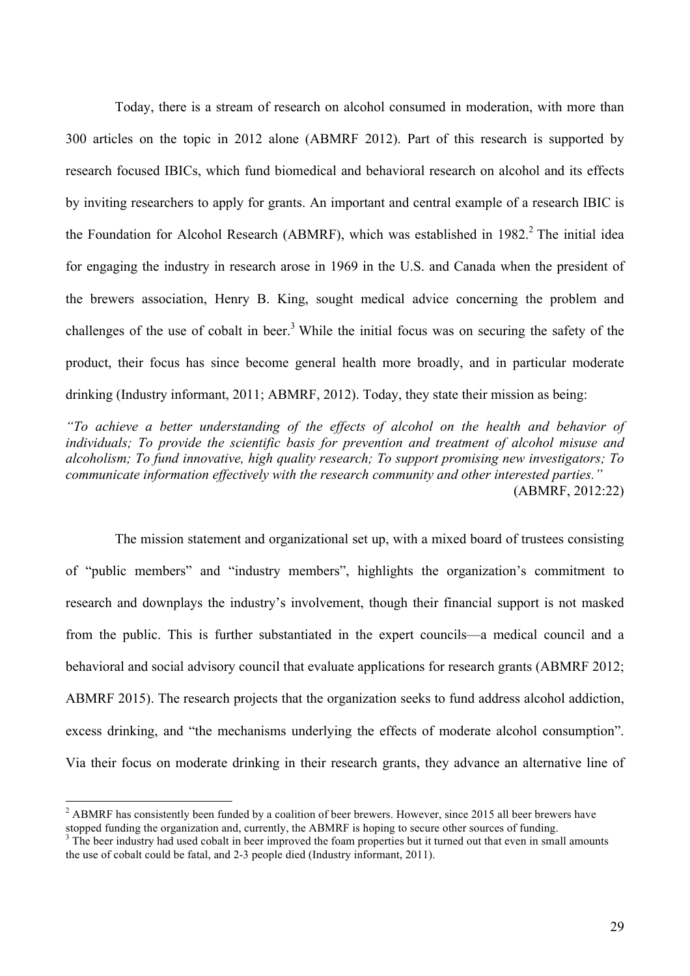Today, there is a stream of research on alcohol consumed in moderation, with more than 300 articles on the topic in 2012 alone (ABMRF 2012). Part of this research is supported by research focused IBICs, which fund biomedical and behavioral research on alcohol and its effects by inviting researchers to apply for grants. An important and central example of a research IBIC is the Foundation for Alcohol Research (ABMRF), which was established in  $1982<sup>2</sup>$  The initial idea for engaging the industry in research arose in 1969 in the U.S. and Canada when the president of the brewers association, Henry B. King, sought medical advice concerning the problem and challenges of the use of cobalt in beer. <sup>3</sup> While the initial focus was on securing the safety of the product, their focus has since become general health more broadly, and in particular moderate drinking (Industry informant, 2011; ABMRF, 2012). Today, they state their mission as being:

*"To achieve a better understanding of the effects of alcohol on the health and behavior of individuals; To provide the scientific basis for prevention and treatment of alcohol misuse and alcoholism; To fund innovative, high quality research; To support promising new investigators; To communicate information effectively with the research community and other interested parties."* (ABMRF, 2012:22)

The mission statement and organizational set up, with a mixed board of trustees consisting of "public members" and "industry members", highlights the organization's commitment to research and downplays the industry's involvement, though their financial support is not masked from the public. This is further substantiated in the expert councils—a medical council and a behavioral and social advisory council that evaluate applications for research grants (ABMRF 2012; ABMRF 2015). The research projects that the organization seeks to fund address alcohol addiction, excess drinking, and "the mechanisms underlying the effects of moderate alcohol consumption". Via their focus on moderate drinking in their research grants, they advance an alternative line of

 $2$  ABMRF has consistently been funded by a coalition of beer brewers. However, since 2015 all beer brewers have stopped funding the organization and, currently, the ABMRF is hoping to secure other sources of funding.

 $3$  The beer industry had used cobalt in beer improved the foam properties but it turned out that even in small amounts the use of cobalt could be fatal, and 2-3 people died (Industry informant, 2011).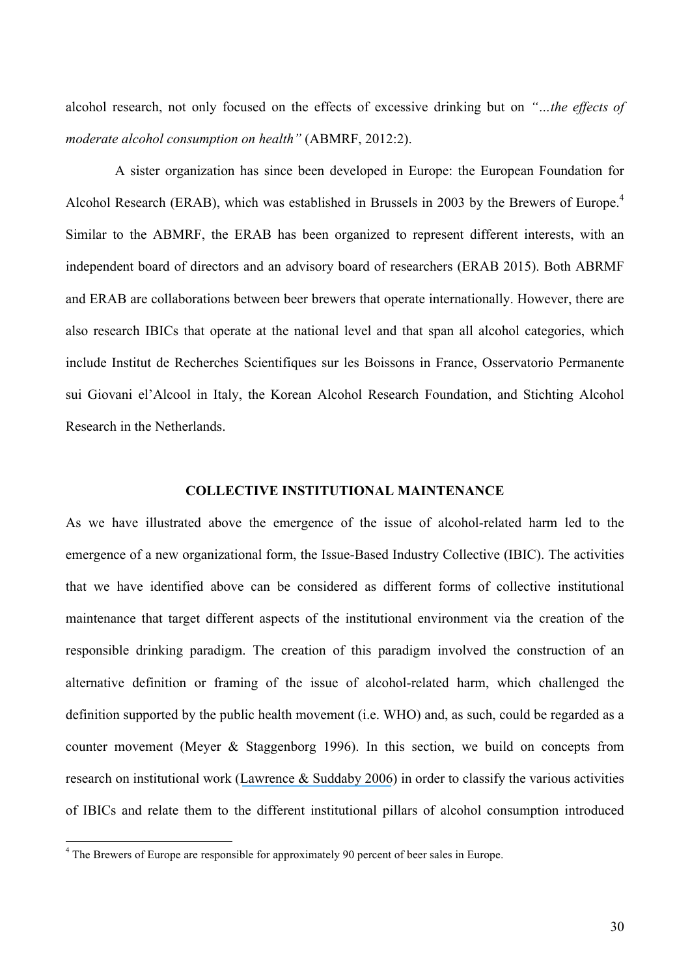alcohol research, not only focused on the effects of excessive drinking but on *"…the effects of moderate alcohol consumption on health"* (ABMRF, 2012:2).

A sister organization has since been developed in Europe: the European Foundation for Alcohol Research (ERAB), which was established in Brussels in 2003 by the Brewers of Europe.<sup>4</sup> Similar to the ABMRF, the ERAB has been organized to represent different interests, with an independent board of directors and an advisory board of researchers (ERAB 2015). Both ABRMF and ERAB are collaborations between beer brewers that operate internationally. However, there are also research IBICs that operate at the national level and that span all alcohol categories, which include Institut de Recherches Scientifiques sur les Boissons in France, Osservatorio Permanente sui Giovani el'Alcool in Italy, the Korean Alcohol Research Foundation, and Stichting Alcohol Research in the Netherlands.

### **COLLECTIVE INSTITUTIONAL MAINTENANCE**

As we have illustrated above the emergence of the issue of alcohol-related harm led to the emergence of a new organizational form, the Issue-Based Industry Collective (IBIC). The activities that we have identified above can be considered as different forms of collective institutional maintenance that target different aspects of the institutional environment via the creation of the responsible drinking paradigm. The creation of this paradigm involved the construction of an alternative definition or framing of the issue of alcohol-related harm, which challenged the definition supported by the public health movement (i.e. WHO) and, as such, could be regarded as a counter movement (Meyer & Staggenborg 1996). In this section, we build on concepts from research on institutional work ([Lawrence & Suddaby 2006](https://www.researchgate.net/publication/242437344_Institutions_and_institutional_work?el=1_x_8&enrichId=rgreq-98966ac44f9a416928703b9e6a6f6cb8-XXX&enrichSource=Y292ZXJQYWdlOzMwNTkwNTAwMDtBUzozOTE4NDg4MjU3Njk5ODZAMTQ3MDQzNTQ0ODc0Mg==)) in order to classify the various activities of IBICs and relate them to the different institutional pillars of alcohol consumption introduced

<sup>&</sup>lt;sup>4</sup> The Brewers of Europe are responsible for approximately 90 percent of beer sales in Europe.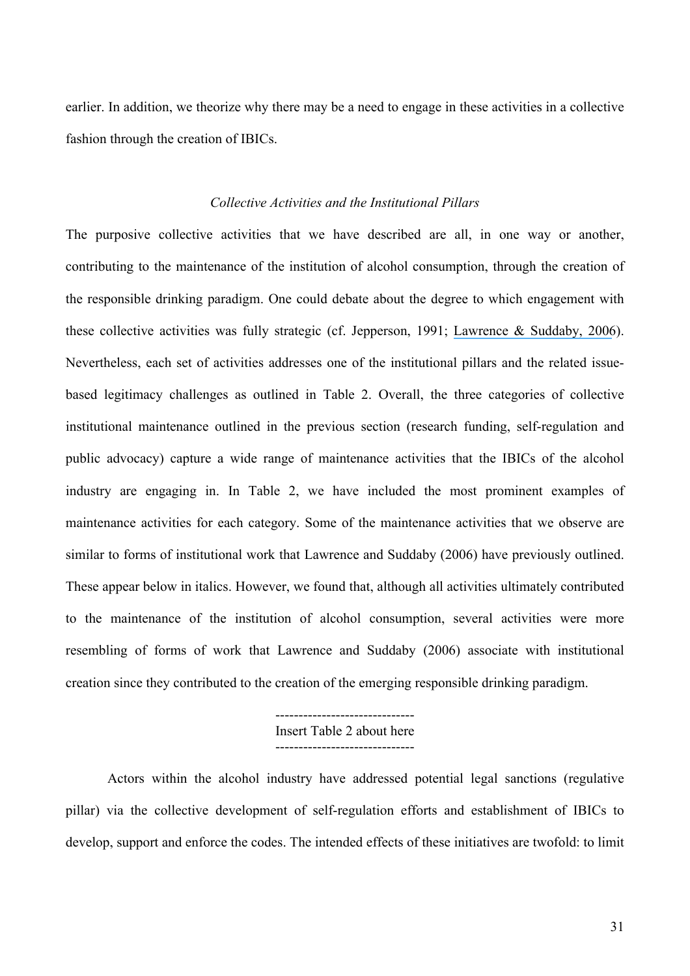earlier. In addition, we theorize why there may be a need to engage in these activities in a collective fashion through the creation of IBICs.

#### *Collective Activities and the Institutional Pillars*

The purposive collective activities that we have described are all, in one way or another, contributing to the maintenance of the institution of alcohol consumption, through the creation of the responsible drinking paradigm. One could debate about the degree to which engagement with these collective activities was fully strategic (cf. Jepperson, 1991; [Lawrence & Suddaby, 2006](https://www.researchgate.net/publication/242437344_Institutions_and_institutional_work?el=1_x_8&enrichId=rgreq-98966ac44f9a416928703b9e6a6f6cb8-XXX&enrichSource=Y292ZXJQYWdlOzMwNTkwNTAwMDtBUzozOTE4NDg4MjU3Njk5ODZAMTQ3MDQzNTQ0ODc0Mg==)). Nevertheless, each set of activities addresses one of the institutional pillars and the related issuebased legitimacy challenges as outlined in Table 2. Overall, the three categories of collective institutional maintenance outlined in the previous section (research funding, self-regulation and public advocacy) capture a wide range of maintenance activities that the IBICs of the alcohol industry are engaging in. In Table 2, we have included the most prominent examples of maintenance activities for each category. Some of the maintenance activities that we observe are similar to forms of institutional work that Lawrence and Suddaby (2006) have previously outlined. These appear below in italics. However, we found that, although all activities ultimately contributed to the maintenance of the institution of alcohol consumption, several activities were more resembling of forms of work that Lawrence and Suddaby (2006) associate with institutional creation since they contributed to the creation of the emerging responsible drinking paradigm.

> ------------------------------ Insert Table 2 about here ------------------------------

Actors within the alcohol industry have addressed potential legal sanctions (regulative pillar) via the collective development of self-regulation efforts and establishment of IBICs to develop, support and enforce the codes. The intended effects of these initiatives are twofold: to limit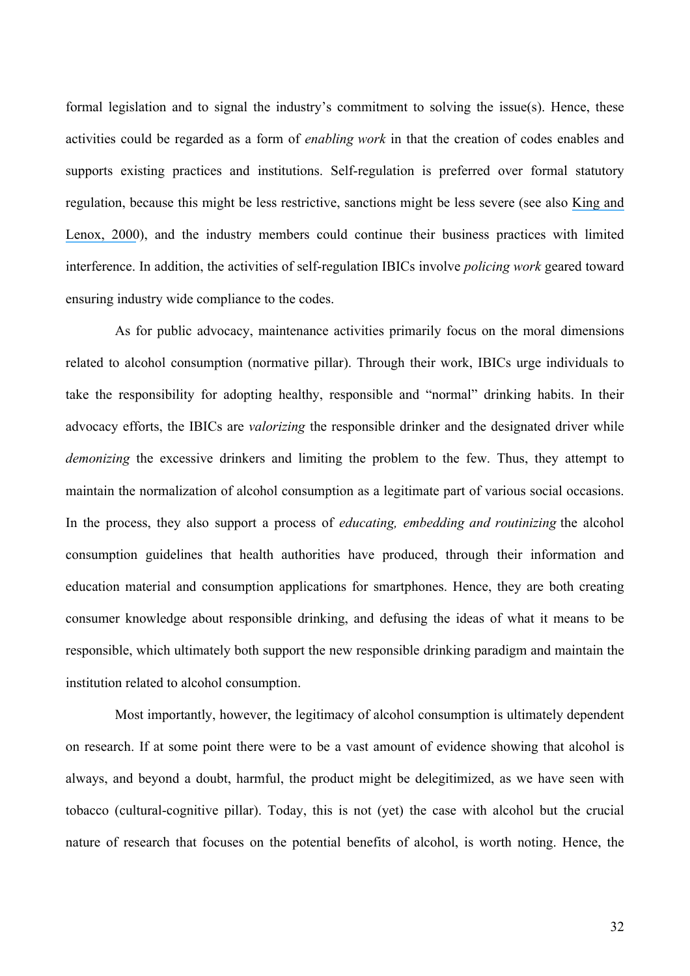formal legislation and to signal the industry's commitment to solving the issue(s). Hence, these activities could be regarded as a form of *enabling work* in that the creation of codes enables and supports existing practices and institutions. Self-regulation is preferred over formal statutory regulation, because this might be less restrictive, sanctions might be less severe (see also [King and](https://www.researchgate.net/publication/2586144_Industry_Self-Regulation_Without_Sanctions_The_Chemical_Industry) [Lenox, 2000](https://www.researchgate.net/publication/2586144_Industry_Self-Regulation_Without_Sanctions_The_Chemical_Industry)), and the industry members could continue their business practices with limited interference. In addition, the activities of self-regulation IBICs involve *policing work* geared toward ensuring industry wide compliance to the codes.

As for public advocacy, maintenance activities primarily focus on the moral dimensions related to alcohol consumption (normative pillar). Through their work, IBICs urge individuals to take the responsibility for adopting healthy, responsible and "normal" drinking habits. In their advocacy efforts, the IBICs are *valorizing* the responsible drinker and the designated driver while *demonizing* the excessive drinkers and limiting the problem to the few. Thus, they attempt to maintain the normalization of alcohol consumption as a legitimate part of various social occasions. In the process, they also support a process of *educating, embedding and routinizing* the alcohol consumption guidelines that health authorities have produced, through their information and education material and consumption applications for smartphones. Hence, they are both creating consumer knowledge about responsible drinking, and defusing the ideas of what it means to be responsible, which ultimately both support the new responsible drinking paradigm and maintain the institution related to alcohol consumption.

Most importantly, however, the legitimacy of alcohol consumption is ultimately dependent on research. If at some point there were to be a vast amount of evidence showing that alcohol is always, and beyond a doubt, harmful, the product might be delegitimized, as we have seen with tobacco (cultural-cognitive pillar). Today, this is not (yet) the case with alcohol but the crucial nature of research that focuses on the potential benefits of alcohol, is worth noting. Hence, the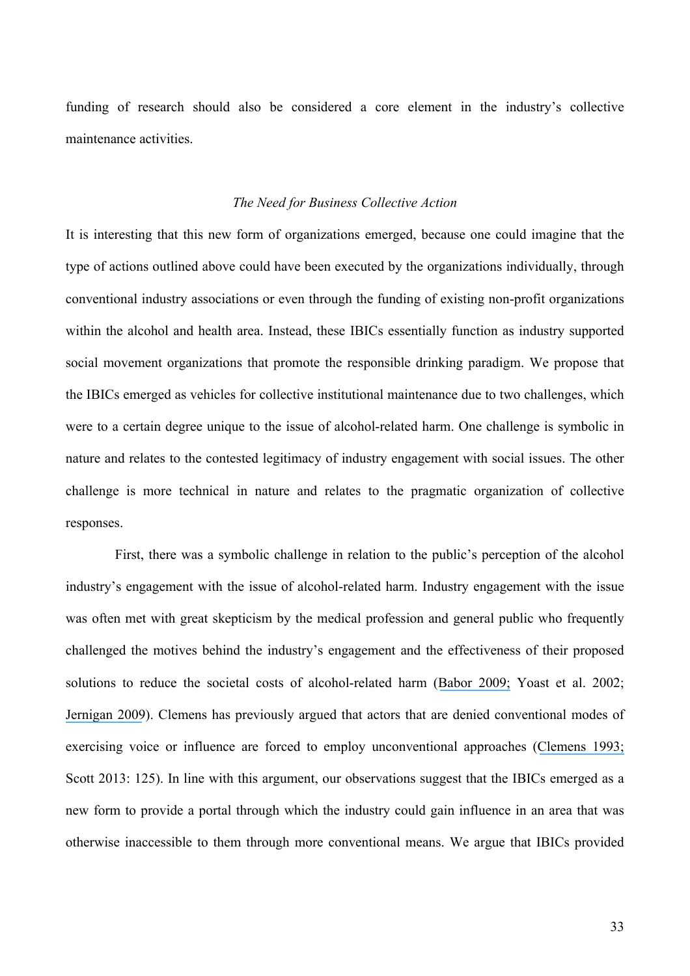funding of research should also be considered a core element in the industry's collective maintenance activities.

#### *The Need for Business Collective Action*

It is interesting that this new form of organizations emerged, because one could imagine that the type of actions outlined above could have been executed by the organizations individually, through conventional industry associations or even through the funding of existing non-profit organizations within the alcohol and health area. Instead, these IBICs essentially function as industry supported social movement organizations that promote the responsible drinking paradigm. We propose that the IBICs emerged as vehicles for collective institutional maintenance due to two challenges, which were to a certain degree unique to the issue of alcohol-related harm. One challenge is symbolic in nature and relates to the contested legitimacy of industry engagement with social issues. The other challenge is more technical in nature and relates to the pragmatic organization of collective responses.

First, there was a symbolic challenge in relation to the public's perception of the alcohol industry's engagement with the issue of alcohol-related harm. Industry engagement with the issue was often met with great skepticism by the medical profession and general public who frequently challenged the motives behind the industry's engagement and the effectiveness of their proposed solutions to reduce the societal costs of alcohol-related harm ([Babor 2009;](https://www.researchgate.net/publication/23783792_Alcohol_research_and_the_alcoholic_beverage_industry_Issues_concerns_and_conflicts_of_interest?el=1_x_8&enrichId=rgreq-98966ac44f9a416928703b9e6a6f6cb8-XXX&enrichSource=Y292ZXJQYWdlOzMwNTkwNTAwMDtBUzozOTE4NDg4MjU3Njk5ODZAMTQ3MDQzNTQ0ODc0Mg==) Yoast et al. 2002; [Jernigan 2009](https://www.researchgate.net/publication/23783789_The_Global_Alcohol_Industry_An_Overview?el=1_x_8&enrichId=rgreq-98966ac44f9a416928703b9e6a6f6cb8-XXX&enrichSource=Y292ZXJQYWdlOzMwNTkwNTAwMDtBUzozOTE4NDg4MjU3Njk5ODZAMTQ3MDQzNTQ0ODc0Mg==)). Clemens has previously argued that actors that are denied conventional modes of exercising voice or influence are forced to employ unconventional approaches ([Clemens 1993;](https://www.researchgate.net/publication/249174999_Organizational_Repertoires_and_Institutional_Change_Women) Scott 2013: 125). In line with this argument, our observations suggest that the IBICs emerged as a new form to provide a portal through which the industry could gain influence in an area that was otherwise inaccessible to them through more conventional means. We argue that IBICs provided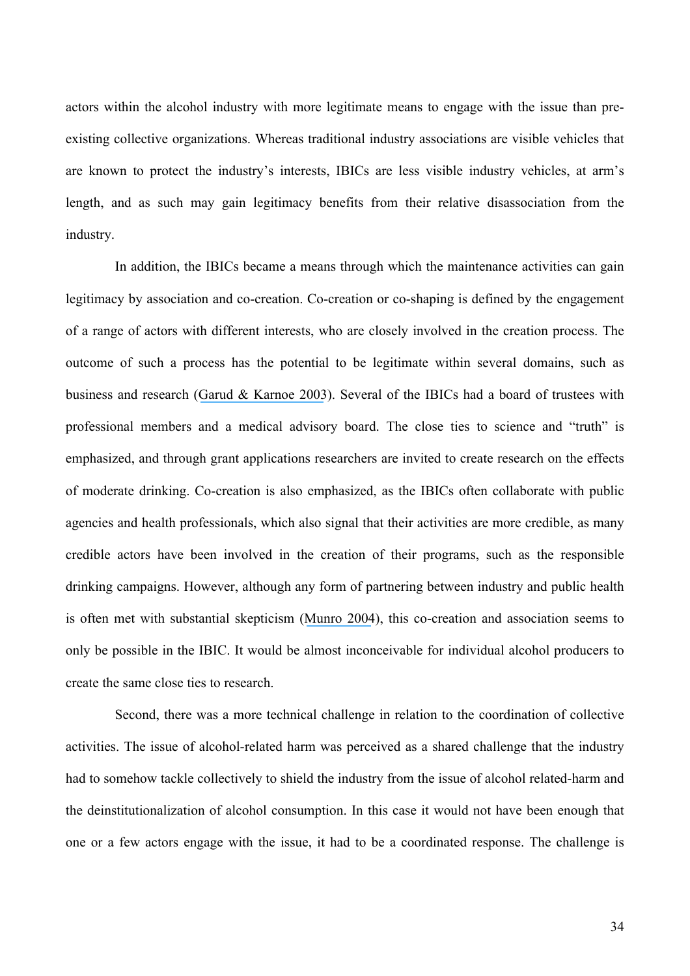actors within the alcohol industry with more legitimate means to engage with the issue than preexisting collective organizations. Whereas traditional industry associations are visible vehicles that are known to protect the industry's interests, IBICs are less visible industry vehicles, at arm's length, and as such may gain legitimacy benefits from their relative disassociation from the industry.

In addition, the IBICs became a means through which the maintenance activities can gain legitimacy by association and co-creation. Co-creation or co-shaping is defined by the engagement of a range of actors with different interests, who are closely involved in the creation process. The outcome of such a process has the potential to be legitimate within several domains, such as business and research ([Garud & Karnoe 2003](https://www.researchgate.net/publication/4929392_Bricolage_versus_Breakthrough_Distributed_and_Embedded_Agency_in_Technology_Entrepreneurship?el=1_x_8&enrichId=rgreq-98966ac44f9a416928703b9e6a6f6cb8-XXX&enrichSource=Y292ZXJQYWdlOzMwNTkwNTAwMDtBUzozOTE4NDg4MjU3Njk5ODZAMTQ3MDQzNTQ0ODc0Mg==)). Several of the IBICs had a board of trustees with professional members and a medical advisory board. The close ties to science and "truth" is emphasized, and through grant applications researchers are invited to create research on the effects of moderate drinking. Co-creation is also emphasized, as the IBICs often collaborate with public agencies and health professionals, which also signal that their activities are more credible, as many credible actors have been involved in the creation of their programs, such as the responsible drinking campaigns. However, although any form of partnering between industry and public health is often met with substantial skepticism ([Munro 2004](https://www.researchgate.net/publication/8215684_An_addiction_agency)), this co-creation and association seems to only be possible in the IBIC. It would be almost inconceivable for individual alcohol producers to create the same close ties to research.

Second, there was a more technical challenge in relation to the coordination of collective activities. The issue of alcohol-related harm was perceived as a shared challenge that the industry had to somehow tackle collectively to shield the industry from the issue of alcohol related-harm and the deinstitutionalization of alcohol consumption. In this case it would not have been enough that one or a few actors engage with the issue, it had to be a coordinated response. The challenge is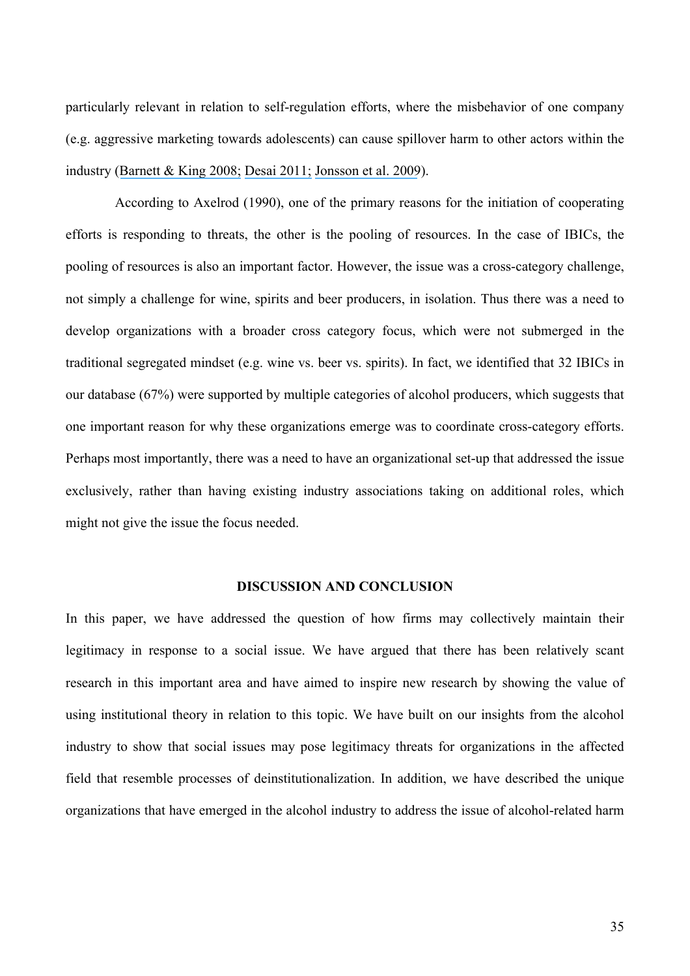particularly relevant in relation to self-regulation efforts, where the misbehavior of one company (e.g. aggressive marketing towards adolescents) can cause spillover harm to other actors within the industry ([Barnett & King 2008;](https://www.researchgate.net/publication/228133698_Good_Fences_Make_Good_Neighbors_A_Longitudinal_Analysis_of_an_Industry_Self-Regulatory_Institution?el=1_x_8&enrichId=rgreq-98966ac44f9a416928703b9e6a6f6cb8-XXX&enrichSource=Y292ZXJQYWdlOzMwNTkwNTAwMDtBUzozOTE4NDg4MjU3Njk5ODZAMTQ3MDQzNTQ0ODc0Mg==) [Desai 2011;](https://www.researchgate.net/publication/283816406_Mass_Media_and_Massive_Failures_Determining_Organizational_Efforts_to_Defend_Field_Legitimacy_Following_Crises?el=1_x_8&enrichId=rgreq-98966ac44f9a416928703b9e6a6f6cb8-XXX&enrichSource=Y292ZXJQYWdlOzMwNTkwNTAwMDtBUzozOTE4NDg4MjU3Njk5ODZAMTQ3MDQzNTQ0ODc0Mg==) [Jonsson et al. 2009](https://www.researchgate.net/publication/240302353_Undeserved_Loss_The_Spread_of_Legitimacy_Loss_to_Innocent_Organizations_in_Response_to_Reported_Corporate_Deviance?el=1_x_8&enrichId=rgreq-98966ac44f9a416928703b9e6a6f6cb8-XXX&enrichSource=Y292ZXJQYWdlOzMwNTkwNTAwMDtBUzozOTE4NDg4MjU3Njk5ODZAMTQ3MDQzNTQ0ODc0Mg==)).

According to Axelrod (1990), one of the primary reasons for the initiation of cooperating efforts is responding to threats, the other is the pooling of resources. In the case of IBICs, the pooling of resources is also an important factor. However, the issue was a cross-category challenge, not simply a challenge for wine, spirits and beer producers, in isolation. Thus there was a need to develop organizations with a broader cross category focus, which were not submerged in the traditional segregated mindset (e.g. wine vs. beer vs. spirits). In fact, we identified that 32 IBICs in our database (67%) were supported by multiple categories of alcohol producers, which suggests that one important reason for why these organizations emerge was to coordinate cross-category efforts. Perhaps most importantly, there was a need to have an organizational set-up that addressed the issue exclusively, rather than having existing industry associations taking on additional roles, which might not give the issue the focus needed.

#### **DISCUSSION AND CONCLUSION**

In this paper, we have addressed the question of how firms may collectively maintain their legitimacy in response to a social issue. We have argued that there has been relatively scant research in this important area and have aimed to inspire new research by showing the value of using institutional theory in relation to this topic. We have built on our insights from the alcohol industry to show that social issues may pose legitimacy threats for organizations in the affected field that resemble processes of deinstitutionalization. In addition, we have described the unique organizations that have emerged in the alcohol industry to address the issue of alcohol-related harm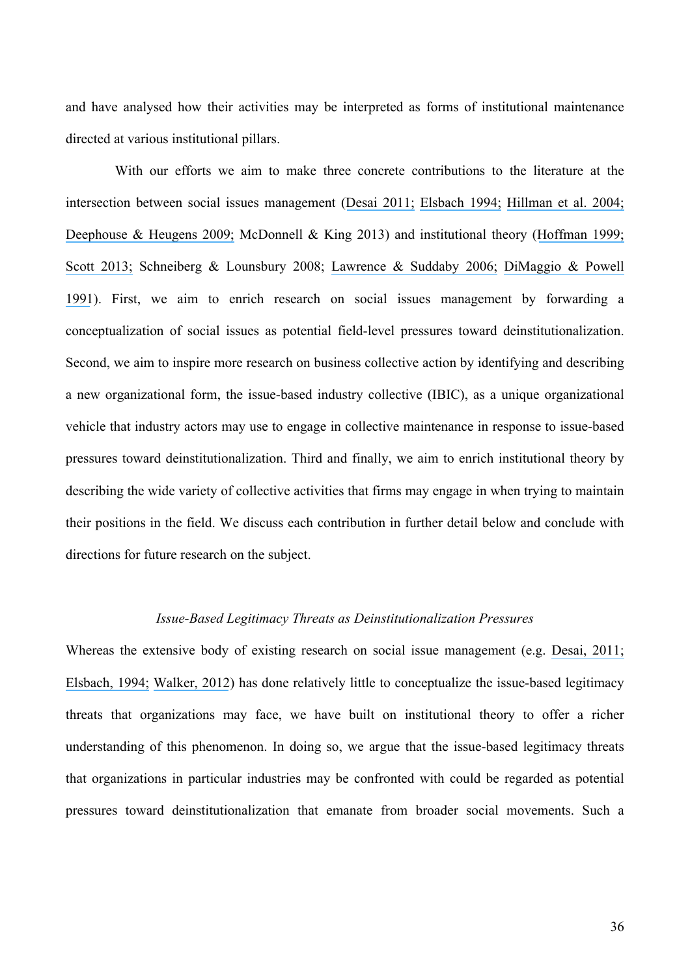and have analysed how their activities may be interpreted as forms of institutional maintenance directed at various institutional pillars.

With our efforts we aim to make three concrete contributions to the literature at the intersection between social issues management ([Desai 2011;](https://www.researchgate.net/publication/283816406_Mass_Media_and_Massive_Failures_Determining_Organizational_Efforts_to_Defend_Field_Legitimacy_Following_Crises?el=1_x_8&enrichId=rgreq-98966ac44f9a416928703b9e6a6f6cb8-XXX&enrichSource=Y292ZXJQYWdlOzMwNTkwNTAwMDtBUzozOTE4NDg4MjU3Njk5ODZAMTQ3MDQzNTQ0ODc0Mg==) [Elsbach 1994;](https://www.researchgate.net/publication/242075551_Managing_Organizational_Legitimacy_in_the_California_Cattle_Industry_The_Construction_and_Effectiveness_of_Verbal_Accounts?el=1_x_8&enrichId=rgreq-98966ac44f9a416928703b9e6a6f6cb8-XXX&enrichSource=Y292ZXJQYWdlOzMwNTkwNTAwMDtBUzozOTE4NDg4MjU3Njk5ODZAMTQ3MDQzNTQ0ODc0Mg==) [Hillman et al. 2004;](https://www.researchgate.net/publication/239485073_Corporate_Political_Activity_A_Review_and_Research_Agenda?el=1_x_8&enrichId=rgreq-98966ac44f9a416928703b9e6a6f6cb8-XXX&enrichSource=Y292ZXJQYWdlOzMwNTkwNTAwMDtBUzozOTE4NDg4MjU3Njk5ODZAMTQ3MDQzNTQ0ODc0Mg==) [Deephouse & Heugens 2009;](https://www.researchgate.net/publication/225661876_Linking_Social_Issues_to_Organizational_Impact_The_Role_of_Infomediaries_and_the_Infomediary_Process?el=1_x_8&enrichId=rgreq-98966ac44f9a416928703b9e6a6f6cb8-XXX&enrichSource=Y292ZXJQYWdlOzMwNTkwNTAwMDtBUzozOTE4NDg4MjU3Njk5ODZAMTQ3MDQzNTQ0ODc0Mg==) McDonnell & King 2013) and institutional theory ([Hoffman 1999;](https://www.researchgate.net/publication/265239904_Institutional_Evolution_and_Change_Environmentalism_and_the_US_Chemical_Industry?el=1_x_8&enrichId=rgreq-98966ac44f9a416928703b9e6a6f6cb8-XXX&enrichSource=Y292ZXJQYWdlOzMwNTkwNTAwMDtBUzozOTE4NDg4MjU3Njk5ODZAMTQ3MDQzNTQ0ODc0Mg==) [Scott 2013;](https://www.researchgate.net/publication/281019875_W_Richard_SCOTT_1995_Institutions_and_Organizations_Ideas_Interests_and_Identities?el=1_x_8&enrichId=rgreq-98966ac44f9a416928703b9e6a6f6cb8-XXX&enrichSource=Y292ZXJQYWdlOzMwNTkwNTAwMDtBUzozOTE4NDg4MjU3Njk5ODZAMTQ3MDQzNTQ0ODc0Mg==) Schneiberg & Lounsbury 2008; [Lawrence & Suddaby 2006;](https://www.researchgate.net/publication/242437344_Institutions_and_institutional_work?el=1_x_8&enrichId=rgreq-98966ac44f9a416928703b9e6a6f6cb8-XXX&enrichSource=Y292ZXJQYWdlOzMwNTkwNTAwMDtBUzozOTE4NDg4MjU3Njk5ODZAMTQ3MDQzNTQ0ODc0Mg==) [DiMaggio & Powell](https://www.researchgate.net/publication/274204692_The_New_Institutionalism_In_Organizational_Analysis?el=1_x_8&enrichId=rgreq-98966ac44f9a416928703b9e6a6f6cb8-XXX&enrichSource=Y292ZXJQYWdlOzMwNTkwNTAwMDtBUzozOTE4NDg4MjU3Njk5ODZAMTQ3MDQzNTQ0ODc0Mg==) [1991](https://www.researchgate.net/publication/274204692_The_New_Institutionalism_In_Organizational_Analysis?el=1_x_8&enrichId=rgreq-98966ac44f9a416928703b9e6a6f6cb8-XXX&enrichSource=Y292ZXJQYWdlOzMwNTkwNTAwMDtBUzozOTE4NDg4MjU3Njk5ODZAMTQ3MDQzNTQ0ODc0Mg==)). First, we aim to enrich research on social issues management by forwarding a conceptualization of social issues as potential field-level pressures toward deinstitutionalization. Second, we aim to inspire more research on business collective action by identifying and describing a new organizational form, the issue-based industry collective (IBIC), as a unique organizational vehicle that industry actors may use to engage in collective maintenance in response to issue-based pressures toward deinstitutionalization. Third and finally, we aim to enrich institutional theory by describing the wide variety of collective activities that firms may engage in when trying to maintain their positions in the field. We discuss each contribution in further detail below and conclude with directions for future research on the subject.

#### *Issue-Based Legitimacy Threats as Deinstitutionalization Pressures*

Whereas the extensive body of existing research on social issue management (e.g. [Desai, 2011;](https://www.researchgate.net/publication/283816406_Mass_Media_and_Massive_Failures_Determining_Organizational_Efforts_to_Defend_Field_Legitimacy_Following_Crises?el=1_x_8&enrichId=rgreq-98966ac44f9a416928703b9e6a6f6cb8-XXX&enrichSource=Y292ZXJQYWdlOzMwNTkwNTAwMDtBUzozOTE4NDg4MjU3Njk5ODZAMTQ3MDQzNTQ0ODc0Mg==) [Elsbach, 1994;](https://www.researchgate.net/publication/242075551_Managing_Organizational_Legitimacy_in_the_California_Cattle_Industry_The_Construction_and_Effectiveness_of_Verbal_Accounts?el=1_x_8&enrichId=rgreq-98966ac44f9a416928703b9e6a6f6cb8-XXX&enrichSource=Y292ZXJQYWdlOzMwNTkwNTAwMDtBUzozOTE4NDg4MjU3Njk5ODZAMTQ3MDQzNTQ0ODc0Mg==) [Walker, 2012](https://www.researchgate.net/publication/258126552_Putting_a_Face_on_the_Issue_Corporate_Stakeholder_Mobilization_in_Professional_Grassroots_Lobbying_Campaigns?el=1_x_8&enrichId=rgreq-98966ac44f9a416928703b9e6a6f6cb8-XXX&enrichSource=Y292ZXJQYWdlOzMwNTkwNTAwMDtBUzozOTE4NDg4MjU3Njk5ODZAMTQ3MDQzNTQ0ODc0Mg==)) has done relatively little to conceptualize the issue-based legitimacy threats that organizations may face, we have built on institutional theory to offer a richer understanding of this phenomenon. In doing so, we argue that the issue-based legitimacy threats that organizations in particular industries may be confronted with could be regarded as potential pressures toward deinstitutionalization that emanate from broader social movements. Such a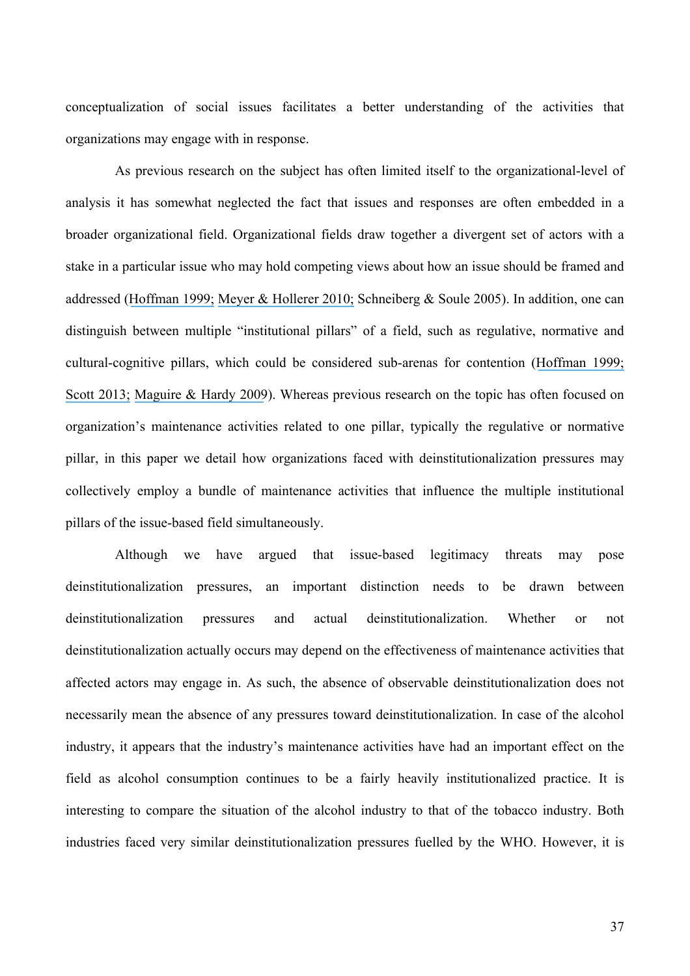conceptualization of social issues facilitates a better understanding of the activities that organizations may engage with in response.

As previous research on the subject has often limited itself to the organizational-level of analysis it has somewhat neglected the fact that issues and responses are often embedded in a broader organizational field. Organizational fields draw together a divergent set of actors with a stake in a particular issue who may hold competing views about how an issue should be framed and addressed ([Hoffman 1999;](https://www.researchgate.net/publication/265239904_Institutional_Evolution_and_Change_Environmentalism_and_the_US_Chemical_Industry?el=1_x_8&enrichId=rgreq-98966ac44f9a416928703b9e6a6f6cb8-XXX&enrichSource=Y292ZXJQYWdlOzMwNTkwNTAwMDtBUzozOTE4NDg4MjU3Njk5ODZAMTQ3MDQzNTQ0ODc0Mg==) [Meyer & Hollerer 2010;](https://www.researchgate.net/publication/280298236_Meaning_structures_in_a_contested_issue_field_A_topographic_map_of_shareholder_value_in_Austria?el=1_x_8&enrichId=rgreq-98966ac44f9a416928703b9e6a6f6cb8-XXX&enrichSource=Y292ZXJQYWdlOzMwNTkwNTAwMDtBUzozOTE4NDg4MjU3Njk5ODZAMTQ3MDQzNTQ0ODc0Mg==) Schneiberg & Soule 2005). In addition, one can distinguish between multiple "institutional pillars" of a field, such as regulative, normative and cultural-cognitive pillars, which could be considered sub-arenas for contention ([Hoffman 1999;](https://www.researchgate.net/publication/265239904_Institutional_Evolution_and_Change_Environmentalism_and_the_US_Chemical_Industry?el=1_x_8&enrichId=rgreq-98966ac44f9a416928703b9e6a6f6cb8-XXX&enrichSource=Y292ZXJQYWdlOzMwNTkwNTAwMDtBUzozOTE4NDg4MjU3Njk5ODZAMTQ3MDQzNTQ0ODc0Mg==) [Scott 2013;](https://www.researchgate.net/publication/281019875_W_Richard_SCOTT_1995_Institutions_and_Organizations_Ideas_Interests_and_Identities?el=1_x_8&enrichId=rgreq-98966ac44f9a416928703b9e6a6f6cb8-XXX&enrichSource=Y292ZXJQYWdlOzMwNTkwNTAwMDtBUzozOTE4NDg4MjU3Njk5ODZAMTQ3MDQzNTQ0ODc0Mg==) [Maguire & Hardy 2009](https://www.researchgate.net/publication/276054186_Discourse_and_Deinstitutionalization_The_Decline_of_DDT?el=1_x_8&enrichId=rgreq-98966ac44f9a416928703b9e6a6f6cb8-XXX&enrichSource=Y292ZXJQYWdlOzMwNTkwNTAwMDtBUzozOTE4NDg4MjU3Njk5ODZAMTQ3MDQzNTQ0ODc0Mg==)). Whereas previous research on the topic has often focused on organization's maintenance activities related to one pillar, typically the regulative or normative pillar, in this paper we detail how organizations faced with deinstitutionalization pressures may collectively employ a bundle of maintenance activities that influence the multiple institutional pillars of the issue-based field simultaneously.

Although we have argued that issue-based legitimacy threats may pose deinstitutionalization pressures, an important distinction needs to be drawn between deinstitutionalization pressures and actual deinstitutionalization. Whether or not deinstitutionalization actually occurs may depend on the effectiveness of maintenance activities that affected actors may engage in. As such, the absence of observable deinstitutionalization does not necessarily mean the absence of any pressures toward deinstitutionalization. In case of the alcohol industry, it appears that the industry's maintenance activities have had an important effect on the field as alcohol consumption continues to be a fairly heavily institutionalized practice. It is interesting to compare the situation of the alcohol industry to that of the tobacco industry. Both industries faced very similar deinstitutionalization pressures fuelled by the WHO. However, it is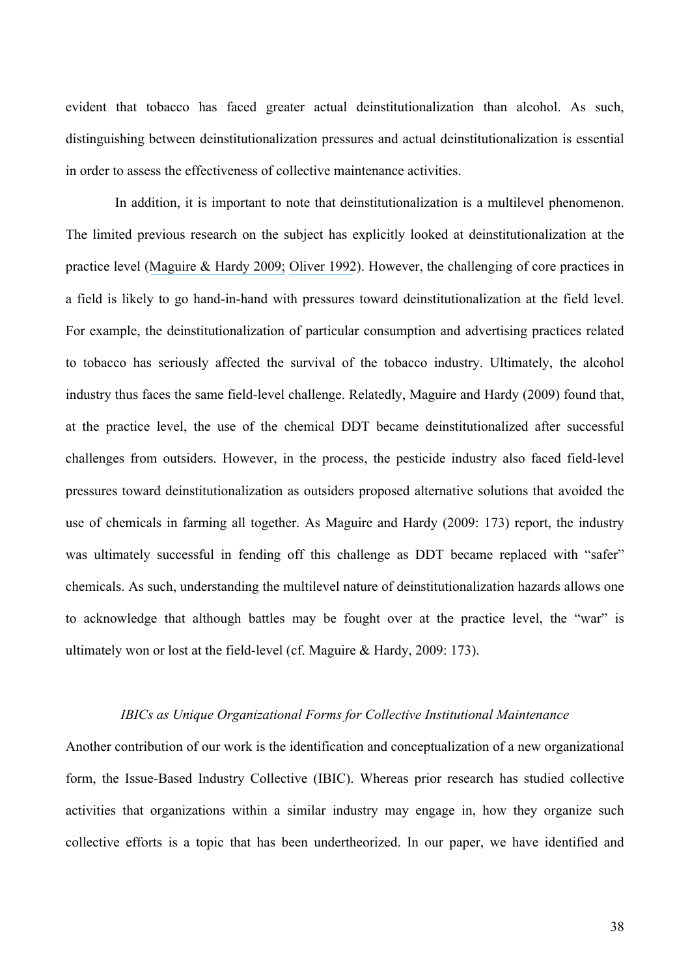evident that tobacco has faced greater actual deinstitutionalization than alcohol. As such, distinguishing between deinstitutionalization pressures and actual deinstitutionalization is essential in order to assess the effectiveness of collective maintenance activities.

In addition, it is important to note that deinstitutionalization is a multilevel phenomenon. The limited previous research on the subject has explicitly looked at deinstitutionalization at the practice level ([Maguire & Hardy 2009;](https://www.researchgate.net/publication/276054186_Discourse_and_Deinstitutionalization_The_Decline_of_DDT?el=1_x_8&enrichId=rgreq-98966ac44f9a416928703b9e6a6f6cb8-XXX&enrichSource=Y292ZXJQYWdlOzMwNTkwNTAwMDtBUzozOTE4NDg4MjU3Njk5ODZAMTQ3MDQzNTQ0ODc0Mg==) [Oliver 1992](https://www.researchgate.net/publication/247762405_The_Antecedents_of_Deinstitutionalization?el=1_x_8&enrichId=rgreq-98966ac44f9a416928703b9e6a6f6cb8-XXX&enrichSource=Y292ZXJQYWdlOzMwNTkwNTAwMDtBUzozOTE4NDg4MjU3Njk5ODZAMTQ3MDQzNTQ0ODc0Mg==)). However, the challenging of core practices in a field is likely to go hand-in-hand with pressures toward deinstitutionalization at the field level. For example, the deinstitutionalization of particular consumption and advertising practices related to tobacco has seriously affected the survival of the tobacco industry. Ultimately, the alcohol industry thus faces the same field-level challenge. Relatedly, Maguire and Hardy (2009) found that, at the practice level, the use of the chemical DDT became deinstitutionalized after successful challenges from outsiders. However, in the process, the pesticide industry also faced field-level pressures toward deinstitutionalization as outsiders proposed alternative solutions that avoided the use of chemicals in farming all together. As Maguire and Hardy (2009: 173) report, the industry was ultimately successful in fending off this challenge as DDT became replaced with "safer" chemicals. As such, understanding the multilevel nature of deinstitutionalization hazards allows one to acknowledge that although battles may be fought over at the practice level, the "war" is ultimately won or lost at the field-level (cf. Maguire & Hardy, 2009: 173).

#### *IBICs as Unique Organizational Forms for Collective Institutional Maintenance*

Another contribution of our work is the identification and conceptualization of a new organizational form, the Issue-Based Industry Collective (IBIC). Whereas prior research has studied collective activities that organizations within a similar industry may engage in, how they organize such collective efforts is a topic that has been undertheorized. In our paper, we have identified and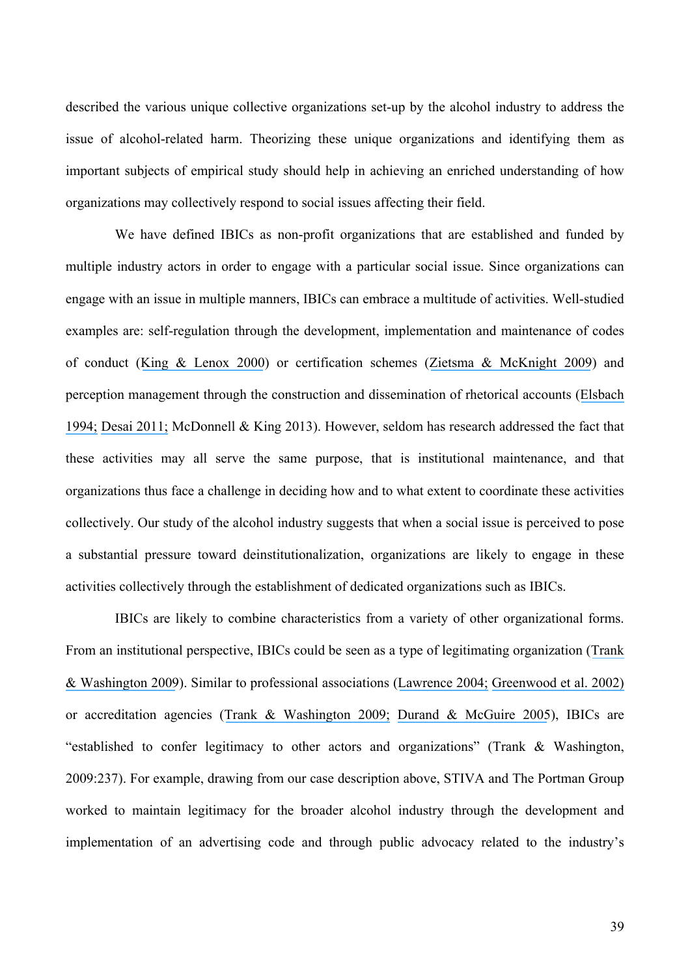described the various unique collective organizations set-up by the alcohol industry to address the issue of alcohol-related harm. Theorizing these unique organizations and identifying them as important subjects of empirical study should help in achieving an enriched understanding of how organizations may collectively respond to social issues affecting their field.

We have defined IBICs as non-profit organizations that are established and funded by multiple industry actors in order to engage with a particular social issue. Since organizations can engage with an issue in multiple manners, IBICs can embrace a multitude of activities. Well-studied examples are: self-regulation through the development, implementation and maintenance of codes of conduct ([King & Lenox 2000](https://www.researchgate.net/publication/2586144_Industry_Self-Regulation_Without_Sanctions_The_Chemical_Industry)) or certification schemes ([Zietsma & McKnight 2009](https://www.researchgate.net/publication/286666672_Building_the_Iron_cage_Institutional_creation_work_in_the_context_of_competing_proto-institutions?el=1_x_8&enrichId=rgreq-98966ac44f9a416928703b9e6a6f6cb8-XXX&enrichSource=Y292ZXJQYWdlOzMwNTkwNTAwMDtBUzozOTE4NDg4MjU3Njk5ODZAMTQ3MDQzNTQ0ODc0Mg==)) and perception management through the construction and dissemination of rhetorical accounts ([Elsbach](https://www.researchgate.net/publication/242075551_Managing_Organizational_Legitimacy_in_the_California_Cattle_Industry_The_Construction_and_Effectiveness_of_Verbal_Accounts?el=1_x_8&enrichId=rgreq-98966ac44f9a416928703b9e6a6f6cb8-XXX&enrichSource=Y292ZXJQYWdlOzMwNTkwNTAwMDtBUzozOTE4NDg4MjU3Njk5ODZAMTQ3MDQzNTQ0ODc0Mg==) [1994;](https://www.researchgate.net/publication/242075551_Managing_Organizational_Legitimacy_in_the_California_Cattle_Industry_The_Construction_and_Effectiveness_of_Verbal_Accounts?el=1_x_8&enrichId=rgreq-98966ac44f9a416928703b9e6a6f6cb8-XXX&enrichSource=Y292ZXJQYWdlOzMwNTkwNTAwMDtBUzozOTE4NDg4MjU3Njk5ODZAMTQ3MDQzNTQ0ODc0Mg==) [Desai 2011;](https://www.researchgate.net/publication/283816406_Mass_Media_and_Massive_Failures_Determining_Organizational_Efforts_to_Defend_Field_Legitimacy_Following_Crises?el=1_x_8&enrichId=rgreq-98966ac44f9a416928703b9e6a6f6cb8-XXX&enrichSource=Y292ZXJQYWdlOzMwNTkwNTAwMDtBUzozOTE4NDg4MjU3Njk5ODZAMTQ3MDQzNTQ0ODc0Mg==) McDonnell & King 2013). However, seldom has research addressed the fact that these activities may all serve the same purpose, that is institutional maintenance, and that organizations thus face a challenge in deciding how and to what extent to coordinate these activities collectively. Our study of the alcohol industry suggests that when a social issue is perceived to pose a substantial pressure toward deinstitutionalization, organizations are likely to engage in these activities collectively through the establishment of dedicated organizations such as IBICs.

IBICs are likely to combine characteristics from a variety of other organizational forms. From an institutional perspective, IBICs could be seen as a type of legitimating organization ([Trank](https://www.researchgate.net/publication/289028552_Maintaining_an_institution_in_a_contested_organizational_field_The_work_of_the_AACSB_and_its_constituents?el=1_x_8&enrichId=rgreq-98966ac44f9a416928703b9e6a6f6cb8-XXX&enrichSource=Y292ZXJQYWdlOzMwNTkwNTAwMDtBUzozOTE4NDg4MjU3Njk5ODZAMTQ3MDQzNTQ0ODc0Mg==) [& Washington 2009](https://www.researchgate.net/publication/289028552_Maintaining_an_institution_in_a_contested_organizational_field_The_work_of_the_AACSB_and_its_constituents?el=1_x_8&enrichId=rgreq-98966ac44f9a416928703b9e6a6f6cb8-XXX&enrichSource=Y292ZXJQYWdlOzMwNTkwNTAwMDtBUzozOTE4NDg4MjU3Njk5ODZAMTQ3MDQzNTQ0ODc0Mg==)). Similar to professional associations ([Lawrence 2004;](https://www.researchgate.net/publication/254427746_Rituals_and_Resistance_Membership_Dynamics_in_Professional_Fields?el=1_x_8&enrichId=rgreq-98966ac44f9a416928703b9e6a6f6cb8-XXX&enrichSource=Y292ZXJQYWdlOzMwNTkwNTAwMDtBUzozOTE4NDg4MjU3Njk5ODZAMTQ3MDQzNTQ0ODc0Mg==) [Greenwood et al. 2002\)](https://www.researchgate.net/publication/256843724_Theorizing_change_The_role_of_professional_associations_in_the_transformation_of_institutionalized_fields?el=1_x_8&enrichId=rgreq-98966ac44f9a416928703b9e6a6f6cb8-XXX&enrichSource=Y292ZXJQYWdlOzMwNTkwNTAwMDtBUzozOTE4NDg4MjU3Njk5ODZAMTQ3MDQzNTQ0ODc0Mg==) or accreditation agencies ([Trank & Washington 2009;](https://www.researchgate.net/publication/289028552_Maintaining_an_institution_in_a_contested_organizational_field_The_work_of_the_AACSB_and_its_constituents?el=1_x_8&enrichId=rgreq-98966ac44f9a416928703b9e6a6f6cb8-XXX&enrichSource=Y292ZXJQYWdlOzMwNTkwNTAwMDtBUzozOTE4NDg4MjU3Njk5ODZAMTQ3MDQzNTQ0ODc0Mg==) [Durand & McGuire 2005](https://www.researchgate.net/publication/278811516_Legitimating_Agencies_in_the_Face_of_Selection_The_Case_of_AACSB?el=1_x_8&enrichId=rgreq-98966ac44f9a416928703b9e6a6f6cb8-XXX&enrichSource=Y292ZXJQYWdlOzMwNTkwNTAwMDtBUzozOTE4NDg4MjU3Njk5ODZAMTQ3MDQzNTQ0ODc0Mg==)), IBICs are "established to confer legitimacy to other actors and organizations" (Trank & Washington, 2009:237). For example, drawing from our case description above, STIVA and The Portman Group worked to maintain legitimacy for the broader alcohol industry through the development and implementation of an advertising code and through public advocacy related to the industry's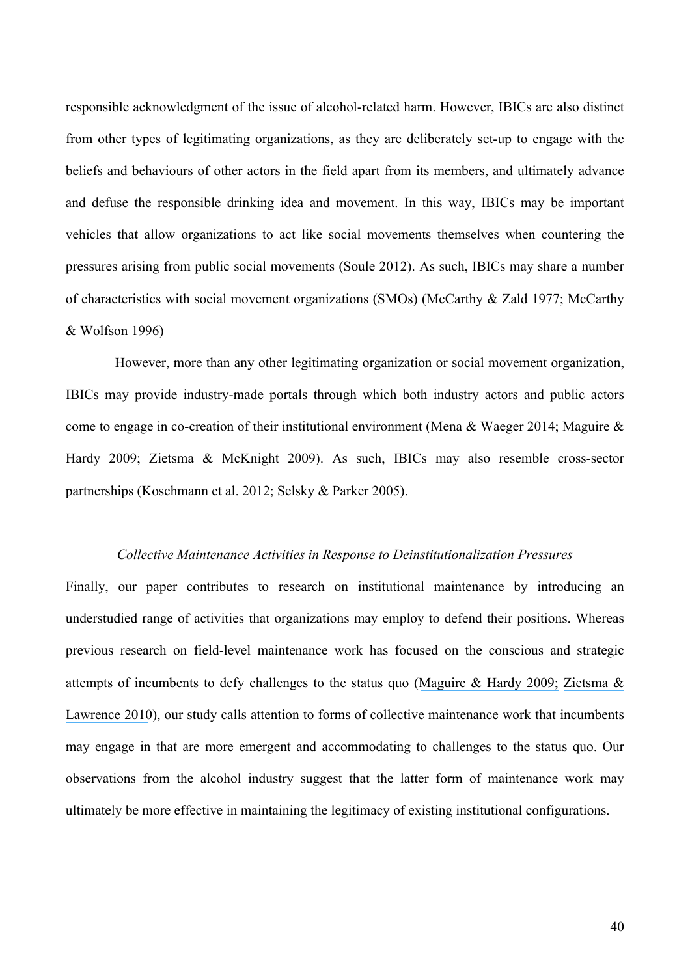responsible acknowledgment of the issue of alcohol-related harm. However, IBICs are also distinct from other types of legitimating organizations, as they are deliberately set-up to engage with the beliefs and behaviours of other actors in the field apart from its members, and ultimately advance and defuse the responsible drinking idea and movement. In this way, IBICs may be important vehicles that allow organizations to act like social movements themselves when countering the pressures arising from public social movements (Soule 2012). As such, IBICs may share a number of characteristics with social movement organizations (SMOs) (McCarthy & Zald 1977; McCarthy & Wolfson 1996)

However, more than any other legitimating organization or social movement organization, IBICs may provide industry-made portals through which both industry actors and public actors come to engage in co-creation of their institutional environment (Mena & Waeger 2014; Maguire & Hardy 2009; Zietsma & McKnight 2009). As such, IBICs may also resemble cross-sector partnerships (Koschmann et al. 2012; Selsky & Parker 2005).

#### *Collective Maintenance Activities in Response to Deinstitutionalization Pressures*

Finally, our paper contributes to research on institutional maintenance by introducing an understudied range of activities that organizations may employ to defend their positions. Whereas previous research on field-level maintenance work has focused on the conscious and strategic attempts of incumbents to defy challenges to the status quo ([Maguire & Hardy 2009;](https://www.researchgate.net/publication/276054186_Discourse_and_Deinstitutionalization_The_Decline_of_DDT?el=1_x_8&enrichId=rgreq-98966ac44f9a416928703b9e6a6f6cb8-XXX&enrichSource=Y292ZXJQYWdlOzMwNTkwNTAwMDtBUzozOTE4NDg4MjU3Njk5ODZAMTQ3MDQzNTQ0ODc0Mg==) [Zietsma &](https://www.researchgate.net/publication/236332862_Institutional_Work_in_the_Transformation_of_an_Organizational_Field_The_Interplay_of_Boundary_Work_and_Practice_Work?el=1_x_8&enrichId=rgreq-98966ac44f9a416928703b9e6a6f6cb8-XXX&enrichSource=Y292ZXJQYWdlOzMwNTkwNTAwMDtBUzozOTE4NDg4MjU3Njk5ODZAMTQ3MDQzNTQ0ODc0Mg==) [Lawrence 2010](https://www.researchgate.net/publication/236332862_Institutional_Work_in_the_Transformation_of_an_Organizational_Field_The_Interplay_of_Boundary_Work_and_Practice_Work?el=1_x_8&enrichId=rgreq-98966ac44f9a416928703b9e6a6f6cb8-XXX&enrichSource=Y292ZXJQYWdlOzMwNTkwNTAwMDtBUzozOTE4NDg4MjU3Njk5ODZAMTQ3MDQzNTQ0ODc0Mg==)), our study calls attention to forms of collective maintenance work that incumbents may engage in that are more emergent and accommodating to challenges to the status quo. Our observations from the alcohol industry suggest that the latter form of maintenance work may ultimately be more effective in maintaining the legitimacy of existing institutional configurations.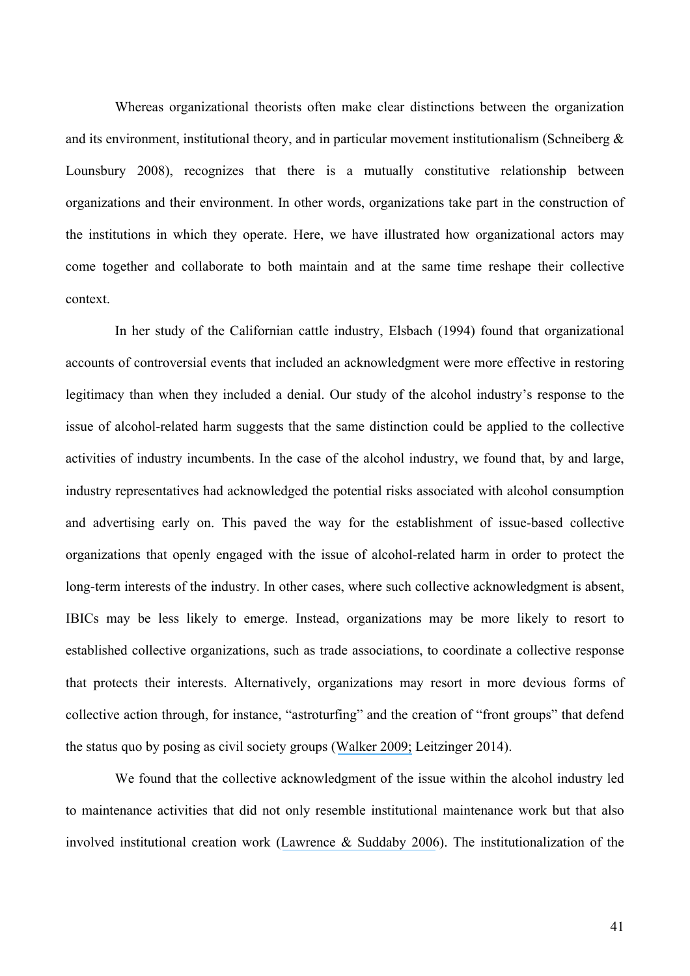Whereas organizational theorists often make clear distinctions between the organization and its environment, institutional theory, and in particular movement institutionalism (Schneiberg  $\&$ Lounsbury 2008), recognizes that there is a mutually constitutive relationship between organizations and their environment. In other words, organizations take part in the construction of the institutions in which they operate. Here, we have illustrated how organizational actors may come together and collaborate to both maintain and at the same time reshape their collective context.

In her study of the Californian cattle industry, Elsbach (1994) found that organizational accounts of controversial events that included an acknowledgment were more effective in restoring legitimacy than when they included a denial. Our study of the alcohol industry's response to the issue of alcohol-related harm suggests that the same distinction could be applied to the collective activities of industry incumbents. In the case of the alcohol industry, we found that, by and large, industry representatives had acknowledged the potential risks associated with alcohol consumption and advertising early on. This paved the way for the establishment of issue-based collective organizations that openly engaged with the issue of alcohol-related harm in order to protect the long-term interests of the industry. In other cases, where such collective acknowledgment is absent, IBICs may be less likely to emerge. Instead, organizations may be more likely to resort to established collective organizations, such as trade associations, to coordinate a collective response that protects their interests. Alternatively, organizations may resort in more devious forms of collective action through, for instance, "astroturfing" and the creation of "front groups" that defend the status quo by posing as civil society groups ([Walker 2009;](https://www.researchgate.net/publication/254078727_Privatizing_Participation_Civic_Change_and_the_Organizational_Dynamics_of_Grassroots_Lobbying_Firms?el=1_x_8&enrichId=rgreq-98966ac44f9a416928703b9e6a6f6cb8-XXX&enrichSource=Y292ZXJQYWdlOzMwNTkwNTAwMDtBUzozOTE4NDg4MjU3Njk5ODZAMTQ3MDQzNTQ0ODc0Mg==) Leitzinger 2014).

We found that the collective acknowledgment of the issue within the alcohol industry led to maintenance activities that did not only resemble institutional maintenance work but that also involved institutional creation work ([Lawrence & Suddaby 2006](https://www.researchgate.net/publication/242437344_Institutions_and_institutional_work?el=1_x_8&enrichId=rgreq-98966ac44f9a416928703b9e6a6f6cb8-XXX&enrichSource=Y292ZXJQYWdlOzMwNTkwNTAwMDtBUzozOTE4NDg4MjU3Njk5ODZAMTQ3MDQzNTQ0ODc0Mg==)). The institutionalization of the

41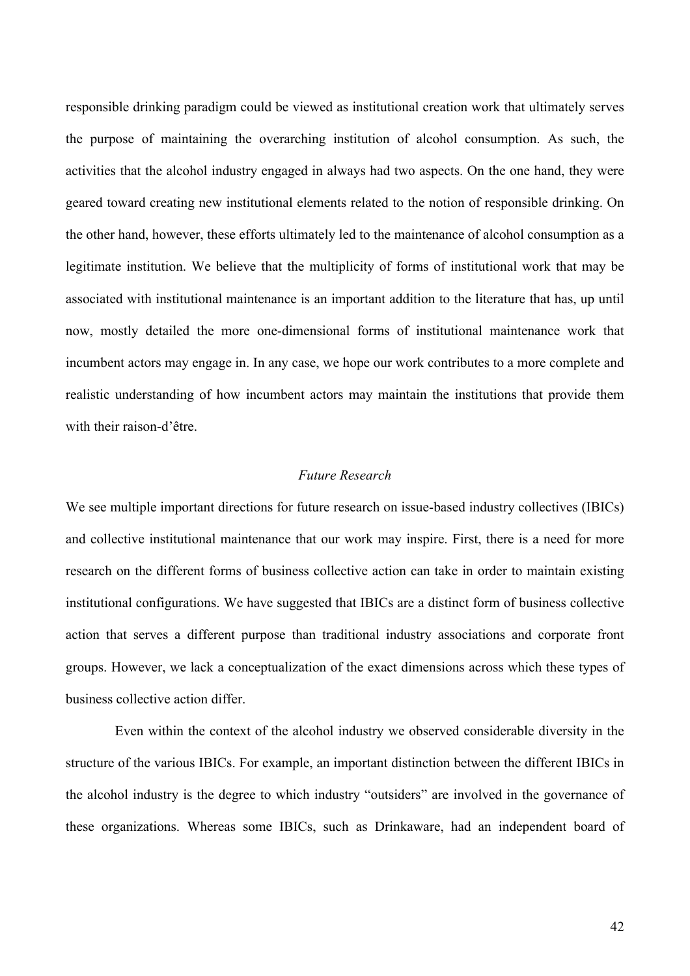responsible drinking paradigm could be viewed as institutional creation work that ultimately serves the purpose of maintaining the overarching institution of alcohol consumption. As such, the activities that the alcohol industry engaged in always had two aspects. On the one hand, they were geared toward creating new institutional elements related to the notion of responsible drinking. On the other hand, however, these efforts ultimately led to the maintenance of alcohol consumption as a legitimate institution. We believe that the multiplicity of forms of institutional work that may be associated with institutional maintenance is an important addition to the literature that has, up until now, mostly detailed the more one-dimensional forms of institutional maintenance work that incumbent actors may engage in. In any case, we hope our work contributes to a more complete and realistic understanding of how incumbent actors may maintain the institutions that provide them with their raison-d'être.

# *Future Research*

We see multiple important directions for future research on issue-based industry collectives (IBICs) and collective institutional maintenance that our work may inspire. First, there is a need for more research on the different forms of business collective action can take in order to maintain existing institutional configurations. We have suggested that IBICs are a distinct form of business collective action that serves a different purpose than traditional industry associations and corporate front groups. However, we lack a conceptualization of the exact dimensions across which these types of business collective action differ.

Even within the context of the alcohol industry we observed considerable diversity in the structure of the various IBICs. For example, an important distinction between the different IBICs in the alcohol industry is the degree to which industry "outsiders" are involved in the governance of these organizations. Whereas some IBICs, such as Drinkaware, had an independent board of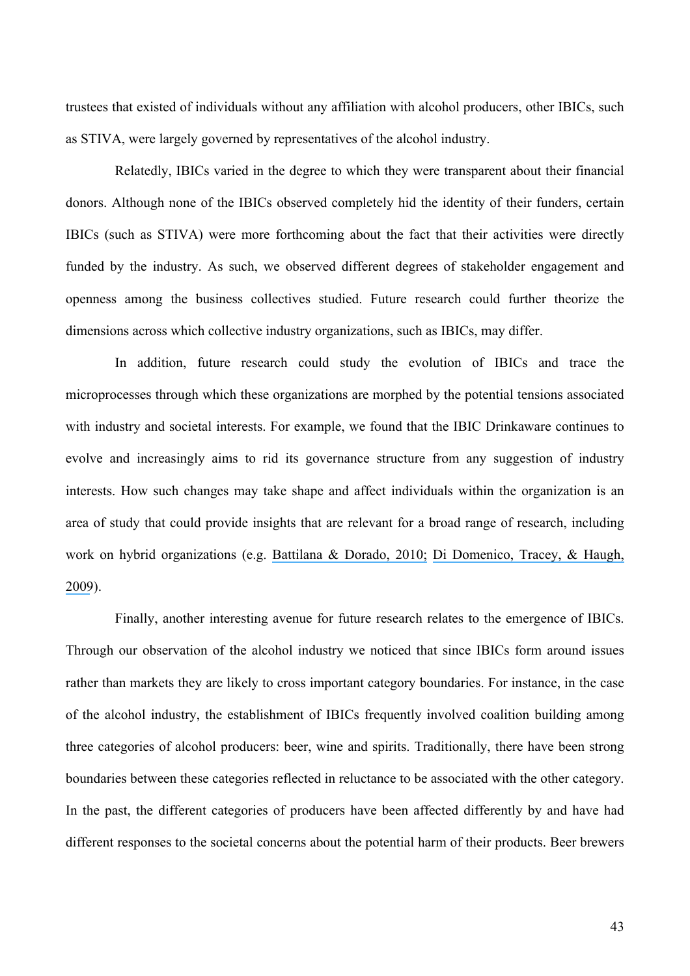trustees that existed of individuals without any affiliation with alcohol producers, other IBICs, such as STIVA, were largely governed by representatives of the alcohol industry.

Relatedly, IBICs varied in the degree to which they were transparent about their financial donors. Although none of the IBICs observed completely hid the identity of their funders, certain IBICs (such as STIVA) were more forthcoming about the fact that their activities were directly funded by the industry. As such, we observed different degrees of stakeholder engagement and openness among the business collectives studied. Future research could further theorize the dimensions across which collective industry organizations, such as IBICs, may differ.

In addition, future research could study the evolution of IBICs and trace the microprocesses through which these organizations are morphed by the potential tensions associated with industry and societal interests. For example, we found that the IBIC Drinkaware continues to evolve and increasingly aims to rid its governance structure from any suggestion of industry interests. How such changes may take shape and affect individuals within the organization is an area of study that could provide insights that are relevant for a broad range of research, including work on hybrid organizations (e.g. [Battilana & Dorado, 2010;](https://www.researchgate.net/publication/259285229_Building_Sustainable_Hybrid_Organizations_The_Case_of_Commercial_Microfinance_Organizations?el=1_x_8&enrichId=rgreq-98966ac44f9a416928703b9e6a6f6cb8-XXX&enrichSource=Y292ZXJQYWdlOzMwNTkwNTAwMDtBUzozOTE4NDg4MjU3Njk5ODZAMTQ3MDQzNTQ0ODc0Mg==) [Di Domenico, Tracey, & Haugh,](https://www.researchgate.net/publication/47654389_The_Dialectic_of_Social_Exchange_Theorizing_Corporate-Social_Enterprise_Collaboration?el=1_x_8&enrichId=rgreq-98966ac44f9a416928703b9e6a6f6cb8-XXX&enrichSource=Y292ZXJQYWdlOzMwNTkwNTAwMDtBUzozOTE4NDg4MjU3Njk5ODZAMTQ3MDQzNTQ0ODc0Mg==) [2009](https://www.researchgate.net/publication/47654389_The_Dialectic_of_Social_Exchange_Theorizing_Corporate-Social_Enterprise_Collaboration?el=1_x_8&enrichId=rgreq-98966ac44f9a416928703b9e6a6f6cb8-XXX&enrichSource=Y292ZXJQYWdlOzMwNTkwNTAwMDtBUzozOTE4NDg4MjU3Njk5ODZAMTQ3MDQzNTQ0ODc0Mg==)).

Finally, another interesting avenue for future research relates to the emergence of IBICs. Through our observation of the alcohol industry we noticed that since IBICs form around issues rather than markets they are likely to cross important category boundaries. For instance, in the case of the alcohol industry, the establishment of IBICs frequently involved coalition building among three categories of alcohol producers: beer, wine and spirits. Traditionally, there have been strong boundaries between these categories reflected in reluctance to be associated with the other category. In the past, the different categories of producers have been affected differently by and have had different responses to the societal concerns about the potential harm of their products. Beer brewers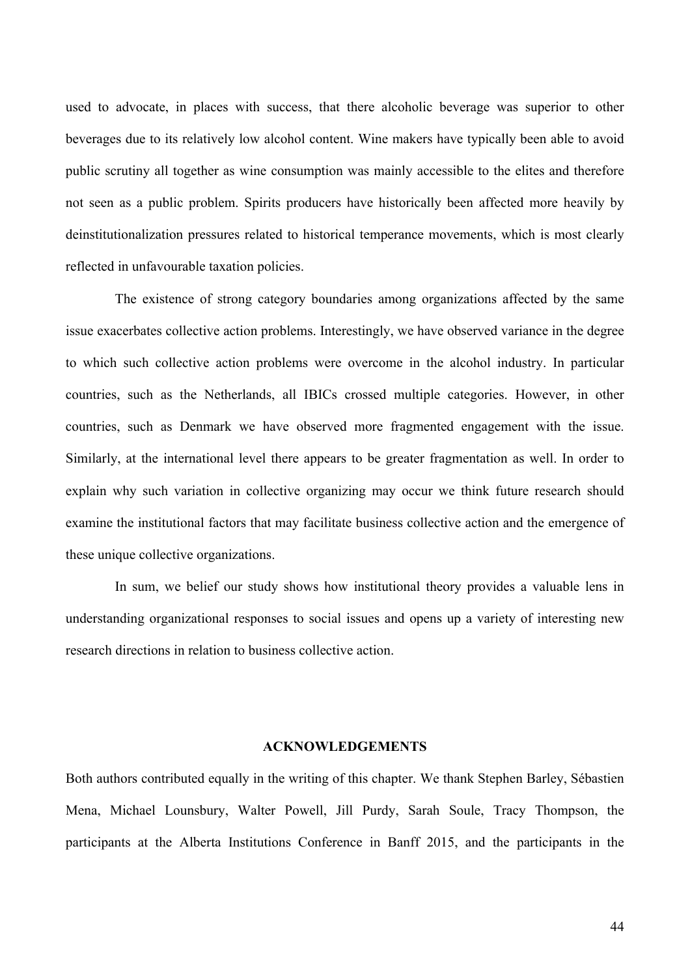used to advocate, in places with success, that there alcoholic beverage was superior to other beverages due to its relatively low alcohol content. Wine makers have typically been able to avoid public scrutiny all together as wine consumption was mainly accessible to the elites and therefore not seen as a public problem. Spirits producers have historically been affected more heavily by deinstitutionalization pressures related to historical temperance movements, which is most clearly reflected in unfavourable taxation policies.

The existence of strong category boundaries among organizations affected by the same issue exacerbates collective action problems. Interestingly, we have observed variance in the degree to which such collective action problems were overcome in the alcohol industry. In particular countries, such as the Netherlands, all IBICs crossed multiple categories. However, in other countries, such as Denmark we have observed more fragmented engagement with the issue. Similarly, at the international level there appears to be greater fragmentation as well. In order to explain why such variation in collective organizing may occur we think future research should examine the institutional factors that may facilitate business collective action and the emergence of these unique collective organizations.

In sum, we belief our study shows how institutional theory provides a valuable lens in understanding organizational responses to social issues and opens up a variety of interesting new research directions in relation to business collective action.

#### **ACKNOWLEDGEMENTS**

Both authors contributed equally in the writing of this chapter. We thank Stephen Barley, Sébastien Mena, Michael Lounsbury, Walter Powell, Jill Purdy, Sarah Soule, Tracy Thompson, the participants at the Alberta Institutions Conference in Banff 2015, and the participants in the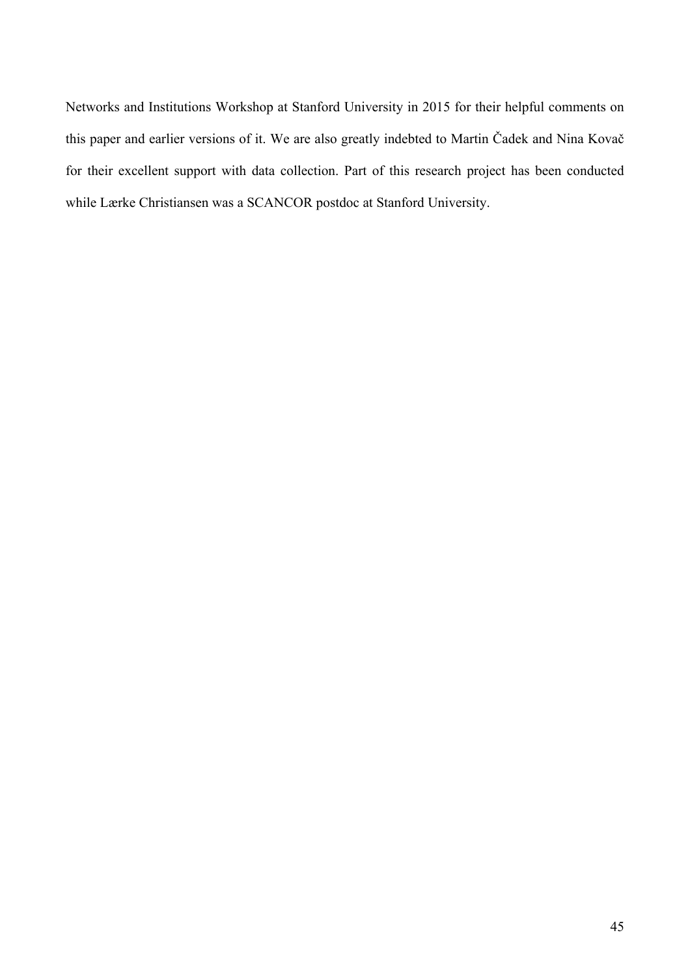Networks and Institutions Workshop at Stanford University in 2015 for their helpful comments on this paper and earlier versions of it. We are also greatly indebted to Martin Čadek and Nina Kovač for their excellent support with data collection. Part of this research project has been conducted while Lærke Christiansen was a SCANCOR postdoc at Stanford University.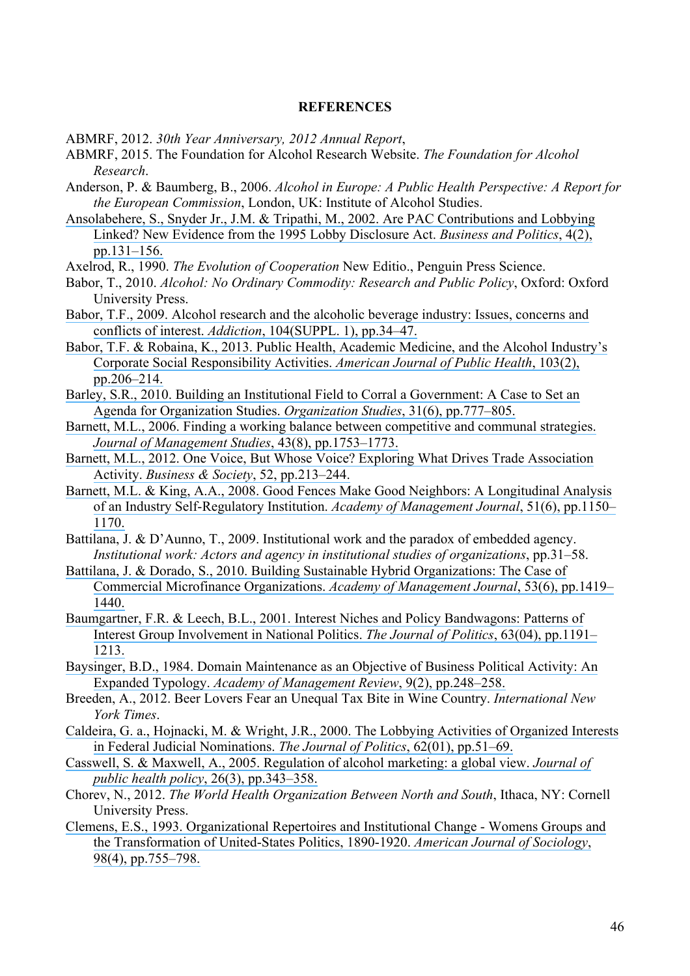## **REFERENCES**

- ABMRF, 2012. *30th Year Anniversary, 2012 Annual Report*,
- ABMRF, 2015. The Foundation for Alcohol Research Website. *The Foundation for Alcohol Research*.
- Anderson, P. & Baumberg, B., 2006. *Alcohol in Europe: A Public Health Perspective: A Report for the European Commission*, London, UK: Institute of Alcohol Studies.
- [Ansolabehere, S., Snyder Jr., J.M. & Tripathi, M., 2002. Are PAC Contributions and Lobbying](https://www.researchgate.net/publication/4985255_Are_PAC_Contributions_and_Lobbying_Linked_New_Evidence_from_the_1995_Lobby_Disclosure_Act?el=1_x_8&enrichId=rgreq-98966ac44f9a416928703b9e6a6f6cb8-XXX&enrichSource=Y292ZXJQYWdlOzMwNTkwNTAwMDtBUzozOTE4NDg4MjU3Njk5ODZAMTQ3MDQzNTQ0ODc0Mg==) [Linked? New Evidence from the 1995 Lobby Disclosure Act.](https://www.researchgate.net/publication/4985255_Are_PAC_Contributions_and_Lobbying_Linked_New_Evidence_from_the_1995_Lobby_Disclosure_Act?el=1_x_8&enrichId=rgreq-98966ac44f9a416928703b9e6a6f6cb8-XXX&enrichSource=Y292ZXJQYWdlOzMwNTkwNTAwMDtBUzozOTE4NDg4MjU3Njk5ODZAMTQ3MDQzNTQ0ODc0Mg==) *Business and Politics*, 4(2), [pp.131–156.](https://www.researchgate.net/publication/4985255_Are_PAC_Contributions_and_Lobbying_Linked_New_Evidence_from_the_1995_Lobby_Disclosure_Act?el=1_x_8&enrichId=rgreq-98966ac44f9a416928703b9e6a6f6cb8-XXX&enrichSource=Y292ZXJQYWdlOzMwNTkwNTAwMDtBUzozOTE4NDg4MjU3Njk5ODZAMTQ3MDQzNTQ0ODc0Mg==)

Axelrod, R., 1990. *The Evolution of Cooperation* New Editio., Penguin Press Science.

- Babor, T., 2010. *Alcohol: No Ordinary Commodity: Research and Public Policy*, Oxford: Oxford University Press.
- [Babor, T.F., 2009. Alcohol research and the alcoholic beverage industry: Issues, concerns and](https://www.researchgate.net/publication/23783792_Alcohol_research_and_the_alcoholic_beverage_industry_Issues_concerns_and_conflicts_of_interest?el=1_x_8&enrichId=rgreq-98966ac44f9a416928703b9e6a6f6cb8-XXX&enrichSource=Y292ZXJQYWdlOzMwNTkwNTAwMDtBUzozOTE4NDg4MjU3Njk5ODZAMTQ3MDQzNTQ0ODc0Mg==)  conflicts of interest. *Addiction*[, 104\(SUPPL. 1\), pp.34–47.](https://www.researchgate.net/publication/23783792_Alcohol_research_and_the_alcoholic_beverage_industry_Issues_concerns_and_conflicts_of_interest?el=1_x_8&enrichId=rgreq-98966ac44f9a416928703b9e6a6f6cb8-XXX&enrichSource=Y292ZXJQYWdlOzMwNTkwNTAwMDtBUzozOTE4NDg4MjU3Njk5ODZAMTQ3MDQzNTQ0ODc0Mg==)
- [Babor, T.F. & Robaina, K., 2013. Public Health, Academic Medicine, and the Alcohol Industry's](https://www.researchgate.net/publication/233912860_Public_Health_Academic_Medicine_and_the_Alcohol_Industry)  Corporate Social Responsibility Activities. *[American Journal of Public Health](https://www.researchgate.net/publication/233912860_Public_Health_Academic_Medicine_and_the_Alcohol_Industry)*, 103(2), [pp.206–214.](https://www.researchgate.net/publication/233912860_Public_Health_Academic_Medicine_and_the_Alcohol_Industry)
- [Barley, S.R., 2010. Building an Institutional Field to Corral a Government: A Case to Set an](https://www.researchgate.net/publication/270726455_Building_an_Institutional_Field_to_Corral_a_Government_A_Case_to_Set_an_Agenda_for_Organization_Studies?el=1_x_8&enrichId=rgreq-98966ac44f9a416928703b9e6a6f6cb8-XXX&enrichSource=Y292ZXJQYWdlOzMwNTkwNTAwMDtBUzozOTE4NDg4MjU3Njk5ODZAMTQ3MDQzNTQ0ODc0Mg==)  [Agenda for Organization Studies.](https://www.researchgate.net/publication/270726455_Building_an_Institutional_Field_to_Corral_a_Government_A_Case_to_Set_an_Agenda_for_Organization_Studies?el=1_x_8&enrichId=rgreq-98966ac44f9a416928703b9e6a6f6cb8-XXX&enrichSource=Y292ZXJQYWdlOzMwNTkwNTAwMDtBUzozOTE4NDg4MjU3Njk5ODZAMTQ3MDQzNTQ0ODc0Mg==) *Organization Studies*, 31(6), pp.777–805.
- [Barnett, M.L., 2006. Finding a working balance between competitive and communal strategies.](https://www.researchgate.net/publication/4993066_Finding_a_Working_Balance_Between_Competitive_and_Communal_Strategies?el=1_x_8&enrichId=rgreq-98966ac44f9a416928703b9e6a6f6cb8-XXX&enrichSource=Y292ZXJQYWdlOzMwNTkwNTAwMDtBUzozOTE4NDg4MjU3Njk5ODZAMTQ3MDQzNTQ0ODc0Mg==) *[Journal of Management Studies](https://www.researchgate.net/publication/4993066_Finding_a_Working_Balance_Between_Competitive_and_Communal_Strategies?el=1_x_8&enrichId=rgreq-98966ac44f9a416928703b9e6a6f6cb8-XXX&enrichSource=Y292ZXJQYWdlOzMwNTkwNTAwMDtBUzozOTE4NDg4MjU3Njk5ODZAMTQ3MDQzNTQ0ODc0Mg==)*, 43(8), pp.1753–1773.
- [Barnett, M.L., 2012. One Voice, But Whose Voice? Exploring What Drives Trade Association](https://www.researchgate.net/publication/228268750_One_Voice_But_Whose_Voice_Exploring_What_Drives_Trade_Association_Activity?el=1_x_8&enrichId=rgreq-98966ac44f9a416928703b9e6a6f6cb8-XXX&enrichSource=Y292ZXJQYWdlOzMwNTkwNTAwMDtBUzozOTE4NDg4MjU3Njk5ODZAMTQ3MDQzNTQ0ODc0Mg==)  Activity. *[Business & Society](https://www.researchgate.net/publication/228268750_One_Voice_But_Whose_Voice_Exploring_What_Drives_Trade_Association_Activity?el=1_x_8&enrichId=rgreq-98966ac44f9a416928703b9e6a6f6cb8-XXX&enrichSource=Y292ZXJQYWdlOzMwNTkwNTAwMDtBUzozOTE4NDg4MjU3Njk5ODZAMTQ3MDQzNTQ0ODc0Mg==)*, 52, pp.213–244.
- [Barnett, M.L. & King, A.A., 2008. Good Fences Make Good Neighbors: A Longitudinal Analysis](https://www.researchgate.net/publication/228133698_Good_Fences_Make_Good_Neighbors_A_Longitudinal_Analysis_of_an_Industry_Self-Regulatory_Institution?el=1_x_8&enrichId=rgreq-98966ac44f9a416928703b9e6a6f6cb8-XXX&enrichSource=Y292ZXJQYWdlOzMwNTkwNTAwMDtBUzozOTE4NDg4MjU3Njk5ODZAMTQ3MDQzNTQ0ODc0Mg==)  [of an Industry Self-Regulatory Institution.](https://www.researchgate.net/publication/228133698_Good_Fences_Make_Good_Neighbors_A_Longitudinal_Analysis_of_an_Industry_Self-Regulatory_Institution?el=1_x_8&enrichId=rgreq-98966ac44f9a416928703b9e6a6f6cb8-XXX&enrichSource=Y292ZXJQYWdlOzMwNTkwNTAwMDtBUzozOTE4NDg4MjU3Njk5ODZAMTQ3MDQzNTQ0ODc0Mg==) *Academy of Management Journal*, 51(6), pp.1150– [1170.](https://www.researchgate.net/publication/228133698_Good_Fences_Make_Good_Neighbors_A_Longitudinal_Analysis_of_an_Industry_Self-Regulatory_Institution?el=1_x_8&enrichId=rgreq-98966ac44f9a416928703b9e6a6f6cb8-XXX&enrichSource=Y292ZXJQYWdlOzMwNTkwNTAwMDtBUzozOTE4NDg4MjU3Njk5ODZAMTQ3MDQzNTQ0ODc0Mg==)
- Battilana, J. & D'Aunno, T., 2009. Institutional work and the paradox of embedded agency. *Institutional work: Actors and agency in institutional studies of organizations*, pp.31–58.
- [Battilana, J. & Dorado, S., 2010. Building Sustainable Hybrid Organizations: The Case of](https://www.researchgate.net/publication/259285229_Building_Sustainable_Hybrid_Organizations_The_Case_of_Commercial_Microfinance_Organizations?el=1_x_8&enrichId=rgreq-98966ac44f9a416928703b9e6a6f6cb8-XXX&enrichSource=Y292ZXJQYWdlOzMwNTkwNTAwMDtBUzozOTE4NDg4MjU3Njk5ODZAMTQ3MDQzNTQ0ODc0Mg==)  [Commercial Microfinance Organizations.](https://www.researchgate.net/publication/259285229_Building_Sustainable_Hybrid_Organizations_The_Case_of_Commercial_Microfinance_Organizations?el=1_x_8&enrichId=rgreq-98966ac44f9a416928703b9e6a6f6cb8-XXX&enrichSource=Y292ZXJQYWdlOzMwNTkwNTAwMDtBUzozOTE4NDg4MjU3Njk5ODZAMTQ3MDQzNTQ0ODc0Mg==) *Academy of Management Journal*, 53(6), pp.1419– [1440.](https://www.researchgate.net/publication/259285229_Building_Sustainable_Hybrid_Organizations_The_Case_of_Commercial_Microfinance_Organizations?el=1_x_8&enrichId=rgreq-98966ac44f9a416928703b9e6a6f6cb8-XXX&enrichSource=Y292ZXJQYWdlOzMwNTkwNTAwMDtBUzozOTE4NDg4MjU3Njk5ODZAMTQ3MDQzNTQ0ODc0Mg==)
- [Baumgartner, F.R. & Leech, B.L., 2001. Interest Niches and Policy Bandwagons: Patterns of](https://www.researchgate.net/publication/231890159_Interest_Niches_and_Policy_Bandwagons_Patterns_of_Interest_Group_Involvement_in_National_Politics?el=1_x_8&enrichId=rgreq-98966ac44f9a416928703b9e6a6f6cb8-XXX&enrichSource=Y292ZXJQYWdlOzMwNTkwNTAwMDtBUzozOTE4NDg4MjU3Njk5ODZAMTQ3MDQzNTQ0ODc0Mg==) [Interest Group Involvement in National Politics.](https://www.researchgate.net/publication/231890159_Interest_Niches_and_Policy_Bandwagons_Patterns_of_Interest_Group_Involvement_in_National_Politics?el=1_x_8&enrichId=rgreq-98966ac44f9a416928703b9e6a6f6cb8-XXX&enrichSource=Y292ZXJQYWdlOzMwNTkwNTAwMDtBUzozOTE4NDg4MjU3Njk5ODZAMTQ3MDQzNTQ0ODc0Mg==) *The Journal of Politics*, 63(04), pp.1191– [1213.](https://www.researchgate.net/publication/231890159_Interest_Niches_and_Policy_Bandwagons_Patterns_of_Interest_Group_Involvement_in_National_Politics?el=1_x_8&enrichId=rgreq-98966ac44f9a416928703b9e6a6f6cb8-XXX&enrichSource=Y292ZXJQYWdlOzMwNTkwNTAwMDtBUzozOTE4NDg4MjU3Njk5ODZAMTQ3MDQzNTQ0ODc0Mg==)
- [Baysinger, B.D., 1984. Domain Maintenance as an Objective of Business Political Activity: An](https://www.researchgate.net/publication/271948643_Domain_Maintenance_as_an_Objective_of_Business_Political_Activity_An_Expanded_Typology?el=1_x_8&enrichId=rgreq-98966ac44f9a416928703b9e6a6f6cb8-XXX&enrichSource=Y292ZXJQYWdlOzMwNTkwNTAwMDtBUzozOTE4NDg4MjU3Njk5ODZAMTQ3MDQzNTQ0ODc0Mg==)  Expanded Typology. *[Academy of Management Review](https://www.researchgate.net/publication/271948643_Domain_Maintenance_as_an_Objective_of_Business_Political_Activity_An_Expanded_Typology?el=1_x_8&enrichId=rgreq-98966ac44f9a416928703b9e6a6f6cb8-XXX&enrichSource=Y292ZXJQYWdlOzMwNTkwNTAwMDtBUzozOTE4NDg4MjU3Njk5ODZAMTQ3MDQzNTQ0ODc0Mg==)*, 9(2), pp.248–258.
- Breeden, A., 2012. Beer Lovers Fear an Unequal Tax Bite in Wine Country. *International New York Times*.
- [Caldeira, G. a., Hojnacki, M. & Wright, J.R., 2000. The Lobbying Activities of Organized Interests](https://www.researchgate.net/publication/231965717_The_Lobbying_Activities_of_Organized_Interests_in_Federal_Judicial_Nominations?el=1_x_8&enrichId=rgreq-98966ac44f9a416928703b9e6a6f6cb8-XXX&enrichSource=Y292ZXJQYWdlOzMwNTkwNTAwMDtBUzozOTE4NDg4MjU3Njk5ODZAMTQ3MDQzNTQ0ODc0Mg==)  [in Federal Judicial Nominations.](https://www.researchgate.net/publication/231965717_The_Lobbying_Activities_of_Organized_Interests_in_Federal_Judicial_Nominations?el=1_x_8&enrichId=rgreq-98966ac44f9a416928703b9e6a6f6cb8-XXX&enrichSource=Y292ZXJQYWdlOzMwNTkwNTAwMDtBUzozOTE4NDg4MjU3Njk5ODZAMTQ3MDQzNTQ0ODc0Mg==) *The Journal of Politics*, 62(01), pp.51–69.
- [Casswell, S. & Maxwell, A., 2005. Regulation of alcohol marketing: a global view.](https://www.researchgate.net/publication/7595307_Regulation_of_Alcohol_Marketing_A_Global_View?el=1_x_8&enrichId=rgreq-98966ac44f9a416928703b9e6a6f6cb8-XXX&enrichSource=Y292ZXJQYWdlOzMwNTkwNTAwMDtBUzozOTE4NDg4MjU3Njk5ODZAMTQ3MDQzNTQ0ODc0Mg==) *Journal of public health policy*[, 26\(3\), pp.343–358.](https://www.researchgate.net/publication/7595307_Regulation_of_Alcohol_Marketing_A_Global_View?el=1_x_8&enrichId=rgreq-98966ac44f9a416928703b9e6a6f6cb8-XXX&enrichSource=Y292ZXJQYWdlOzMwNTkwNTAwMDtBUzozOTE4NDg4MjU3Njk5ODZAMTQ3MDQzNTQ0ODc0Mg==)
- Chorev, N., 2012. *The World Health Organization Between North and South*, Ithaca, NY: Cornell University Press.
- [Clemens, E.S., 1993. Organizational Repertoires and Institutional Change -](https://www.researchgate.net/publication/249174999_Organizational_Repertoires_and_Institutional_Change_Women) Womens Groups and [the Transformation of United-States Politics, 1890-1920.](https://www.researchgate.net/publication/249174999_Organizational_Repertoires_and_Institutional_Change_Women) *American Journal of Sociology*, [98\(4\), pp.755–798.](https://www.researchgate.net/publication/249174999_Organizational_Repertoires_and_Institutional_Change_Women)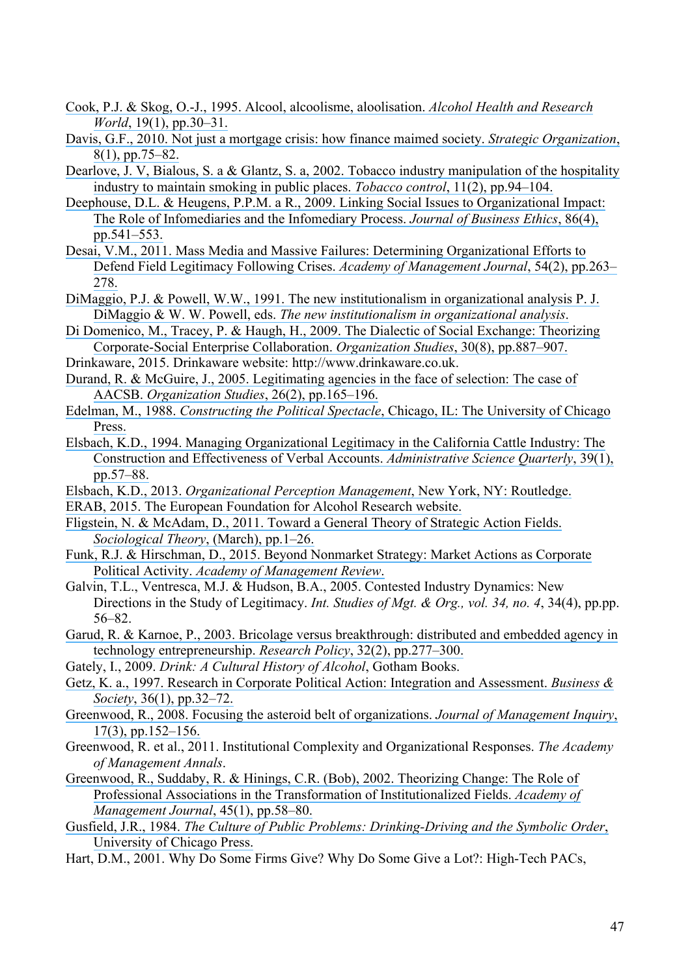- [Cook, P.J. & Skog, O.-J., 1995. Alcool, alcoolisme, aloolisation.](https://www.researchgate.net/publication/293103823_Alcool_alcoolisme_alcoolisationcomment?el=1_x_8&enrichId=rgreq-98966ac44f9a416928703b9e6a6f6cb8-XXX&enrichSource=Y292ZXJQYWdlOzMwNTkwNTAwMDtBUzozOTE4NDg4MjU3Njk5ODZAMTQ3MDQzNTQ0ODc0Mg==) *Alcohol Health and Research World*[, 19\(1\), pp.30–31.](https://www.researchgate.net/publication/293103823_Alcool_alcoolisme_alcoolisationcomment?el=1_x_8&enrichId=rgreq-98966ac44f9a416928703b9e6a6f6cb8-XXX&enrichSource=Y292ZXJQYWdlOzMwNTkwNTAwMDtBUzozOTE4NDg4MjU3Njk5ODZAMTQ3MDQzNTQ0ODc0Mg==)
- [Davis, G.F., 2010. Not just a mortgage crisis: how finance maimed society.](https://www.researchgate.net/publication/228763446_Not_just_a_mortgage_crisis_How_finance_maimed_society?el=1_x_8&enrichId=rgreq-98966ac44f9a416928703b9e6a6f6cb8-XXX&enrichSource=Y292ZXJQYWdlOzMwNTkwNTAwMDtBUzozOTE4NDg4MjU3Njk5ODZAMTQ3MDQzNTQ0ODc0Mg==) *Strategic Organization*, [8\(1\), pp.75–82.](https://www.researchgate.net/publication/228763446_Not_just_a_mortgage_crisis_How_finance_maimed_society?el=1_x_8&enrichId=rgreq-98966ac44f9a416928703b9e6a6f6cb8-XXX&enrichSource=Y292ZXJQYWdlOzMwNTkwNTAwMDtBUzozOTE4NDg4MjU3Njk5ODZAMTQ3MDQzNTQ0ODc0Mg==)
- [Dearlove, J. V, Bialous, S. a & Glantz, S. a, 2002. Tobacco industry manipulation of the hospitality](https://www.researchgate.net/publication/11337608_Tobacco_industry_manipulation_of_the_hospitality_industry_to_maintain_smoking_in_public_places?el=1_x_8&enrichId=rgreq-98966ac44f9a416928703b9e6a6f6cb8-XXX&enrichSource=Y292ZXJQYWdlOzMwNTkwNTAwMDtBUzozOTE4NDg4MjU3Njk5ODZAMTQ3MDQzNTQ0ODc0Mg==) [industry to maintain smoking in public places.](https://www.researchgate.net/publication/11337608_Tobacco_industry_manipulation_of_the_hospitality_industry_to_maintain_smoking_in_public_places?el=1_x_8&enrichId=rgreq-98966ac44f9a416928703b9e6a6f6cb8-XXX&enrichSource=Y292ZXJQYWdlOzMwNTkwNTAwMDtBUzozOTE4NDg4MjU3Njk5ODZAMTQ3MDQzNTQ0ODc0Mg==) *Tobacco control*, 11(2), pp.94–104.
- [Deephouse, D.L. & Heugens, P.P.M. a R., 2009. Linking Social Issues to Organizational Impact:](https://www.researchgate.net/publication/225661876_Linking_Social_Issues_to_Organizational_Impact_The_Role_of_Infomediaries_and_the_Infomediary_Process?el=1_x_8&enrichId=rgreq-98966ac44f9a416928703b9e6a6f6cb8-XXX&enrichSource=Y292ZXJQYWdlOzMwNTkwNTAwMDtBUzozOTE4NDg4MjU3Njk5ODZAMTQ3MDQzNTQ0ODc0Mg==) [The Role of Infomediaries and the Infomediary Process.](https://www.researchgate.net/publication/225661876_Linking_Social_Issues_to_Organizational_Impact_The_Role_of_Infomediaries_and_the_Infomediary_Process?el=1_x_8&enrichId=rgreq-98966ac44f9a416928703b9e6a6f6cb8-XXX&enrichSource=Y292ZXJQYWdlOzMwNTkwNTAwMDtBUzozOTE4NDg4MjU3Njk5ODZAMTQ3MDQzNTQ0ODc0Mg==) *Journal of Business Ethics*, 86(4), [pp.541–553.](https://www.researchgate.net/publication/225661876_Linking_Social_Issues_to_Organizational_Impact_The_Role_of_Infomediaries_and_the_Infomediary_Process?el=1_x_8&enrichId=rgreq-98966ac44f9a416928703b9e6a6f6cb8-XXX&enrichSource=Y292ZXJQYWdlOzMwNTkwNTAwMDtBUzozOTE4NDg4MjU3Njk5ODZAMTQ3MDQzNTQ0ODc0Mg==)
- [Desai, V.M., 2011. Mass Media and Massive Failures: Determining Organizational Efforts to](https://www.researchgate.net/publication/283816406_Mass_Media_and_Massive_Failures_Determining_Organizational_Efforts_to_Defend_Field_Legitimacy_Following_Crises?el=1_x_8&enrichId=rgreq-98966ac44f9a416928703b9e6a6f6cb8-XXX&enrichSource=Y292ZXJQYWdlOzMwNTkwNTAwMDtBUzozOTE4NDg4MjU3Njk5ODZAMTQ3MDQzNTQ0ODc0Mg==) [Defend Field Legitimacy Following Crises.](https://www.researchgate.net/publication/283816406_Mass_Media_and_Massive_Failures_Determining_Organizational_Efforts_to_Defend_Field_Legitimacy_Following_Crises?el=1_x_8&enrichId=rgreq-98966ac44f9a416928703b9e6a6f6cb8-XXX&enrichSource=Y292ZXJQYWdlOzMwNTkwNTAwMDtBUzozOTE4NDg4MjU3Njk5ODZAMTQ3MDQzNTQ0ODc0Mg==) *Academy of Management Journal*, 54(2), pp.263– [278.](https://www.researchgate.net/publication/283816406_Mass_Media_and_Massive_Failures_Determining_Organizational_Efforts_to_Defend_Field_Legitimacy_Following_Crises?el=1_x_8&enrichId=rgreq-98966ac44f9a416928703b9e6a6f6cb8-XXX&enrichSource=Y292ZXJQYWdlOzMwNTkwNTAwMDtBUzozOTE4NDg4MjU3Njk5ODZAMTQ3MDQzNTQ0ODc0Mg==)
- [DiMaggio, P.J. & Powell, W.W., 1991. The new institutionalism in organizational analysis P. J.](https://www.researchgate.net/publication/274204692_The_New_Institutionalism_In_Organizational_Analysis?el=1_x_8&enrichId=rgreq-98966ac44f9a416928703b9e6a6f6cb8-XXX&enrichSource=Y292ZXJQYWdlOzMwNTkwNTAwMDtBUzozOTE4NDg4MjU3Njk5ODZAMTQ3MDQzNTQ0ODc0Mg==)  DiMaggio & W. W. Powell, eds. *[The new institutionalism in organizational analysis](https://www.researchgate.net/publication/274204692_The_New_Institutionalism_In_Organizational_Analysis?el=1_x_8&enrichId=rgreq-98966ac44f9a416928703b9e6a6f6cb8-XXX&enrichSource=Y292ZXJQYWdlOzMwNTkwNTAwMDtBUzozOTE4NDg4MjU3Njk5ODZAMTQ3MDQzNTQ0ODc0Mg==)*.
- [Di Domenico, M., Tracey, P. & Haugh, H., 2009. The Dialectic of Social Exchange: Theorizing](https://www.researchgate.net/publication/47654389_The_Dialectic_of_Social_Exchange_Theorizing_Corporate-Social_Enterprise_Collaboration?el=1_x_8&enrichId=rgreq-98966ac44f9a416928703b9e6a6f6cb8-XXX&enrichSource=Y292ZXJQYWdlOzMwNTkwNTAwMDtBUzozOTE4NDg4MjU3Njk5ODZAMTQ3MDQzNTQ0ODc0Mg==)  [Corporate-Social Enterprise Collaboration.](https://www.researchgate.net/publication/47654389_The_Dialectic_of_Social_Exchange_Theorizing_Corporate-Social_Enterprise_Collaboration?el=1_x_8&enrichId=rgreq-98966ac44f9a416928703b9e6a6f6cb8-XXX&enrichSource=Y292ZXJQYWdlOzMwNTkwNTAwMDtBUzozOTE4NDg4MjU3Njk5ODZAMTQ3MDQzNTQ0ODc0Mg==) *Organization Studies*, 30(8), pp.887–907.
- Drinkaware, 2015. Drinkaware website: http://www.drinkaware.co.uk.
- [Durand, R. & McGuire, J., 2005. Legitimating agencies in the face of selection: The case of](https://www.researchgate.net/publication/278811516_Legitimating_Agencies_in_the_Face_of_Selection_The_Case_of_AACSB?el=1_x_8&enrichId=rgreq-98966ac44f9a416928703b9e6a6f6cb8-XXX&enrichSource=Y292ZXJQYWdlOzMwNTkwNTAwMDtBUzozOTE4NDg4MjU3Njk5ODZAMTQ3MDQzNTQ0ODc0Mg==)  AACSB. *[Organization Studies](https://www.researchgate.net/publication/278811516_Legitimating_Agencies_in_the_Face_of_Selection_The_Case_of_AACSB?el=1_x_8&enrichId=rgreq-98966ac44f9a416928703b9e6a6f6cb8-XXX&enrichSource=Y292ZXJQYWdlOzMwNTkwNTAwMDtBUzozOTE4NDg4MjU3Njk5ODZAMTQ3MDQzNTQ0ODc0Mg==)*, 26(2), pp.165–196.
- Edelman, M., 1988. *Constructing the Political Spectacle*[, Chicago, IL: The University of Chicago](https://www.researchgate.net/publication/37689762_Constructing_the_Political_Spectacle?el=1_x_8&enrichId=rgreq-98966ac44f9a416928703b9e6a6f6cb8-XXX&enrichSource=Y292ZXJQYWdlOzMwNTkwNTAwMDtBUzozOTE4NDg4MjU3Njk5ODZAMTQ3MDQzNTQ0ODc0Mg==)  Press.
- [Elsbach, K.D., 1994. Managing Organizational Legitimacy in the California Cattle Industry: The](https://www.researchgate.net/publication/242075551_Managing_Organizational_Legitimacy_in_the_California_Cattle_Industry_The_Construction_and_Effectiveness_of_Verbal_Accounts?el=1_x_8&enrichId=rgreq-98966ac44f9a416928703b9e6a6f6cb8-XXX&enrichSource=Y292ZXJQYWdlOzMwNTkwNTAwMDtBUzozOTE4NDg4MjU3Njk5ODZAMTQ3MDQzNTQ0ODc0Mg==)  [Construction and Effectiveness of Verbal Accounts.](https://www.researchgate.net/publication/242075551_Managing_Organizational_Legitimacy_in_the_California_Cattle_Industry_The_Construction_and_Effectiveness_of_Verbal_Accounts?el=1_x_8&enrichId=rgreq-98966ac44f9a416928703b9e6a6f6cb8-XXX&enrichSource=Y292ZXJQYWdlOzMwNTkwNTAwMDtBUzozOTE4NDg4MjU3Njk5ODZAMTQ3MDQzNTQ0ODc0Mg==) *Administrative Science Quarterly*, 39(1), [pp.57–88.](https://www.researchgate.net/publication/242075551_Managing_Organizational_Legitimacy_in_the_California_Cattle_Industry_The_Construction_and_Effectiveness_of_Verbal_Accounts?el=1_x_8&enrichId=rgreq-98966ac44f9a416928703b9e6a6f6cb8-XXX&enrichSource=Y292ZXJQYWdlOzMwNTkwNTAwMDtBUzozOTE4NDg4MjU3Njk5ODZAMTQ3MDQzNTQ0ODc0Mg==)
- Elsbach, K.D., 2013. *[Organizational Perception Management](https://www.researchgate.net/publication/248563854_Organizational_Perception_Management?el=1_x_8&enrichId=rgreq-98966ac44f9a416928703b9e6a6f6cb8-XXX&enrichSource=Y292ZXJQYWdlOzMwNTkwNTAwMDtBUzozOTE4NDg4MjU3Njk5ODZAMTQ3MDQzNTQ0ODc0Mg==)*, New York, NY: Routledge.
- [ERAB, 2015. The European Foundation for Alcohol Research website.](https://www.researchgate.net/publication/248563854_Organizational_Perception_Management?el=1_x_8&enrichId=rgreq-98966ac44f9a416928703b9e6a6f6cb8-XXX&enrichSource=Y292ZXJQYWdlOzMwNTkwNTAwMDtBUzozOTE4NDg4MjU3Njk5ODZAMTQ3MDQzNTQ0ODc0Mg==)
- [Fligstein, N. & McAdam, D., 2011. Toward a General Theory of Strategic Action Fields.](https://www.researchgate.net/publication/46438381_Toward_a_General_Theory_of_Strategic_Action_Fields?el=1_x_8&enrichId=rgreq-98966ac44f9a416928703b9e6a6f6cb8-XXX&enrichSource=Y292ZXJQYWdlOzMwNTkwNTAwMDtBUzozOTE4NDg4MjU3Njk5ODZAMTQ3MDQzNTQ0ODc0Mg==)  *[Sociological Theory](https://www.researchgate.net/publication/46438381_Toward_a_General_Theory_of_Strategic_Action_Fields?el=1_x_8&enrichId=rgreq-98966ac44f9a416928703b9e6a6f6cb8-XXX&enrichSource=Y292ZXJQYWdlOzMwNTkwNTAwMDtBUzozOTE4NDg4MjU3Njk5ODZAMTQ3MDQzNTQ0ODc0Mg==)*, (March), pp.1–26.
- [Funk, R.J. & Hirschman, D., 2015. Beyond Nonmarket Strategy: Market Actions as Corporate](https://www.researchgate.net/publication/281909636_Beyond_Nonmarket_Strategy_Market_Actions_as_Corporate_Political_Activity?el=1_x_8&enrichId=rgreq-98966ac44f9a416928703b9e6a6f6cb8-XXX&enrichSource=Y292ZXJQYWdlOzMwNTkwNTAwMDtBUzozOTE4NDg4MjU3Njk5ODZAMTQ3MDQzNTQ0ODc0Mg==) Political Activity. *[Academy of Management Review](https://www.researchgate.net/publication/281909636_Beyond_Nonmarket_Strategy_Market_Actions_as_Corporate_Political_Activity?el=1_x_8&enrichId=rgreq-98966ac44f9a416928703b9e6a6f6cb8-XXX&enrichSource=Y292ZXJQYWdlOzMwNTkwNTAwMDtBUzozOTE4NDg4MjU3Njk5ODZAMTQ3MDQzNTQ0ODc0Mg==)*.
- Galvin, T.L., Ventresca, M.J. & Hudson, B.A., 2005. Contested Industry Dynamics: New Directions in the Study of Legitimacy. *Int. Studies of Mgt. & Org., vol. 34, no. 4*, 34(4), pp.pp. 56–82.
- [Garud, R. & Karnoe, P., 2003. Bricolage versus breakthrough: distributed and embedded agency in](https://www.researchgate.net/publication/4929392_Bricolage_versus_Breakthrough_Distributed_and_Embedded_Agency_in_Technology_Entrepreneurship?el=1_x_8&enrichId=rgreq-98966ac44f9a416928703b9e6a6f6cb8-XXX&enrichSource=Y292ZXJQYWdlOzMwNTkwNTAwMDtBUzozOTE4NDg4MjU3Njk5ODZAMTQ3MDQzNTQ0ODc0Mg==)  [technology entrepreneurship.](https://www.researchgate.net/publication/4929392_Bricolage_versus_Breakthrough_Distributed_and_Embedded_Agency_in_Technology_Entrepreneurship?el=1_x_8&enrichId=rgreq-98966ac44f9a416928703b9e6a6f6cb8-XXX&enrichSource=Y292ZXJQYWdlOzMwNTkwNTAwMDtBUzozOTE4NDg4MjU3Njk5ODZAMTQ3MDQzNTQ0ODc0Mg==) *Research Policy*, 32(2), pp.277–300.
- Gately, I., 2009. *Drink: A Cultural History of Alcohol*, Gotham Books.
- [Getz, K. a., 1997. Research in Corporate Political Action: Integration and Assessment.](https://www.researchgate.net/publication/258126273_Research_in_Corporate_Political_Action_Integration_and_Assessment?el=1_x_8&enrichId=rgreq-98966ac44f9a416928703b9e6a6f6cb8-XXX&enrichSource=Y292ZXJQYWdlOzMwNTkwNTAwMDtBUzozOTE4NDg4MjU3Njk5ODZAMTQ3MDQzNTQ0ODc0Mg==) *Business & Society*[, 36\(1\), pp.32–72.](https://www.researchgate.net/publication/258126273_Research_in_Corporate_Political_Action_Integration_and_Assessment?el=1_x_8&enrichId=rgreq-98966ac44f9a416928703b9e6a6f6cb8-XXX&enrichSource=Y292ZXJQYWdlOzMwNTkwNTAwMDtBUzozOTE4NDg4MjU3Njk5ODZAMTQ3MDQzNTQ0ODc0Mg==)
- [Greenwood, R., 2008. Focusing the asteroid belt of organizations.](https://www.researchgate.net/publication/238333635_Focusing_the_Asteroid_Belt_of_Organizations?el=1_x_8&enrichId=rgreq-98966ac44f9a416928703b9e6a6f6cb8-XXX&enrichSource=Y292ZXJQYWdlOzMwNTkwNTAwMDtBUzozOTE4NDg4MjU3Njk5ODZAMTQ3MDQzNTQ0ODc0Mg==) *Journal of Management Inquiry*, [17\(3\), pp.152–156.](https://www.researchgate.net/publication/238333635_Focusing_the_Asteroid_Belt_of_Organizations?el=1_x_8&enrichId=rgreq-98966ac44f9a416928703b9e6a6f6cb8-XXX&enrichSource=Y292ZXJQYWdlOzMwNTkwNTAwMDtBUzozOTE4NDg4MjU3Njk5ODZAMTQ3MDQzNTQ0ODc0Mg==)
- Greenwood, R. et al., 2011. Institutional Complexity and Organizational Responses. *The Academy of Management Annals*.
- [Greenwood, R., Suddaby, R. & Hinings, C.R. \(Bob\), 2002. Theorizing Change: The Role of](https://www.researchgate.net/publication/256843724_Theorizing_change_The_role_of_professional_associations_in_the_transformation_of_institutionalized_fields?el=1_x_8&enrichId=rgreq-98966ac44f9a416928703b9e6a6f6cb8-XXX&enrichSource=Y292ZXJQYWdlOzMwNTkwNTAwMDtBUzozOTE4NDg4MjU3Njk5ODZAMTQ3MDQzNTQ0ODc0Mg==)  [Professional Associations in the Transformation of Institutionalized Fields.](https://www.researchgate.net/publication/256843724_Theorizing_change_The_role_of_professional_associations_in_the_transformation_of_institutionalized_fields?el=1_x_8&enrichId=rgreq-98966ac44f9a416928703b9e6a6f6cb8-XXX&enrichSource=Y292ZXJQYWdlOzMwNTkwNTAwMDtBUzozOTE4NDg4MjU3Njk5ODZAMTQ3MDQzNTQ0ODc0Mg==) *Academy of [Management Journal](https://www.researchgate.net/publication/256843724_Theorizing_change_The_role_of_professional_associations_in_the_transformation_of_institutionalized_fields?el=1_x_8&enrichId=rgreq-98966ac44f9a416928703b9e6a6f6cb8-XXX&enrichSource=Y292ZXJQYWdlOzMwNTkwNTAwMDtBUzozOTE4NDg4MjU3Njk5ODZAMTQ3MDQzNTQ0ODc0Mg==)*, 45(1), pp.58–80.
- Gusfield, J.R., 1984. *[The Culture of Public Problems: Drinking-Driving and the Symbolic Order](https://www.researchgate.net/publication/37687629_The_Culture_of_Public_Problems_Drinking-Driving_and_the_Symbolic_Order?el=1_x_8&enrichId=rgreq-98966ac44f9a416928703b9e6a6f6cb8-XXX&enrichSource=Y292ZXJQYWdlOzMwNTkwNTAwMDtBUzozOTE4NDg4MjU3Njk5ODZAMTQ3MDQzNTQ0ODc0Mg==)*, [University of Chicago Press.](https://www.researchgate.net/publication/37687629_The_Culture_of_Public_Problems_Drinking-Driving_and_the_Symbolic_Order?el=1_x_8&enrichId=rgreq-98966ac44f9a416928703b9e6a6f6cb8-XXX&enrichSource=Y292ZXJQYWdlOzMwNTkwNTAwMDtBUzozOTE4NDg4MjU3Njk5ODZAMTQ3MDQzNTQ0ODc0Mg==)
- Hart, D.M., 2001. Why Do Some Firms Give? Why Do Some Give a Lot?: High-Tech PACs,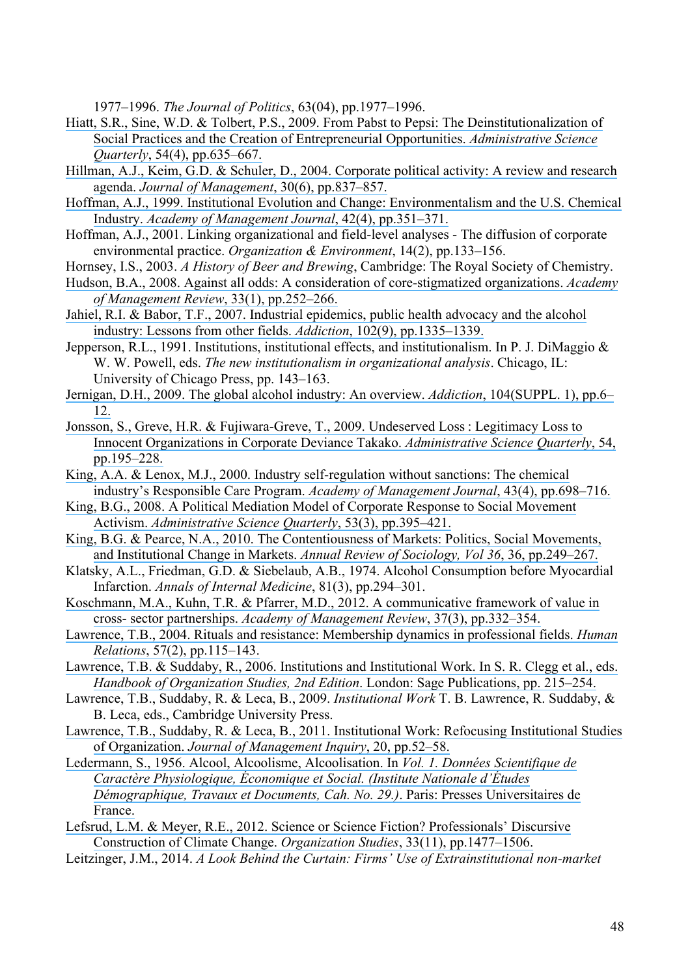1977–1996. *The Journal of Politics*, 63(04), pp.1977–1996.

- [Hiatt, S.R., Sine, W.D. & Tolbert, P.S., 2009. From Pabst to Pepsi: The Deinstitutionalization of](https://www.researchgate.net/publication/247870427_From_Pabst_to_Pepsi_The_Deinstitutionalization_of_Social_Practices_and_the_Creation_of_Entrepreneurial_Opportunities?el=1_x_8&enrichId=rgreq-98966ac44f9a416928703b9e6a6f6cb8-XXX&enrichSource=Y292ZXJQYWdlOzMwNTkwNTAwMDtBUzozOTE4NDg4MjU3Njk5ODZAMTQ3MDQzNTQ0ODc0Mg==)  [Social Practices and the Creation of Entrepreneurial Opportunities.](https://www.researchgate.net/publication/247870427_From_Pabst_to_Pepsi_The_Deinstitutionalization_of_Social_Practices_and_the_Creation_of_Entrepreneurial_Opportunities?el=1_x_8&enrichId=rgreq-98966ac44f9a416928703b9e6a6f6cb8-XXX&enrichSource=Y292ZXJQYWdlOzMwNTkwNTAwMDtBUzozOTE4NDg4MjU3Njk5ODZAMTQ3MDQzNTQ0ODc0Mg==) *Administrative Science Quarterly*[, 54\(4\), pp.635–667.](https://www.researchgate.net/publication/247870427_From_Pabst_to_Pepsi_The_Deinstitutionalization_of_Social_Practices_and_the_Creation_of_Entrepreneurial_Opportunities?el=1_x_8&enrichId=rgreq-98966ac44f9a416928703b9e6a6f6cb8-XXX&enrichSource=Y292ZXJQYWdlOzMwNTkwNTAwMDtBUzozOTE4NDg4MjU3Njk5ODZAMTQ3MDQzNTQ0ODc0Mg==)
- [Hillman, A.J., Keim, G.D. & Schuler, D., 2004. Corporate political activity: A review and research](https://www.researchgate.net/publication/239485073_Corporate_Political_Activity_A_Review_and_Research_Agenda?el=1_x_8&enrichId=rgreq-98966ac44f9a416928703b9e6a6f6cb8-XXX&enrichSource=Y292ZXJQYWdlOzMwNTkwNTAwMDtBUzozOTE4NDg4MjU3Njk5ODZAMTQ3MDQzNTQ0ODc0Mg==) agenda. *[Journal of Management](https://www.researchgate.net/publication/239485073_Corporate_Political_Activity_A_Review_and_Research_Agenda?el=1_x_8&enrichId=rgreq-98966ac44f9a416928703b9e6a6f6cb8-XXX&enrichSource=Y292ZXJQYWdlOzMwNTkwNTAwMDtBUzozOTE4NDg4MjU3Njk5ODZAMTQ3MDQzNTQ0ODc0Mg==)*, 30(6), pp.837–857.
- [Hoffman, A.J., 1999. Institutional Evolution and Change: Environmentalism and the U.S. Chemical](https://www.researchgate.net/publication/265239904_Institutional_Evolution_and_Change_Environmentalism_and_the_US_Chemical_Industry?el=1_x_8&enrichId=rgreq-98966ac44f9a416928703b9e6a6f6cb8-XXX&enrichSource=Y292ZXJQYWdlOzMwNTkwNTAwMDtBUzozOTE4NDg4MjU3Njk5ODZAMTQ3MDQzNTQ0ODc0Mg==)  Industry. *[Academy of Management Journal](https://www.researchgate.net/publication/265239904_Institutional_Evolution_and_Change_Environmentalism_and_the_US_Chemical_Industry?el=1_x_8&enrichId=rgreq-98966ac44f9a416928703b9e6a6f6cb8-XXX&enrichSource=Y292ZXJQYWdlOzMwNTkwNTAwMDtBUzozOTE4NDg4MjU3Njk5ODZAMTQ3MDQzNTQ0ODc0Mg==)*, 42(4), pp.351–371.
- Hoffman, A.J., 2001. Linking organizational and field-level analyses The diffusion of corporate environmental practice. *Organization & Environment*, 14(2), pp.133–156.
- Hornsey, I.S., 2003. *A History of Beer and Brewing*, Cambridge: The Royal Society of Chemistry.
- [Hudson, B.A., 2008. Against all odds: A consideration of core-stigmatized organizations.](https://www.researchgate.net/publication/274751051_Against_all_Odds_A_Consideration_of_Core-Stigmatized_Organizations?el=1_x_8&enrichId=rgreq-98966ac44f9a416928703b9e6a6f6cb8-XXX&enrichSource=Y292ZXJQYWdlOzMwNTkwNTAwMDtBUzozOTE4NDg4MjU3Njk5ODZAMTQ3MDQzNTQ0ODc0Mg==) *Academy [of Management Review](https://www.researchgate.net/publication/274751051_Against_all_Odds_A_Consideration_of_Core-Stigmatized_Organizations?el=1_x_8&enrichId=rgreq-98966ac44f9a416928703b9e6a6f6cb8-XXX&enrichSource=Y292ZXJQYWdlOzMwNTkwNTAwMDtBUzozOTE4NDg4MjU3Njk5ODZAMTQ3MDQzNTQ0ODc0Mg==)*, 33(1), pp.252–266.
- [Jahiel, R.I. & Babor, T.F., 2007. Industrial epidemics, public health advocacy and the alcohol](https://www.researchgate.net/publication/6142865_Industrial_epidemics_public_health_advocacy_and_the_alcohol_industry_Lessons_from_other_fields?el=1_x_8&enrichId=rgreq-98966ac44f9a416928703b9e6a6f6cb8-XXX&enrichSource=Y292ZXJQYWdlOzMwNTkwNTAwMDtBUzozOTE4NDg4MjU3Njk5ODZAMTQ3MDQzNTQ0ODc0Mg==)  [industry: Lessons from other fields.](https://www.researchgate.net/publication/6142865_Industrial_epidemics_public_health_advocacy_and_the_alcohol_industry_Lessons_from_other_fields?el=1_x_8&enrichId=rgreq-98966ac44f9a416928703b9e6a6f6cb8-XXX&enrichSource=Y292ZXJQYWdlOzMwNTkwNTAwMDtBUzozOTE4NDg4MjU3Njk5ODZAMTQ3MDQzNTQ0ODc0Mg==) *Addiction*, 102(9), pp.1335–1339.
- Jepperson, R.L., 1991. Institutions, institutional effects, and institutionalism. In P. J. DiMaggio & W. W. Powell, eds. *The new institutionalism in organizational analysis*. Chicago, IL: University of Chicago Press, pp. 143–163.
- [Jernigan, D.H., 2009. The global alcohol industry: An overview.](https://www.researchgate.net/publication/23783789_The_Global_Alcohol_Industry_An_Overview?el=1_x_8&enrichId=rgreq-98966ac44f9a416928703b9e6a6f6cb8-XXX&enrichSource=Y292ZXJQYWdlOzMwNTkwNTAwMDtBUzozOTE4NDg4MjU3Njk5ODZAMTQ3MDQzNTQ0ODc0Mg==) *Addiction*, 104(SUPPL. 1), pp.6– [12.](https://www.researchgate.net/publication/23783789_The_Global_Alcohol_Industry_An_Overview?el=1_x_8&enrichId=rgreq-98966ac44f9a416928703b9e6a6f6cb8-XXX&enrichSource=Y292ZXJQYWdlOzMwNTkwNTAwMDtBUzozOTE4NDg4MjU3Njk5ODZAMTQ3MDQzNTQ0ODc0Mg==)
- [Jonsson, S., Greve, H.R. & Fujiwara-Greve, T., 2009. Undeserved Loss](https://www.researchgate.net/publication/240302353_Undeserved_Loss_The_Spread_of_Legitimacy_Loss_to_Innocent_Organizations_in_Response_to_Reported_Corporate_Deviance?el=1_x_8&enrichId=rgreq-98966ac44f9a416928703b9e6a6f6cb8-XXX&enrichSource=Y292ZXJQYWdlOzMwNTkwNTAwMDtBUzozOTE4NDg4MjU3Njk5ODZAMTQ3MDQzNTQ0ODc0Mg==) : Legitimacy Loss to [Innocent Organizations in Corporate Deviance Takako.](https://www.researchgate.net/publication/240302353_Undeserved_Loss_The_Spread_of_Legitimacy_Loss_to_Innocent_Organizations_in_Response_to_Reported_Corporate_Deviance?el=1_x_8&enrichId=rgreq-98966ac44f9a416928703b9e6a6f6cb8-XXX&enrichSource=Y292ZXJQYWdlOzMwNTkwNTAwMDtBUzozOTE4NDg4MjU3Njk5ODZAMTQ3MDQzNTQ0ODc0Mg==) *Administrative Science Quarterly*, 54, [pp.195–228.](https://www.researchgate.net/publication/240302353_Undeserved_Loss_The_Spread_of_Legitimacy_Loss_to_Innocent_Organizations_in_Response_to_Reported_Corporate_Deviance?el=1_x_8&enrichId=rgreq-98966ac44f9a416928703b9e6a6f6cb8-XXX&enrichSource=Y292ZXJQYWdlOzMwNTkwNTAwMDtBUzozOTE4NDg4MjU3Njk5ODZAMTQ3MDQzNTQ0ODc0Mg==)
- [King, A.A. & Lenox, M.J., 2000. Industry self-regulation without sanctions: The chemical](https://www.researchgate.net/publication/2586144_Industry_Self-Regulation_Without_Sanctions_The_Chemical_Industry)  [industry's Responsible Care Program.](https://www.researchgate.net/publication/2586144_Industry_Self-Regulation_Without_Sanctions_The_Chemical_Industry) *Academy of Management Journal*, 43(4), pp.698–716.
- [King, B.G., 2008. A Political Mediation Model of Corporate Response to Social Movement](https://www.researchgate.net/publication/274412302_A_Political_Mediation_Model_of_Corporate_Response_to_Social_Movement_Activism?el=1_x_8&enrichId=rgreq-98966ac44f9a416928703b9e6a6f6cb8-XXX&enrichSource=Y292ZXJQYWdlOzMwNTkwNTAwMDtBUzozOTE4NDg4MjU3Njk5ODZAMTQ3MDQzNTQ0ODc0Mg==)  Activism. *[Administrative Science Quarterly](https://www.researchgate.net/publication/274412302_A_Political_Mediation_Model_of_Corporate_Response_to_Social_Movement_Activism?el=1_x_8&enrichId=rgreq-98966ac44f9a416928703b9e6a6f6cb8-XXX&enrichSource=Y292ZXJQYWdlOzMwNTkwNTAwMDtBUzozOTE4NDg4MjU3Njk5ODZAMTQ3MDQzNTQ0ODc0Mg==)*, 53(3), pp.395–421.
- [King, B.G. & Pearce, N.A., 2010. The Contentiousness of Markets: Politics, Social Movements,](https://www.researchgate.net/publication/228173854_The_Contentiousness_of_Markets_Politics_Social_Movements_and_Institutional_Change_in_Markets?el=1_x_8&enrichId=rgreq-98966ac44f9a416928703b9e6a6f6cb8-XXX&enrichSource=Y292ZXJQYWdlOzMwNTkwNTAwMDtBUzozOTE4NDg4MjU3Njk5ODZAMTQ3MDQzNTQ0ODc0Mg==)  [and Institutional Change in Markets.](https://www.researchgate.net/publication/228173854_The_Contentiousness_of_Markets_Politics_Social_Movements_and_Institutional_Change_in_Markets?el=1_x_8&enrichId=rgreq-98966ac44f9a416928703b9e6a6f6cb8-XXX&enrichSource=Y292ZXJQYWdlOzMwNTkwNTAwMDtBUzozOTE4NDg4MjU3Njk5ODZAMTQ3MDQzNTQ0ODc0Mg==) *Annual Review of Sociology, Vol 36*, 36, pp.249–267.
- Klatsky, A.L., Friedman, G.D. & Siebelaub, A.B., 1974. Alcohol Consumption before Myocardial Infarction. *Annals of Internal Medicine*, 81(3), pp.294–301.
- [Koschmann, M.A., Kuhn, T.R. & Pfarrer, M.D., 2012. A communicative framework of value in](https://www.researchgate.net/publication/271763576_A_Communicative_Framework_of_Value_in_Cross-Sector_Partnerships?el=1_x_8&enrichId=rgreq-98966ac44f9a416928703b9e6a6f6cb8-XXX&enrichSource=Y292ZXJQYWdlOzMwNTkwNTAwMDtBUzozOTE4NDg4MjU3Njk5ODZAMTQ3MDQzNTQ0ODc0Mg==)  cross- sector partnerships. *[Academy of Management Review](https://www.researchgate.net/publication/271763576_A_Communicative_Framework_of_Value_in_Cross-Sector_Partnerships?el=1_x_8&enrichId=rgreq-98966ac44f9a416928703b9e6a6f6cb8-XXX&enrichSource=Y292ZXJQYWdlOzMwNTkwNTAwMDtBUzozOTE4NDg4MjU3Njk5ODZAMTQ3MDQzNTQ0ODc0Mg==)*, 37(3), pp.332–354.
- [Lawrence, T.B., 2004. Rituals and resistance: Membership dynamics in professional fields.](https://www.researchgate.net/publication/254427746_Rituals_and_Resistance_Membership_Dynamics_in_Professional_Fields?el=1_x_8&enrichId=rgreq-98966ac44f9a416928703b9e6a6f6cb8-XXX&enrichSource=Y292ZXJQYWdlOzMwNTkwNTAwMDtBUzozOTE4NDg4MjU3Njk5ODZAMTQ3MDQzNTQ0ODc0Mg==) *Human Relations*[, 57\(2\), pp.115–143.](https://www.researchgate.net/publication/254427746_Rituals_and_Resistance_Membership_Dynamics_in_Professional_Fields?el=1_x_8&enrichId=rgreq-98966ac44f9a416928703b9e6a6f6cb8-XXX&enrichSource=Y292ZXJQYWdlOzMwNTkwNTAwMDtBUzozOTE4NDg4MjU3Njk5ODZAMTQ3MDQzNTQ0ODc0Mg==)
- [Lawrence, T.B. & Suddaby, R., 2006. Institutions and Institutional Work. In S. R. Clegg et al., eds.](https://www.researchgate.net/publication/242437344_Institutions_and_institutional_work?el=1_x_8&enrichId=rgreq-98966ac44f9a416928703b9e6a6f6cb8-XXX&enrichSource=Y292ZXJQYWdlOzMwNTkwNTAwMDtBUzozOTE4NDg4MjU3Njk5ODZAMTQ3MDQzNTQ0ODc0Mg==)  *[Handbook of Organization Studies, 2nd Edition](https://www.researchgate.net/publication/242437344_Institutions_and_institutional_work?el=1_x_8&enrichId=rgreq-98966ac44f9a416928703b9e6a6f6cb8-XXX&enrichSource=Y292ZXJQYWdlOzMwNTkwNTAwMDtBUzozOTE4NDg4MjU3Njk5ODZAMTQ3MDQzNTQ0ODc0Mg==)*. London: Sage Publications, pp. 215–254.
- Lawrence, T.B., Suddaby, R. & Leca, B., 2009. *Institutional Work* T. B. Lawrence, R. Suddaby, & B. Leca, eds., Cambridge University Press.
- [Lawrence, T.B., Suddaby, R. & Leca, B., 2011. Institutional Work: Refocusing Institutional Studies](https://www.researchgate.net/publication/254117931_Institutional_Work_Refocusing_Institutional_Studies_of_Organization?el=1_x_8&enrichId=rgreq-98966ac44f9a416928703b9e6a6f6cb8-XXX&enrichSource=Y292ZXJQYWdlOzMwNTkwNTAwMDtBUzozOTE4NDg4MjU3Njk5ODZAMTQ3MDQzNTQ0ODc0Mg==)  of Organization. *[Journal of Management Inquiry](https://www.researchgate.net/publication/254117931_Institutional_Work_Refocusing_Institutional_Studies_of_Organization?el=1_x_8&enrichId=rgreq-98966ac44f9a416928703b9e6a6f6cb8-XXX&enrichSource=Y292ZXJQYWdlOzMwNTkwNTAwMDtBUzozOTE4NDg4MjU3Njk5ODZAMTQ3MDQzNTQ0ODc0Mg==)*, 20, pp.52–58.
- [Ledermann, S., 1956. Alcool, Alcoolisme, Alcoolisation. In](https://www.researchgate.net/publication/247909251_Alcool_alcoolisme_alcoolisation_Donnees_scientifiques_de_caractere_physiologique_economique_et_social?el=1_x_8&enrichId=rgreq-98966ac44f9a416928703b9e6a6f6cb8-XXX&enrichSource=Y292ZXJQYWdlOzMwNTkwNTAwMDtBUzozOTE4NDg4MjU3Njk5ODZAMTQ3MDQzNTQ0ODc0Mg==) *Vol. 1. Données Scientifique de [Caractère Physiologique, Économique et Social. \(Institute Nationale d'Études](https://www.researchgate.net/publication/247909251_Alcool_alcoolisme_alcoolisation_Donnees_scientifiques_de_caractere_physiologique_economique_et_social?el=1_x_8&enrichId=rgreq-98966ac44f9a416928703b9e6a6f6cb8-XXX&enrichSource=Y292ZXJQYWdlOzMwNTkwNTAwMDtBUzozOTE4NDg4MjU3Njk5ODZAMTQ3MDQzNTQ0ODc0Mg==)  [Démographique, Travaux et Documents, Cah. No. 29.\)](https://www.researchgate.net/publication/247909251_Alcool_alcoolisme_alcoolisation_Donnees_scientifiques_de_caractere_physiologique_economique_et_social?el=1_x_8&enrichId=rgreq-98966ac44f9a416928703b9e6a6f6cb8-XXX&enrichSource=Y292ZXJQYWdlOzMwNTkwNTAwMDtBUzozOTE4NDg4MjU3Njk5ODZAMTQ3MDQzNTQ0ODc0Mg==)*. Paris: Presses Universitaires de [France.](https://www.researchgate.net/publication/247909251_Alcool_alcoolisme_alcoolisation_Donnees_scientifiques_de_caractere_physiologique_economique_et_social?el=1_x_8&enrichId=rgreq-98966ac44f9a416928703b9e6a6f6cb8-XXX&enrichSource=Y292ZXJQYWdlOzMwNTkwNTAwMDtBUzozOTE4NDg4MjU3Njk5ODZAMTQ3MDQzNTQ0ODc0Mg==)
- [Lefsrud, L.M. & Meyer, R.E., 2012. Science or Science Fiction? Professionals' Discursive](https://www.researchgate.net/publication/274412197_Science_or_Science_Fiction_Professionals) [Construction of Climate Change.](https://www.researchgate.net/publication/274412197_Science_or_Science_Fiction_Professionals) *Organization Studies*, 33(11), pp.1477–1506.
- Leitzinger, J.M., 2014. *A Look Behind the Curtain: Firms' Use of Extrainstitutional non-market*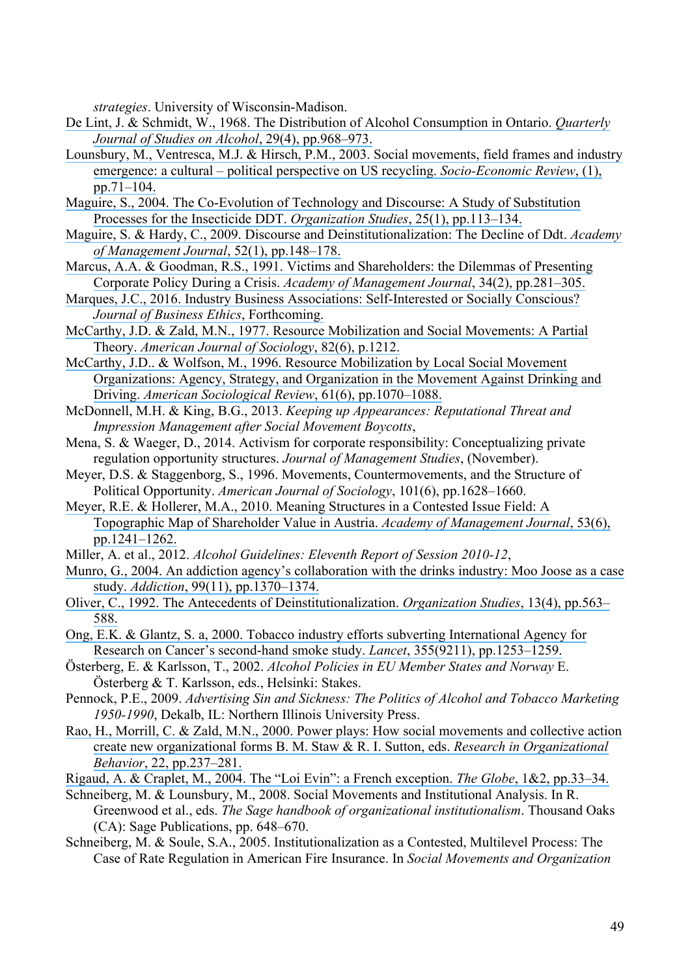*strategies*. University of Wisconsin-Madison.

- [De Lint, J. & Schmidt, W., 1968. The Distribution of Alcohol Consumption in Ontario.](https://www.researchgate.net/publication/17481478_The_distribution_of_alcohol_consumption_in_Ontario?el=1_x_8&enrichId=rgreq-98966ac44f9a416928703b9e6a6f6cb8-XXX&enrichSource=Y292ZXJQYWdlOzMwNTkwNTAwMDtBUzozOTE4NDg4MjU3Njk5ODZAMTQ3MDQzNTQ0ODc0Mg==) *Quarterly [Journal of Studies on Alcohol](https://www.researchgate.net/publication/17481478_The_distribution_of_alcohol_consumption_in_Ontario?el=1_x_8&enrichId=rgreq-98966ac44f9a416928703b9e6a6f6cb8-XXX&enrichSource=Y292ZXJQYWdlOzMwNTkwNTAwMDtBUzozOTE4NDg4MjU3Njk5ODZAMTQ3MDQzNTQ0ODc0Mg==)*, 29(4), pp.968–973.
- Lounsbury, M., Ventresca, M.J. & [Hirsch, P.M., 2003. Social movements, field frames and industry](https://www.researchgate.net/publication/44072905_Social_Movements_Field_Frames_and_Industry_Emergence_A_Cultural-Political_Perspective_on_US_Recycling?el=1_x_8&enrichId=rgreq-98966ac44f9a416928703b9e6a6f6cb8-XXX&enrichSource=Y292ZXJQYWdlOzMwNTkwNTAwMDtBUzozOTE4NDg4MjU3Njk5ODZAMTQ3MDQzNTQ0ODc0Mg==)  emergence: a cultural – [political perspective on US recycling.](https://www.researchgate.net/publication/44072905_Social_Movements_Field_Frames_and_Industry_Emergence_A_Cultural-Political_Perspective_on_US_Recycling?el=1_x_8&enrichId=rgreq-98966ac44f9a416928703b9e6a6f6cb8-XXX&enrichSource=Y292ZXJQYWdlOzMwNTkwNTAwMDtBUzozOTE4NDg4MjU3Njk5ODZAMTQ3MDQzNTQ0ODc0Mg==) *Socio-Economic Review*, (1), [pp.71–104.](https://www.researchgate.net/publication/44072905_Social_Movements_Field_Frames_and_Industry_Emergence_A_Cultural-Political_Perspective_on_US_Recycling?el=1_x_8&enrichId=rgreq-98966ac44f9a416928703b9e6a6f6cb8-XXX&enrichSource=Y292ZXJQYWdlOzMwNTkwNTAwMDtBUzozOTE4NDg4MjU3Njk5ODZAMTQ3MDQzNTQ0ODc0Mg==)
- [Maguire, S., 2004. The Co-Evolution of Technology and Discourse: A Study of Substitution](https://www.researchgate.net/publication/247734628_The_Co-Evolution_of_Technology_and_Discourse_A_Study_of_Substitution_Processes_for_the_Insecticide_DDT?el=1_x_8&enrichId=rgreq-98966ac44f9a416928703b9e6a6f6cb8-XXX&enrichSource=Y292ZXJQYWdlOzMwNTkwNTAwMDtBUzozOTE4NDg4MjU3Njk5ODZAMTQ3MDQzNTQ0ODc0Mg==)  [Processes for the Insecticide DDT.](https://www.researchgate.net/publication/247734628_The_Co-Evolution_of_Technology_and_Discourse_A_Study_of_Substitution_Processes_for_the_Insecticide_DDT?el=1_x_8&enrichId=rgreq-98966ac44f9a416928703b9e6a6f6cb8-XXX&enrichSource=Y292ZXJQYWdlOzMwNTkwNTAwMDtBUzozOTE4NDg4MjU3Njk5ODZAMTQ3MDQzNTQ0ODc0Mg==) *Organization Studies*, 25(1), pp.113–134.
- [Maguire, S. & Hardy, C., 2009. Discourse and Deinstitutionalization: The Decline of Ddt.](https://www.researchgate.net/publication/276054186_Discourse_and_Deinstitutionalization_The_Decline_of_DDT?el=1_x_8&enrichId=rgreq-98966ac44f9a416928703b9e6a6f6cb8-XXX&enrichSource=Y292ZXJQYWdlOzMwNTkwNTAwMDtBUzozOTE4NDg4MjU3Njk5ODZAMTQ3MDQzNTQ0ODc0Mg==) *Academy [of Management Journal](https://www.researchgate.net/publication/276054186_Discourse_and_Deinstitutionalization_The_Decline_of_DDT?el=1_x_8&enrichId=rgreq-98966ac44f9a416928703b9e6a6f6cb8-XXX&enrichSource=Y292ZXJQYWdlOzMwNTkwNTAwMDtBUzozOTE4NDg4MjU3Njk5ODZAMTQ3MDQzNTQ0ODc0Mg==)*, 52(1), pp.148–178.
- [Marcus, A.A. & Goodman, R.S., 1991. Victims and Shareholders: the Dilemmas of Presenting](https://www.researchgate.net/publication/275697494_Victims_and_Shareholders_Dilemmas_of_Presenting_Corporate_Policy_During_a_Crisis?el=1_x_8&enrichId=rgreq-98966ac44f9a416928703b9e6a6f6cb8-XXX&enrichSource=Y292ZXJQYWdlOzMwNTkwNTAwMDtBUzozOTE4NDg4MjU3Njk5ODZAMTQ3MDQzNTQ0ODc0Mg==) [Corporate Policy During a Crisis.](https://www.researchgate.net/publication/275697494_Victims_and_Shareholders_Dilemmas_of_Presenting_Corporate_Policy_During_a_Crisis?el=1_x_8&enrichId=rgreq-98966ac44f9a416928703b9e6a6f6cb8-XXX&enrichSource=Y292ZXJQYWdlOzMwNTkwNTAwMDtBUzozOTE4NDg4MjU3Njk5ODZAMTQ3MDQzNTQ0ODc0Mg==) *Academy of Management Journal*, 34(2), pp.281–305.
- [Marques, J.C., 2016. Industry Business Associations: Self-Interested or Socially Conscious?](https://www.researchgate.net/publication/300372714_Industry_Business_Associations_Self-Interested_or_Socially_Conscious?el=1_x_8&enrichId=rgreq-98966ac44f9a416928703b9e6a6f6cb8-XXX&enrichSource=Y292ZXJQYWdlOzMwNTkwNTAwMDtBUzozOTE4NDg4MjU3Njk5ODZAMTQ3MDQzNTQ0ODc0Mg==)  *[Journal of Business Ethics](https://www.researchgate.net/publication/300372714_Industry_Business_Associations_Self-Interested_or_Socially_Conscious?el=1_x_8&enrichId=rgreq-98966ac44f9a416928703b9e6a6f6cb8-XXX&enrichSource=Y292ZXJQYWdlOzMwNTkwNTAwMDtBUzozOTE4NDg4MjU3Njk5ODZAMTQ3MDQzNTQ0ODc0Mg==)*, Forthcoming.
- [McCarthy, J.D. & Zald, M.N., 1977. Resource Mobilization and Social Movements: A Partial](https://www.researchgate.net/publication/233870037_Resource_Mobilization_and_Social_Movements_A_Partial_Theory?el=1_x_8&enrichId=rgreq-98966ac44f9a416928703b9e6a6f6cb8-XXX&enrichSource=Y292ZXJQYWdlOzMwNTkwNTAwMDtBUzozOTE4NDg4MjU3Njk5ODZAMTQ3MDQzNTQ0ODc0Mg==) Theory. *[American Journal of Sociology](https://www.researchgate.net/publication/233870037_Resource_Mobilization_and_Social_Movements_A_Partial_Theory?el=1_x_8&enrichId=rgreq-98966ac44f9a416928703b9e6a6f6cb8-XXX&enrichSource=Y292ZXJQYWdlOzMwNTkwNTAwMDtBUzozOTE4NDg4MjU3Njk5ODZAMTQ3MDQzNTQ0ODc0Mg==)*, 82(6), p.1212.
- [McCarthy, J.D.. & Wolfson, M., 1996. Resource Mobilization by Local Social Movement](https://www.researchgate.net/publication/232221162_Resource_Mobilization_by_Local_Social_Movement_Organizations_Agency_Strategy_and_Organization_in_the_Movement_Against_Drinking_and_Driving?el=1_x_8&enrichId=rgreq-98966ac44f9a416928703b9e6a6f6cb8-XXX&enrichSource=Y292ZXJQYWdlOzMwNTkwNTAwMDtBUzozOTE4NDg4MjU3Njk5ODZAMTQ3MDQzNTQ0ODc0Mg==)  [Organizations: Agency, Strategy, and Organization in the Movement Against Drinking and](https://www.researchgate.net/publication/232221162_Resource_Mobilization_by_Local_Social_Movement_Organizations_Agency_Strategy_and_Organization_in_the_Movement_Against_Drinking_and_Driving?el=1_x_8&enrichId=rgreq-98966ac44f9a416928703b9e6a6f6cb8-XXX&enrichSource=Y292ZXJQYWdlOzMwNTkwNTAwMDtBUzozOTE4NDg4MjU3Njk5ODZAMTQ3MDQzNTQ0ODc0Mg==)  Driving. *[American Sociological Review](https://www.researchgate.net/publication/232221162_Resource_Mobilization_by_Local_Social_Movement_Organizations_Agency_Strategy_and_Organization_in_the_Movement_Against_Drinking_and_Driving?el=1_x_8&enrichId=rgreq-98966ac44f9a416928703b9e6a6f6cb8-XXX&enrichSource=Y292ZXJQYWdlOzMwNTkwNTAwMDtBUzozOTE4NDg4MjU3Njk5ODZAMTQ3MDQzNTQ0ODc0Mg==)*, 61(6), pp.1070–1088.
- McDonnell, M.H. & King, B.G., 2013. *Keeping up Appearances: Reputational Threat and Impression Management after Social Movement Boycotts*,
- Mena, S. & Waeger, D., 2014. Activism for corporate responsibility: Conceptualizing private regulation opportunity structures. *Journal of Management Studies*, (November).
- Meyer, D.S. & Staggenborg, S., 1996. Movements, Countermovements, and the Structure of Political Opportunity. *American Journal of Sociology*, 101(6), pp.1628–1660.
- [Meyer, R.E. & Hollerer, M.A., 2010. Meaning Structures in a Contested Issue Field: A](https://www.researchgate.net/publication/280298236_Meaning_structures_in_a_contested_issue_field_A_topographic_map_of_shareholder_value_in_Austria?el=1_x_8&enrichId=rgreq-98966ac44f9a416928703b9e6a6f6cb8-XXX&enrichSource=Y292ZXJQYWdlOzMwNTkwNTAwMDtBUzozOTE4NDg4MjU3Njk5ODZAMTQ3MDQzNTQ0ODc0Mg==) [Topographic Map of Shareholder Value in Austria.](https://www.researchgate.net/publication/280298236_Meaning_structures_in_a_contested_issue_field_A_topographic_map_of_shareholder_value_in_Austria?el=1_x_8&enrichId=rgreq-98966ac44f9a416928703b9e6a6f6cb8-XXX&enrichSource=Y292ZXJQYWdlOzMwNTkwNTAwMDtBUzozOTE4NDg4MjU3Njk5ODZAMTQ3MDQzNTQ0ODc0Mg==) *Academy of Management Journal*, 53(6), [pp.1241–1262.](https://www.researchgate.net/publication/280298236_Meaning_structures_in_a_contested_issue_field_A_topographic_map_of_shareholder_value_in_Austria?el=1_x_8&enrichId=rgreq-98966ac44f9a416928703b9e6a6f6cb8-XXX&enrichSource=Y292ZXJQYWdlOzMwNTkwNTAwMDtBUzozOTE4NDg4MjU3Njk5ODZAMTQ3MDQzNTQ0ODc0Mg==)
- Miller, A. et al., 2012. *Alcohol Guidelines: Eleventh Report of Session 2010-12*,
- [Munro, G., 2004. An addiction agency's collaboration with the drinks industry: Moo Joose as a case](https://www.researchgate.net/publication/8215684_An_addiction_agency) study. *Addiction*[, 99\(11\), pp.1370–1374.](https://www.researchgate.net/publication/8215684_An_addiction_agency)
- [Oliver, C., 1992. The Antecedents of Deinstitutionalization.](https://www.researchgate.net/publication/247762405_The_Antecedents_of_Deinstitutionalization?el=1_x_8&enrichId=rgreq-98966ac44f9a416928703b9e6a6f6cb8-XXX&enrichSource=Y292ZXJQYWdlOzMwNTkwNTAwMDtBUzozOTE4NDg4MjU3Njk5ODZAMTQ3MDQzNTQ0ODc0Mg==) *Organization Studies*, 13(4), pp.563– [588.](https://www.researchgate.net/publication/247762405_The_Antecedents_of_Deinstitutionalization?el=1_x_8&enrichId=rgreq-98966ac44f9a416928703b9e6a6f6cb8-XXX&enrichSource=Y292ZXJQYWdlOzMwNTkwNTAwMDtBUzozOTE4NDg4MjU3Njk5ODZAMTQ3MDQzNTQ0ODc0Mg==)
- [Ong, E.K. & Glantz, S. a, 2000. Tobacco industry efforts subverting International Agency for](https://www.researchgate.net/publication/12546928_Tobacco_industry_efforts_subverting_International_Agency_for_Research_on_Cancer)  [Research on Cancer's second-hand smoke study.](https://www.researchgate.net/publication/12546928_Tobacco_industry_efforts_subverting_International_Agency_for_Research_on_Cancer) *Lancet*, 355(9211), pp.1253–1259.
- Österberg, E. & Karlsson, T., 2002. *Alcohol Policies in EU Member States and Norway* E. Österberg & T. Karlsson, eds., Helsinki: Stakes.
- Pennock, P.E., 2009. *Advertising Sin and Sickness: The Politics of Alcohol and Tobacco Marketing 1950-1990*, Dekalb, IL: Northern Illinois University Press.
- [Rao, H., Morrill, C. & Zald, M.N., 2000. Power plays: How social movements and collective action](https://www.researchgate.net/publication/238083370_Power_Plays_How_Social_Movements_and_Collective_Action_Create_New_Organizational_Forms?el=1_x_8&enrichId=rgreq-98966ac44f9a416928703b9e6a6f6cb8-XXX&enrichSource=Y292ZXJQYWdlOzMwNTkwNTAwMDtBUzozOTE4NDg4MjU3Njk5ODZAMTQ3MDQzNTQ0ODc0Mg==) [create new organizational forms B. M. Staw & R. I. Sutton, eds.](https://www.researchgate.net/publication/238083370_Power_Plays_How_Social_Movements_and_Collective_Action_Create_New_Organizational_Forms?el=1_x_8&enrichId=rgreq-98966ac44f9a416928703b9e6a6f6cb8-XXX&enrichSource=Y292ZXJQYWdlOzMwNTkwNTAwMDtBUzozOTE4NDg4MjU3Njk5ODZAMTQ3MDQzNTQ0ODc0Mg==) *Research in Organizational Behavior*[, 22, pp.237–281.](https://www.researchgate.net/publication/238083370_Power_Plays_How_Social_Movements_and_Collective_Action_Create_New_Organizational_Forms?el=1_x_8&enrichId=rgreq-98966ac44f9a416928703b9e6a6f6cb8-XXX&enrichSource=Y292ZXJQYWdlOzMwNTkwNTAwMDtBUzozOTE4NDg4MjU3Njk5ODZAMTQ3MDQzNTQ0ODc0Mg==)
- [Rigaud, A. & Craplet, M., 2004. The "Loi Evin": a French exception.](https://www.researchgate.net/publication/265007721_The_) *The Globe*, 1&2, pp.33–34.
- Schneiberg, M. & Lounsbury, M., 2008. Social Movements and Institutional Analysis. In R. Greenwood et al., eds. *The Sage handbook of organizational institutionalism*. Thousand Oaks (CA): Sage Publications, pp. 648–670.
- Schneiberg, M. & Soule, S.A., 2005. Institutionalization as a Contested, Multilevel Process: The Case of Rate Regulation in American Fire Insurance. In *Social Movements and Organization*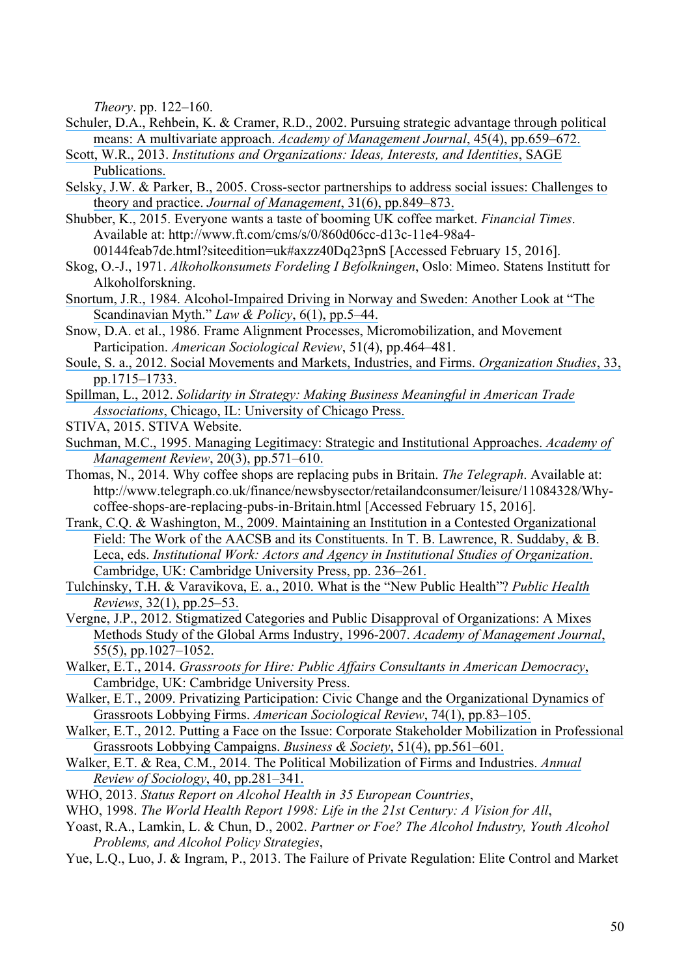*Theory*. pp. 122–160.

- [Schuler, D.A., Rehbein, K. & Cramer, R.D., 2002. Pursuing strategic advantage through political](https://www.researchgate.net/publication/269865600_Pursuing_Strategic_Advantage_Through_Political_Means_A_Multivariate_Approach?el=1_x_8&enrichId=rgreq-98966ac44f9a416928703b9e6a6f6cb8-XXX&enrichSource=Y292ZXJQYWdlOzMwNTkwNTAwMDtBUzozOTE4NDg4MjU3Njk5ODZAMTQ3MDQzNTQ0ODc0Mg==)  means: A multivariate approach. *[Academy of Management Journal](https://www.researchgate.net/publication/269865600_Pursuing_Strategic_Advantage_Through_Political_Means_A_Multivariate_Approach?el=1_x_8&enrichId=rgreq-98966ac44f9a416928703b9e6a6f6cb8-XXX&enrichSource=Y292ZXJQYWdlOzMwNTkwNTAwMDtBUzozOTE4NDg4MjU3Njk5ODZAMTQ3MDQzNTQ0ODc0Mg==)*, 45(4), pp.659–672.
- Scott, W.R., 2013. *[Institutions and Organizations: Ideas, Interests, and Identities](https://www.researchgate.net/publication/281019875_W_Richard_SCOTT_1995_Institutions_and_Organizations_Ideas_Interests_and_Identities?el=1_x_8&enrichId=rgreq-98966ac44f9a416928703b9e6a6f6cb8-XXX&enrichSource=Y292ZXJQYWdlOzMwNTkwNTAwMDtBUzozOTE4NDg4MjU3Njk5ODZAMTQ3MDQzNTQ0ODc0Mg==)*, SAGE [Publications.](https://www.researchgate.net/publication/281019875_W_Richard_SCOTT_1995_Institutions_and_Organizations_Ideas_Interests_and_Identities?el=1_x_8&enrichId=rgreq-98966ac44f9a416928703b9e6a6f6cb8-XXX&enrichSource=Y292ZXJQYWdlOzMwNTkwNTAwMDtBUzozOTE4NDg4MjU3Njk5ODZAMTQ3MDQzNTQ0ODc0Mg==)
- [Selsky, J.W. & Parker, B., 2005. Cross-sector partnerships to address social issues: Challenges to](https://www.researchgate.net/publication/247570170_Cross-Sector_Partnerships_to_Address_Social_Issues_Challenges_to_Theory_and_Practice?el=1_x_8&enrichId=rgreq-98966ac44f9a416928703b9e6a6f6cb8-XXX&enrichSource=Y292ZXJQYWdlOzMwNTkwNTAwMDtBUzozOTE4NDg4MjU3Njk5ODZAMTQ3MDQzNTQ0ODc0Mg==)  theory and practice. *[Journal of Management](https://www.researchgate.net/publication/247570170_Cross-Sector_Partnerships_to_Address_Social_Issues_Challenges_to_Theory_and_Practice?el=1_x_8&enrichId=rgreq-98966ac44f9a416928703b9e6a6f6cb8-XXX&enrichSource=Y292ZXJQYWdlOzMwNTkwNTAwMDtBUzozOTE4NDg4MjU3Njk5ODZAMTQ3MDQzNTQ0ODc0Mg==)*, 31(6), pp.849–873.
- Shubber, K., 2015. Everyone wants a taste of booming UK coffee market. *Financial Times*. Available at: http://www.ft.com/cms/s/0/860d06cc-d13c-11e4-98a4-
	- 00144feab7de.html?siteedition=uk#axzz40Dq23pnS [Accessed February 15, 2016].
- Skog, O.-J., 1971. *Alkoholkonsumets Fordeling I Befolkningen*, Oslo: Mimeo. Statens Institutt for Alkoholforskning.
- [Snortum, J.R., 1984. Alcohol-Impaired Driving in Norway and Sweden: Another Look at "The](https://www.researchgate.net/publication/227883978_Alcohol-Impaired_Driving_in_Norway_and_Sweden_Another_Look_at_The_Scandinavian_Myth?el=1_x_8&enrichId=rgreq-98966ac44f9a416928703b9e6a6f6cb8-XXX&enrichSource=Y292ZXJQYWdlOzMwNTkwNTAwMDtBUzozOTE4NDg4MjU3Njk5ODZAMTQ3MDQzNTQ0ODc0Mg==)  [Scandinavian Myth."](https://www.researchgate.net/publication/227883978_Alcohol-Impaired_Driving_in_Norway_and_Sweden_Another_Look_at_The_Scandinavian_Myth?el=1_x_8&enrichId=rgreq-98966ac44f9a416928703b9e6a6f6cb8-XXX&enrichSource=Y292ZXJQYWdlOzMwNTkwNTAwMDtBUzozOTE4NDg4MjU3Njk5ODZAMTQ3MDQzNTQ0ODc0Mg==) *Law & Policy*, 6(1), pp.5–44.
- Snow, D.A. et al., 1986. Frame Alignment Processes, Micromobilization, and Movement Participation. *American Sociological Review*, 51(4), pp.464–481.
- [Soule, S. a., 2012. Social Movements and Markets, Industries, and Firms.](https://www.researchgate.net/publication/274432819_Social_Movements_and_Markets_Industries_and_Firms?el=1_x_8&enrichId=rgreq-98966ac44f9a416928703b9e6a6f6cb8-XXX&enrichSource=Y292ZXJQYWdlOzMwNTkwNTAwMDtBUzozOTE4NDg4MjU3Njk5ODZAMTQ3MDQzNTQ0ODc0Mg==) *Organization Studies*, 33, [pp.1715–1733.](https://www.researchgate.net/publication/274432819_Social_Movements_and_Markets_Industries_and_Firms?el=1_x_8&enrichId=rgreq-98966ac44f9a416928703b9e6a6f6cb8-XXX&enrichSource=Y292ZXJQYWdlOzMwNTkwNTAwMDtBUzozOTE4NDg4MjU3Njk5ODZAMTQ3MDQzNTQ0ODc0Mg==)
- Spillman, L., 2012. *[Solidarity in Strategy: Making Business Meaningful in American Trade](https://www.researchgate.net/publication/267447197_Solidarity_in_Strategy_Making_Business_Meaningful_in_American_Trade_Associations?el=1_x_8&enrichId=rgreq-98966ac44f9a416928703b9e6a6f6cb8-XXX&enrichSource=Y292ZXJQYWdlOzMwNTkwNTAwMDtBUzozOTE4NDg4MjU3Njk5ODZAMTQ3MDQzNTQ0ODc0Mg==)  Associations*[, Chicago, IL: University of Chicago Press.](https://www.researchgate.net/publication/267447197_Solidarity_in_Strategy_Making_Business_Meaningful_in_American_Trade_Associations?el=1_x_8&enrichId=rgreq-98966ac44f9a416928703b9e6a6f6cb8-XXX&enrichSource=Y292ZXJQYWdlOzMwNTkwNTAwMDtBUzozOTE4NDg4MjU3Njk5ODZAMTQ3MDQzNTQ0ODc0Mg==)
- STIVA, 2015. STIVA Website.
- [Suchman, M.C., 1995. Managing Legitimacy: Strategic and Institutional Approaches.](https://www.researchgate.net/publication/289940355_Managing_Legitimacy_Strategic_and_Institutional_Approaches?el=1_x_8&enrichId=rgreq-98966ac44f9a416928703b9e6a6f6cb8-XXX&enrichSource=Y292ZXJQYWdlOzMwNTkwNTAwMDtBUzozOTE4NDg4MjU3Njk5ODZAMTQ3MDQzNTQ0ODc0Mg==) *Academy of [Management Review](https://www.researchgate.net/publication/289940355_Managing_Legitimacy_Strategic_and_Institutional_Approaches?el=1_x_8&enrichId=rgreq-98966ac44f9a416928703b9e6a6f6cb8-XXX&enrichSource=Y292ZXJQYWdlOzMwNTkwNTAwMDtBUzozOTE4NDg4MjU3Njk5ODZAMTQ3MDQzNTQ0ODc0Mg==)*, 20(3), pp.571–610.
- Thomas, N., 2014. Why coffee shops are replacing pubs in Britain. *The Telegraph*. Available at: http://www.telegraph.co.uk/finance/newsbysector/retailandconsumer/leisure/11084328/Whycoffee-shops-are-replacing-pubs-in-Britain.html [Accessed February 15, 2016].
- [Trank, C.Q. & Washington, M., 2009. Maintaining an Institution in a Contested Organizational](https://www.researchgate.net/publication/289028552_Maintaining_an_institution_in_a_contested_organizational_field_The_work_of_the_AACSB_and_its_constituents?el=1_x_8&enrichId=rgreq-98966ac44f9a416928703b9e6a6f6cb8-XXX&enrichSource=Y292ZXJQYWdlOzMwNTkwNTAwMDtBUzozOTE4NDg4MjU3Njk5ODZAMTQ3MDQzNTQ0ODc0Mg==) [Field: The Work of the AACSB and its Constituents. In T. B. Lawrence, R. Suddaby, & B.](https://www.researchgate.net/publication/289028552_Maintaining_an_institution_in_a_contested_organizational_field_The_work_of_the_AACSB_and_its_constituents?el=1_x_8&enrichId=rgreq-98966ac44f9a416928703b9e6a6f6cb8-XXX&enrichSource=Y292ZXJQYWdlOzMwNTkwNTAwMDtBUzozOTE4NDg4MjU3Njk5ODZAMTQ3MDQzNTQ0ODc0Mg==)  Leca, eds. *[Institutional Work: Actors and Agency in Institutional Studies of Organization](https://www.researchgate.net/publication/289028552_Maintaining_an_institution_in_a_contested_organizational_field_The_work_of_the_AACSB_and_its_constituents?el=1_x_8&enrichId=rgreq-98966ac44f9a416928703b9e6a6f6cb8-XXX&enrichSource=Y292ZXJQYWdlOzMwNTkwNTAwMDtBUzozOTE4NDg4MjU3Njk5ODZAMTQ3MDQzNTQ0ODc0Mg==)*. [Cambridge, UK: Cambridge University Press, pp. 236–261.](https://www.researchgate.net/publication/289028552_Maintaining_an_institution_in_a_contested_organizational_field_The_work_of_the_AACSB_and_its_constituents?el=1_x_8&enrichId=rgreq-98966ac44f9a416928703b9e6a6f6cb8-XXX&enrichSource=Y292ZXJQYWdlOzMwNTkwNTAwMDtBUzozOTE4NDg4MjU3Njk5ODZAMTQ3MDQzNTQ0ODc0Mg==)
- [Tulchinsky, T.H. & Varavikova, E. a., 2010. What is the "New Public Health"?](https://www.researchgate.net/publication/45432989_What_is_the_New_Public_Health?el=1_x_8&enrichId=rgreq-98966ac44f9a416928703b9e6a6f6cb8-XXX&enrichSource=Y292ZXJQYWdlOzMwNTkwNTAwMDtBUzozOTE4NDg4MjU3Njk5ODZAMTQ3MDQzNTQ0ODc0Mg==) *Public Health Reviews*[, 32\(1\), pp.25–53.](https://www.researchgate.net/publication/45432989_What_is_the_New_Public_Health?el=1_x_8&enrichId=rgreq-98966ac44f9a416928703b9e6a6f6cb8-XXX&enrichSource=Y292ZXJQYWdlOzMwNTkwNTAwMDtBUzozOTE4NDg4MjU3Njk5ODZAMTQ3MDQzNTQ0ODc0Mg==)
- [Vergne, J.P., 2012. Stigmatized Categories and Public Disapproval of Organizations: A Mixes](https://www.researchgate.net/publication/228222044_Stigmatized_Categories_and_Public_Disapproval_of_Organizations_A_Mixed_Methods_Study_of_the_Global_Arms_Industry_1996-2007?el=1_x_8&enrichId=rgreq-98966ac44f9a416928703b9e6a6f6cb8-XXX&enrichSource=Y292ZXJQYWdlOzMwNTkwNTAwMDtBUzozOTE4NDg4MjU3Njk5ODZAMTQ3MDQzNTQ0ODc0Mg==)  [Methods Study of the Global Arms Industry, 1996-2007.](https://www.researchgate.net/publication/228222044_Stigmatized_Categories_and_Public_Disapproval_of_Organizations_A_Mixed_Methods_Study_of_the_Global_Arms_Industry_1996-2007?el=1_x_8&enrichId=rgreq-98966ac44f9a416928703b9e6a6f6cb8-XXX&enrichSource=Y292ZXJQYWdlOzMwNTkwNTAwMDtBUzozOTE4NDg4MjU3Njk5ODZAMTQ3MDQzNTQ0ODc0Mg==) *Academy of Management Journal*, [55\(5\), pp.1027–1052.](https://www.researchgate.net/publication/228222044_Stigmatized_Categories_and_Public_Disapproval_of_Organizations_A_Mixed_Methods_Study_of_the_Global_Arms_Industry_1996-2007?el=1_x_8&enrichId=rgreq-98966ac44f9a416928703b9e6a6f6cb8-XXX&enrichSource=Y292ZXJQYWdlOzMwNTkwNTAwMDtBUzozOTE4NDg4MjU3Njk5ODZAMTQ3MDQzNTQ0ODc0Mg==)
- Walker, E.T., 2014. *[Grassroots for Hire: Public Affairs Consultants in American Democracy](https://www.researchgate.net/publication/288435337_Grassroots_for_hire_Public_affairs_consultants_in_American_democracy?el=1_x_8&enrichId=rgreq-98966ac44f9a416928703b9e6a6f6cb8-XXX&enrichSource=Y292ZXJQYWdlOzMwNTkwNTAwMDtBUzozOTE4NDg4MjU3Njk5ODZAMTQ3MDQzNTQ0ODc0Mg==)*, [Cambridge, UK: Cambridge University Press.](https://www.researchgate.net/publication/288435337_Grassroots_for_hire_Public_affairs_consultants_in_American_democracy?el=1_x_8&enrichId=rgreq-98966ac44f9a416928703b9e6a6f6cb8-XXX&enrichSource=Y292ZXJQYWdlOzMwNTkwNTAwMDtBUzozOTE4NDg4MjU3Njk5ODZAMTQ3MDQzNTQ0ODc0Mg==)
- [Walker, E.T., 2009. Privatizing Participation: Civic Change and the Organizational Dynamics of](https://www.researchgate.net/publication/254078727_Privatizing_Participation_Civic_Change_and_the_Organizational_Dynamics_of_Grassroots_Lobbying_Firms?el=1_x_8&enrichId=rgreq-98966ac44f9a416928703b9e6a6f6cb8-XXX&enrichSource=Y292ZXJQYWdlOzMwNTkwNTAwMDtBUzozOTE4NDg4MjU3Njk5ODZAMTQ3MDQzNTQ0ODc0Mg==) Grassroots Lobbying Firms. *[American Sociological Review](https://www.researchgate.net/publication/254078727_Privatizing_Participation_Civic_Change_and_the_Organizational_Dynamics_of_Grassroots_Lobbying_Firms?el=1_x_8&enrichId=rgreq-98966ac44f9a416928703b9e6a6f6cb8-XXX&enrichSource=Y292ZXJQYWdlOzMwNTkwNTAwMDtBUzozOTE4NDg4MjU3Njk5ODZAMTQ3MDQzNTQ0ODc0Mg==)*, 74(1), pp.83–105.
- [Walker, E.T., 2012. Putting a Face on the Issue: Corporate Stakeholder Mobilization in Professional](https://www.researchgate.net/publication/258126552_Putting_a_Face_on_the_Issue_Corporate_Stakeholder_Mobilization_in_Professional_Grassroots_Lobbying_Campaigns?el=1_x_8&enrichId=rgreq-98966ac44f9a416928703b9e6a6f6cb8-XXX&enrichSource=Y292ZXJQYWdlOzMwNTkwNTAwMDtBUzozOTE4NDg4MjU3Njk5ODZAMTQ3MDQzNTQ0ODc0Mg==)  [Grassroots Lobbying Campaigns.](https://www.researchgate.net/publication/258126552_Putting_a_Face_on_the_Issue_Corporate_Stakeholder_Mobilization_in_Professional_Grassroots_Lobbying_Campaigns?el=1_x_8&enrichId=rgreq-98966ac44f9a416928703b9e6a6f6cb8-XXX&enrichSource=Y292ZXJQYWdlOzMwNTkwNTAwMDtBUzozOTE4NDg4MjU3Njk5ODZAMTQ3MDQzNTQ0ODc0Mg==) *Business & Society*, 51(4), pp.561–601.
- [Walker, E.T. & Rea, C.M., 2014. The Political Mobilization of Firms and Industries.](https://www.researchgate.net/publication/270692047_The_Political_Mobilization_of_Firms_and_Industries?el=1_x_8&enrichId=rgreq-98966ac44f9a416928703b9e6a6f6cb8-XXX&enrichSource=Y292ZXJQYWdlOzMwNTkwNTAwMDtBUzozOTE4NDg4MjU3Njk5ODZAMTQ3MDQzNTQ0ODc0Mg==) *Annual [Review of Sociology](https://www.researchgate.net/publication/270692047_The_Political_Mobilization_of_Firms_and_Industries?el=1_x_8&enrichId=rgreq-98966ac44f9a416928703b9e6a6f6cb8-XXX&enrichSource=Y292ZXJQYWdlOzMwNTkwNTAwMDtBUzozOTE4NDg4MjU3Njk5ODZAMTQ3MDQzNTQ0ODc0Mg==)*, 40, pp.281–341.
- WHO, 2013. *Status Report on Alcohol Health in 35 European Countries*,
- WHO, 1998. *The World Health Report 1998: Life in the 21st Century: A Vision for All*,
- Yoast, R.A., Lamkin, L. & Chun, D., 2002. *Partner or Foe? The Alcohol Industry, Youth Alcohol Problems, and Alcohol Policy Strategies*,
- Yue, L.Q., Luo, J. & Ingram, P., 2013. The Failure of Private Regulation: Elite Control and Market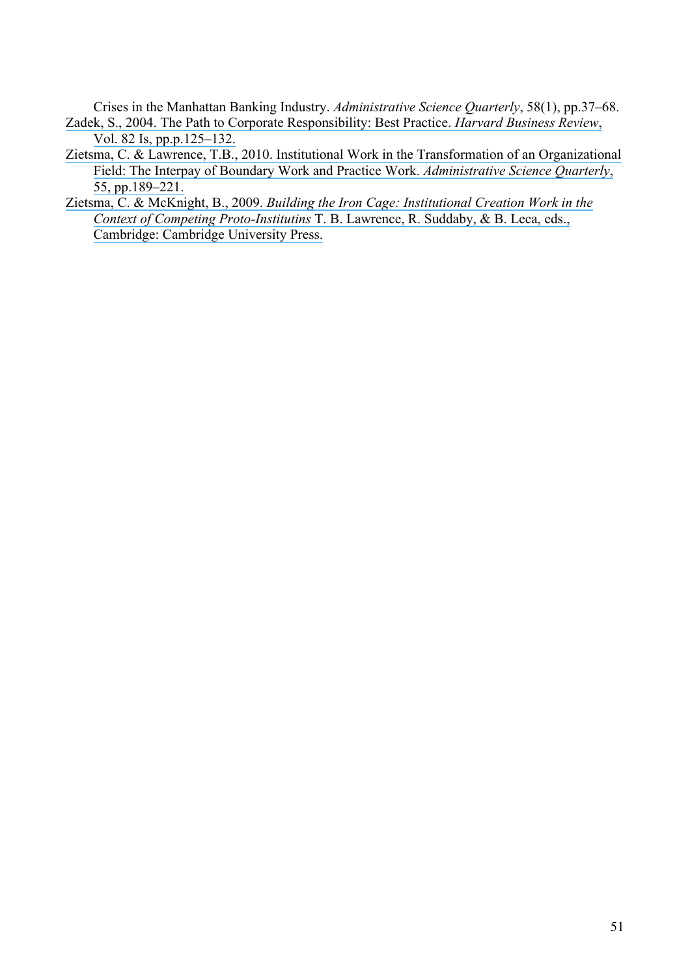Crises in the Manhattan Banking Industry. *Administrative Science Quarterly*, 58(1), pp.37–68. [Zadek, S., 2004. The Path to Corporate Responsibility: Best Practice.](https://www.researchgate.net/publication/8123623_The_Path_to_Corporate_Responsibility?el=1_x_8&enrichId=rgreq-98966ac44f9a416928703b9e6a6f6cb8-XXX&enrichSource=Y292ZXJQYWdlOzMwNTkwNTAwMDtBUzozOTE4NDg4MjU3Njk5ODZAMTQ3MDQzNTQ0ODc0Mg==) *Harvard Business Review*, [Vol. 82 Is, pp.p.125–132.](https://www.researchgate.net/publication/8123623_The_Path_to_Corporate_Responsibility?el=1_x_8&enrichId=rgreq-98966ac44f9a416928703b9e6a6f6cb8-XXX&enrichSource=Y292ZXJQYWdlOzMwNTkwNTAwMDtBUzozOTE4NDg4MjU3Njk5ODZAMTQ3MDQzNTQ0ODc0Mg==)

- [Zietsma, C. & Lawrence, T.B., 2010. Institutional Work in the Transformation of an Organizational](https://www.researchgate.net/publication/236332862_Institutional_Work_in_the_Transformation_of_an_Organizational_Field_The_Interplay_of_Boundary_Work_and_Practice_Work?el=1_x_8&enrichId=rgreq-98966ac44f9a416928703b9e6a6f6cb8-XXX&enrichSource=Y292ZXJQYWdlOzMwNTkwNTAwMDtBUzozOTE4NDg4MjU3Njk5ODZAMTQ3MDQzNTQ0ODc0Mg==)  [Field: The Interpay of Boundary Work and Practice Work.](https://www.researchgate.net/publication/236332862_Institutional_Work_in_the_Transformation_of_an_Organizational_Field_The_Interplay_of_Boundary_Work_and_Practice_Work?el=1_x_8&enrichId=rgreq-98966ac44f9a416928703b9e6a6f6cb8-XXX&enrichSource=Y292ZXJQYWdlOzMwNTkwNTAwMDtBUzozOTE4NDg4MjU3Njk5ODZAMTQ3MDQzNTQ0ODc0Mg==) *Administrative Science Quarterly*, [55, pp.189–221.](https://www.researchgate.net/publication/236332862_Institutional_Work_in_the_Transformation_of_an_Organizational_Field_The_Interplay_of_Boundary_Work_and_Practice_Work?el=1_x_8&enrichId=rgreq-98966ac44f9a416928703b9e6a6f6cb8-XXX&enrichSource=Y292ZXJQYWdlOzMwNTkwNTAwMDtBUzozOTE4NDg4MjU3Njk5ODZAMTQ3MDQzNTQ0ODc0Mg==)
- Zietsma, C. & McKnight, B., 2009. *[Building the Iron Cage: Institutional Creation Work in the](https://www.researchgate.net/publication/286666672_Building_the_Iron_cage_Institutional_creation_work_in_the_context_of_competing_proto-institutions?el=1_x_8&enrichId=rgreq-98966ac44f9a416928703b9e6a6f6cb8-XXX&enrichSource=Y292ZXJQYWdlOzMwNTkwNTAwMDtBUzozOTE4NDg4MjU3Njk5ODZAMTQ3MDQzNTQ0ODc0Mg==) Context of Competing Proto-Institutins* [T. B. Lawrence, R. Suddaby, & B. Leca, eds.,](https://www.researchgate.net/publication/286666672_Building_the_Iron_cage_Institutional_creation_work_in_the_context_of_competing_proto-institutions?el=1_x_8&enrichId=rgreq-98966ac44f9a416928703b9e6a6f6cb8-XXX&enrichSource=Y292ZXJQYWdlOzMwNTkwNTAwMDtBUzozOTE4NDg4MjU3Njk5ODZAMTQ3MDQzNTQ0ODc0Mg==)  [Cambridge: Cambridge University Press.](https://www.researchgate.net/publication/286666672_Building_the_Iron_cage_Institutional_creation_work_in_the_context_of_competing_proto-institutions?el=1_x_8&enrichId=rgreq-98966ac44f9a416928703b9e6a6f6cb8-XXX&enrichSource=Y292ZXJQYWdlOzMwNTkwNTAwMDtBUzozOTE4NDg4MjU3Njk5ODZAMTQ3MDQzNTQ0ODc0Mg==)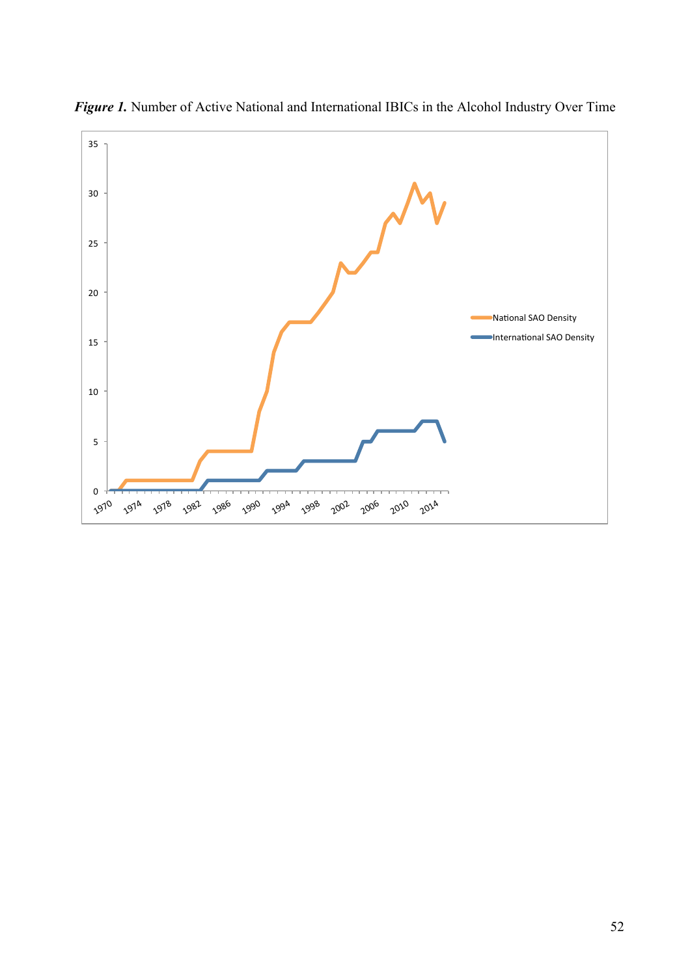

**Figure 1.** Number of Active National and International IBICs in the Alcohol Industry Over Time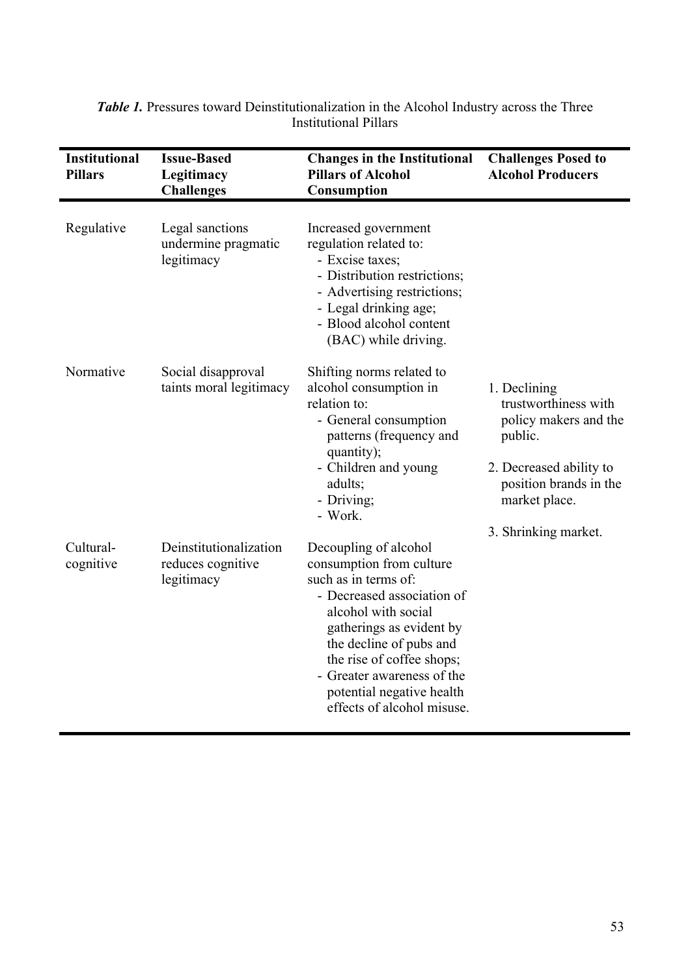| <b>Institutional</b><br><b>Pillars</b> | <b>Issue-Based</b><br>Legitimacy<br><b>Challenges</b>     | <b>Changes in the Institutional</b><br><b>Pillars of Alcohol</b><br>Consumption                                                                                                                                                                                                                             | <b>Challenges Posed to</b><br><b>Alcohol Producers</b>                                                                                         |
|----------------------------------------|-----------------------------------------------------------|-------------------------------------------------------------------------------------------------------------------------------------------------------------------------------------------------------------------------------------------------------------------------------------------------------------|------------------------------------------------------------------------------------------------------------------------------------------------|
| Regulative                             | Legal sanctions<br>undermine pragmatic<br>legitimacy      | Increased government<br>regulation related to:<br>- Excise taxes;<br>- Distribution restrictions;<br>- Advertising restrictions;<br>- Legal drinking age;<br>- Blood alcohol content<br>(BAC) while driving.                                                                                                |                                                                                                                                                |
| Normative                              | Social disapproval<br>taints moral legitimacy             | Shifting norms related to<br>alcohol consumption in<br>relation to:<br>- General consumption<br>patterns (frequency and<br>quantity);<br>- Children and young<br>adults;<br>- Driving;<br>- Work.                                                                                                           | 1. Declining<br>trustworthiness with<br>policy makers and the<br>public.<br>2. Decreased ability to<br>position brands in the<br>market place. |
| Cultural-<br>cognitive                 | Deinstitutionalization<br>reduces cognitive<br>legitimacy | Decoupling of alcohol<br>consumption from culture<br>such as in terms of:<br>- Decreased association of<br>alcohol with social<br>gatherings as evident by<br>the decline of pubs and<br>the rise of coffee shops;<br>- Greater awareness of the<br>potential negative health<br>effects of alcohol misuse. | 3. Shrinking market.                                                                                                                           |

*Table 1.* Pressures toward Deinstitutionalization in the Alcohol Industry across the Three Institutional Pillars